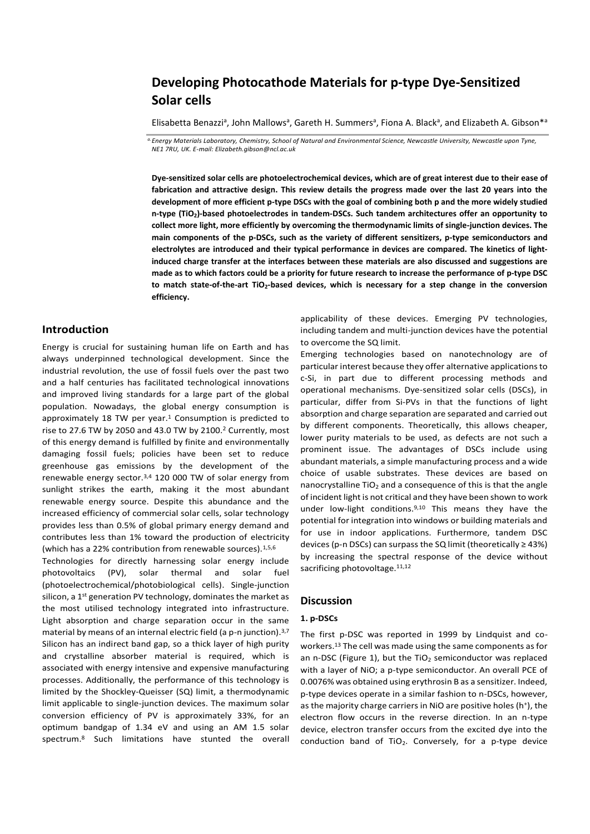# **Developing Photocathode Materials for p-type Dye-Sensitized Solar cells**

Elisabetta Benazzi<sup>a</sup>, John Mallows<sup>a</sup>, Gareth H. Summers<sup>a</sup>, Fiona A. Black<sup>a</sup>, and Elizabeth A. Gibson\*<sup>a</sup>

*a.Energy Materials Laboratory, Chemistry, School of Natural and Environmental Science, Newcastle University, Newcastle upon Tyne, NE1 7RU, UK. E-mail: Elizabeth.gibson@ncl.ac.uk*

**Dye-sensitized solar cells are photoelectrochemical devices, which are of great interest due to their ease of fabrication and attractive design. This review details the progress made over the last 20 years into the development of more efficient p-type DSCs with the goal of combining both p and the more widely studied n-type (TiO2)-based photoelectrodes in tandem-DSCs. Such tandem architectures offer an opportunity to collect more light, more efficiently by overcoming the thermodynamic limits of single-junction devices. The main components of the p-DSCs, such as the variety of different sensitizers, p-type semiconductors and electrolytes are introduced and their typical performance in devices are compared. The kinetics of lightinduced charge transfer at the interfaces between these materials are also discussed and suggestions are made as to which factors could be a priority for future research to increase the performance of p-type DSC to match state-of-the-art TiO2-based devices, which is necessary for a step change in the conversion efficiency.**

## **Introduction**

Energy is crucial for sustaining human life on Earth and has always underpinned technological development. Since the industrial revolution, the use of fossil fuels over the past two and a half centuries has facilitated technological innovations and improved living standards for a large part of the global population. Nowadays, the global energy consumption is approximately 18 TW per year. $1$  Consumption is predicted to rise to 27.6 TW by 2050 and 43.0 TW by 2100.<sup>2</sup> Currently, most of this energy demand is fulfilled by finite and environmentally damaging fossil fuels; policies have been set to reduce greenhouse gas emissions by the development of the renewable energy sector.3,4 120 000 TW of solar energy from sunlight strikes the earth, making it the most abundant renewable energy source. Despite this abundance and the increased efficiency of commercial solar cells, solar technology provides less than 0.5% of global primary energy demand and contributes less than 1% toward the production of electricity (which has a 22% contribution from renewable sources).<sup>1,5,6</sup> Technologies for directly harnessing solar energy include photovoltaics (PV), solar thermal and solar fuel (photoelectrochemical/photobiological cells). Single-junction silicon, a 1<sup>st</sup> generation PV technology, dominates the market as the most utilised technology integrated into infrastructure. Light absorption and charge separation occur in the same material by means of an internal electric field (a p-n junction).<sup>3,7</sup> Silicon has an indirect band gap, so a thick layer of high purity and crystalline absorber material is required, which is associated with energy intensive and expensive manufacturing processes. Additionally, the performance of this technology is limited by the Shockley-Queisser (SQ) limit, a thermodynamic limit applicable to single-junction devices. The maximum solar conversion efficiency of PV is approximately 33%, for an optimum bandgap of 1.34 eV and using an AM 1.5 solar spectrum.<sup>8</sup> Such limitations have stunted the overall applicability of these devices. Emerging PV technologies, including tandem and multi-junction devices have the potential to overcome the SQ limit.

Emerging technologies based on nanotechnology are of particular interest because they offer alternative applications to c-Si, in part due to different processing methods and operational mechanisms. Dye-sensitized solar cells (DSCs), in particular, differ from Si-PVs in that the functions of light absorption and charge separation are separated and carried out by different components. Theoretically, this allows cheaper, lower purity materials to be used, as defects are not such a prominent issue. The advantages of DSCs include using abundant materials, a simple manufacturing process and a wide choice of usable substrates. These devices are based on nanocrystalline  $TiO<sub>2</sub>$  and a consequence of this is that the angle of incident light is not critical and they have been shown to work under low-light conditions.<sup>9,10</sup> This means they have the potential for integration into windows or building materials and for use in indoor applications. Furthermore, tandem DSC devices (p-n DSCs) can surpass the SQ limit (theoretically  $\geq$  43%) by increasing the spectral response of the device without sacrificing photovoltage.<sup>11,12</sup>

## **Discussion**

## **1. p-DSCs**

The first p-DSC was reported in 1999 by Lindquist and coworkers.<sup>13</sup> The cell was made using the same components as for an n-DSC (Figure 1), but the  $TiO<sub>2</sub>$  semiconductor was replaced with a layer of NiO; a p-type semiconductor. An overall PCE of 0.0076% was obtained using erythrosin B as a sensitizer. Indeed, p-type devices operate in a similar fashion to n-DSCs, however, as the majority charge carriers in NiO are positive holes (h<sup>+</sup>), the electron flow occurs in the reverse direction. In an n-type device, electron transfer occurs from the excited dye into the conduction band of  $TiO<sub>2</sub>$ . Conversely, for a p-type device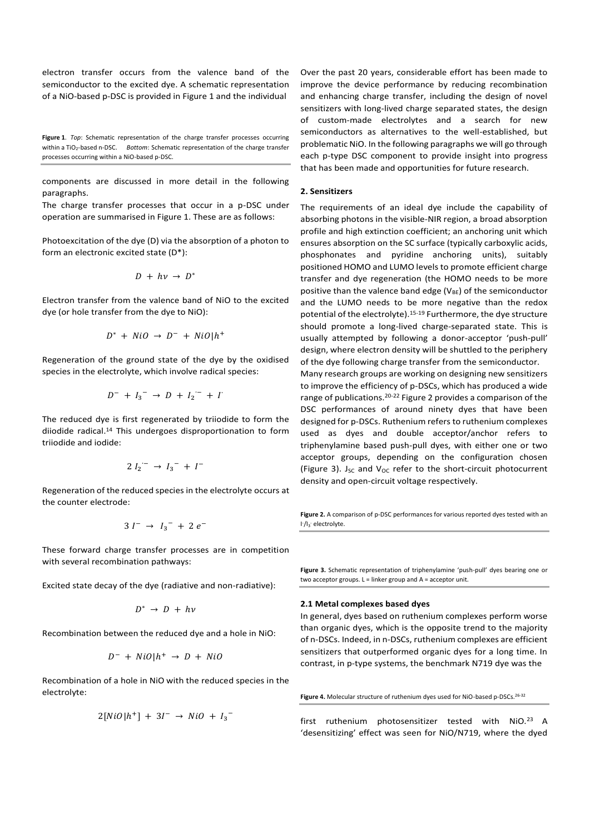electron transfer occurs from the valence band of the semiconductor to the excited dye. A schematic representation of a NiO-based p-DSC is provided in Figure 1 and the individual

**Figure 1**. *Top*: Schematic representation of the charge transfer processes occurring within a TiO<sub>2</sub>-based n-DSC. *Bottom*: Schematic representation of the charge transfer processes occurring within a NiO-based p-DSC.

components are discussed in more detail in the following paragraphs.

The charge transfer processes that occur in a p-DSC under operation are summarised in Figure 1. These are as follows:

Photoexcitation of the dye (D) via the absorption of a photon to form an electronic excited state (D\*):

$$
D + h\nu \rightarrow D^*
$$

Electron transfer from the valence band of NiO to the excited dye (or hole transfer from the dye to NiO):

$$
D^* + NiO \rightarrow D^- + NiO|h^+
$$

Regeneration of the ground state of the dye by the oxidised species in the electrolyte, which involve radical species:

$$
D^- + I_3^- \to D + I_2^- + I
$$

The reduced dye is first regenerated by triiodide to form the diiodide radical.<sup>14</sup> This undergoes disproportionation to form triiodide and iodide:

$$
2 I_2^{\prime -} \rightarrow I_3^- + I^-
$$

Regeneration of the reduced species in the electrolyte occurs at the counter electrode:

$$
3 I^{-} \rightarrow I_{3}^{-} + 2 e^{-}
$$

These forward charge transfer processes are in competition with several recombination pathways:

Excited state decay of the dye (radiative and non-radiative):

$$
D^* \ \to \ D \ + \ h \nu
$$

Recombination between the reduced dye and a hole in NiO:

$$
D^- + NiO|h^+ \rightarrow D + NiO
$$

Recombination of a hole in NiO with the reduced species in the electrolyte:

$$
2[NiO|h^+] + 3I^- \rightarrow NiO + {I_3}^-
$$

Over the past 20 years, considerable effort has been made to improve the device performance by reducing recombination and enhancing charge transfer, including the design of novel sensitizers with long-lived charge separated states, the design of custom-made electrolytes and a search for new semiconductors as alternatives to the well-established, but problematic NiO. In the following paragraphs we will go through each p-type DSC component to provide insight into progress that has been made and opportunities for future research.

## **2. Sensitizers**

The requirements of an ideal dye include the capability of absorbing photons in the visible-NIR region, a broad absorption profile and high extinction coefficient; an anchoring unit which ensures absorption on the SC surface (typically carboxylic acids, phosphonates and pyridine anchoring units), suitably positioned HOMO and LUMO levels to promote efficient charge transfer and dye regeneration (the HOMO needs to be more positive than the valence band edge ( $V_{BE}$ ) of the semiconductor and the LUMO needs to be more negative than the redox potential of the electrolyte).15-19 Furthermore, the dye structure should promote a long-lived charge-separated state. This is usually attempted by following a donor-acceptor 'push-pull' design, where electron density will be shuttled to the periphery of the dye following charge transfer from the semiconductor.

Many research groups are working on designing new sensitizers to improve the efficiency of p-DSCs, which has produced a wide range of publications.20-22 Figure 2 provides a comparison of the DSC performances of around ninety dyes that have been designed for p-DSCs. Ruthenium refers to ruthenium complexes used as dyes and double acceptor/anchor refers to triphenylamine based push-pull dyes, with either one or two acceptor groups, depending on the configuration chosen (Figure 3). Jsc and  $V_{OC}$  refer to the short-circuit photocurrent density and open-circuit voltage respectively.

**Figure 2.** A comparison of p-DSC performances for various reported dyes tested with an I<sup>-</sup>/I<sub>3</sub><sup>-</sup> electrolyte.

**Figure 3.** Schematic representation of triphenylamine 'push-pull' dyes bearing one or two acceptor groups. L = linker group and A = acceptor unit.

#### **2.1 Metal complexes based dyes**

In general, dyes based on ruthenium complexes perform worse than organic dyes, which is the opposite trend to the majority of n-DSCs. Indeed, in n-DSCs, ruthenium complexes are efficient sensitizers that outperformed organic dyes for a long time. In contrast, in p-type systems, the benchmark N719 dye was the

Figure 4. Molecular structure of ruthenium dyes used for NiO-based p-DSCs.<sup>26-32</sup>

first ruthenium photosensitizer tested with NiO.<sup>23</sup> A 'desensitizing' effect was seen for NiO/N719, where the dyed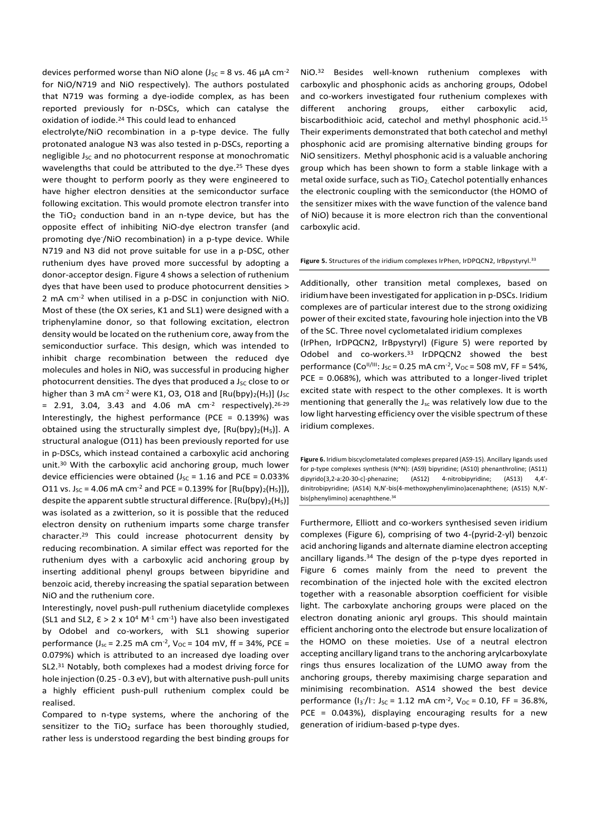devices performed worse than NiO alone ( $J_{SC}$  = 8 vs. 46  $\mu$ A cm<sup>-2</sup> for NiO/N719 and NiO respectively). The authors postulated that N719 was forming a dye-iodide complex, as has been reported previously for n-DSCs, which can catalyse the oxidation of iodide.<sup>24</sup> This could lead to enhanced

electrolyte/NiO recombination in a p-type device. The fully protonated analogue N3 was also tested in p-DSCs, reporting a negligible J<sub>SC</sub> and no photocurrent response at monochromatic wavelengths that could be attributed to the dye.<sup>25</sup> These dyes were thought to perform poorly as they were engineered to have higher electron densities at the semiconductor surface following excitation. This would promote electron transfer into the TiO<sub>2</sub> conduction band in an n-type device, but has the opposite effect of inhibiting NiO-dye electron transfer (and promoting dye- /NiO recombination) in a p-type device. While N719 and N3 did not prove suitable for use in a p-DSC, other ruthenium dyes have proved more successful by adopting a donor-acceptor design. Figure 4 shows a selection of ruthenium dyes that have been used to produce photocurrent densities > 2 mA cm-2 when utilised in a p-DSC in conjunction with NiO. Most of these (the OX series, K1 and SL1) were designed with a triphenylamine donor, so that following excitation, electron density would be located on the ruthenium core, away from the semiconductior surface. This design, which was intended to inhibit charge recombination between the reduced dye molecules and holes in NiO, was successful in producing higher photocurrent densities. The dyes that produced a  $J_{SC}$  close to or higher than 3 mA cm<sup>-2</sup> were K1, O3, O18 and  $[Ru(bpy)<sub>2</sub>(H<sub>5</sub>)]$  (J<sub>sc</sub>  $= 2.91, 3.04, 3.43$  and  $4.06$  mA cm<sup>-2</sup> respectively).<sup>26-29</sup> Interestingly, the highest performance (PCE = 0.139%) was obtained using the structurally simplest dye,  $[Ru(bpy)<sub>2</sub>(H<sub>5</sub>)]$ . A structural analogue (O11) has been previously reported for use in p-DSCs, which instead contained a carboxylic acid anchoring unit.<sup>30</sup> With the carboxylic acid anchoring group, much lower device efficiencies were obtained ( $J_{SC}$  = 1.16 and PCE = 0.033% O11 vs.  $J_{SC}$  = 4.06 mA cm<sup>-2</sup> and PCE = 0.139% for  $[Ru(bpy)<sub>2</sub>(H<sub>5</sub>)$ ]), despite the apparent subtle structural difference.  $[Ru(bpy)<sub>2</sub>(H<sub>5</sub>)]$ was isolated as a zwitterion, so it is possible that the reduced electron density on ruthenium imparts some charge transfer character.<sup>29</sup> This could increase photocurrent density by reducing recombination. A similar effect was reported for the ruthenium dyes with a carboxylic acid anchoring group by inserting additional phenyl groups between bipyridine and benzoic acid, thereby increasing the spatial separation between NiO and the ruthenium core.

Interestingly, novel push-pull ruthenium diacetylide complexes (SL1 and SL2,  $\epsilon > 2 \times 10^4$  M<sup>-1</sup> cm<sup>-1</sup>) have also been investigated by Odobel and co-workers, with SL1 showing superior performance ( $J_{sc}$  = 2.25 mA cm<sup>-2</sup>,  $V_{OC}$  = 104 mV, ff = 34%, PCE = 0.079%) which is attributed to an increased dye loading over SL2.31 Notably, both complexes had a modest driving force for hole injection (0.25 - 0.3 eV), but with alternative push-pull units a highly efficient push-pull ruthenium complex could be realised.

Compared to n-type systems, where the anchoring of the sensitizer to the  $TiO<sub>2</sub>$  surface has been thoroughly studied, rather less is understood regarding the best binding groups for NiO.<sup>32</sup> Besides well-known ruthenium complexes with carboxylic and phosphonic acids as anchoring groups, Odobel and co-workers investigated four ruthenium complexes with different anchoring groups, either carboxylic acid, biscarbodithioic acid, catechol and methyl phosphonic acid.<sup>15</sup> Their experiments demonstrated that both catechol and methyl phosphonic acid are promising alternative binding groups for NiO sensitizers. Methyl phosphonic acid is a valuable anchoring group which has been shown to form a stable linkage with a metal oxide surface, such as  $TiO<sub>2</sub>$  Catechol potentially enhances the electronic coupling with the semiconductor (the HOMO of the sensitizer mixes with the wave function of the valence band of NiO) because it is more electron rich than the conventional carboxylic acid.

#### Figure 5. Structures of the iridium complexes IrPhen, IrDPQCN2, IrBpystyryl.<sup>33</sup>

Additionally, other transition metal complexes, based on iridiumhave been investigated for application in p-DSCs. Iridium complexes are of particular interest due to the strong oxidizing power of their excited state, favouring hole injection into the VB of the SC. Three novel cyclometalated iridium complexes (IrPhen, IrDPQCN2, IrBpystyryl) (Figure 5) were reported by Odobel and co-workers.<sup>33</sup> IrDPQCN2 showed the best performance (Co<sup>II/III</sup>: J<sub>SC</sub> = 0.25 mA cm<sup>-2</sup>, V<sub>OC</sub> = 508 mV, FF = 54%, PCE = 0.068%), which was attributed to a longer-lived triplet excited state with respect to the other complexes. It is worth

mentioning that generally the  $J_{sc}$  was relatively low due to the low light harvesting efficiency over the visible spectrum of these iridium complexes.

**Figure 6.** Iridium biscyclometalated complexes prepared (AS9-15). Ancillary ligands used for p-type complexes synthesis (N^N): (AS9) bipyridine; (AS10) phenanthroline; (AS11) dipyrido[3,2-a:20-30-c]-phenazine; (AS12) 4-nitrobipyridine; (AS13) 4,4' dinitrobipyridine; (AS14) N,N'-bis(4-methoxyphenylimino)acenaphthene; (AS15) N,N' bis(phenylimino) acenaphthene.<sup>34</sup>

Furthermore, Elliott and co-workers synthesised seven iridium complexes (Figure 6), comprising of two 4-(pyrid-2-yl) benzoic acid anchoring ligands and alternate diamine electron accepting ancillary ligands.<sup>34</sup> The design of the p-type dyes reported in Figure 6 comes mainly from the need to prevent the recombination of the injected hole with the excited electron together with a reasonable absorption coefficient for visible light. The carboxylate anchoring groups were placed on the electron donating anionic aryl groups. This should maintain efficient anchoring onto the electrode but ensure localization of the HOMO on these moieties. Use of a neutral electron accepting ancillary ligand trans to the anchoring arylcarboxylate rings thus ensures localization of the LUMO away from the anchoring groups, thereby maximising charge separation and minimising recombination. AS14 showed the best device performance  $(I_3/I: J_{SC} = 1.12 \text{ mA cm}^{-2}$ ,  $V_{OC} = 0.10$ , FF = 36.8%, PCE = 0.043%), displaying encouraging results for a new generation of iridium-based p-type dyes.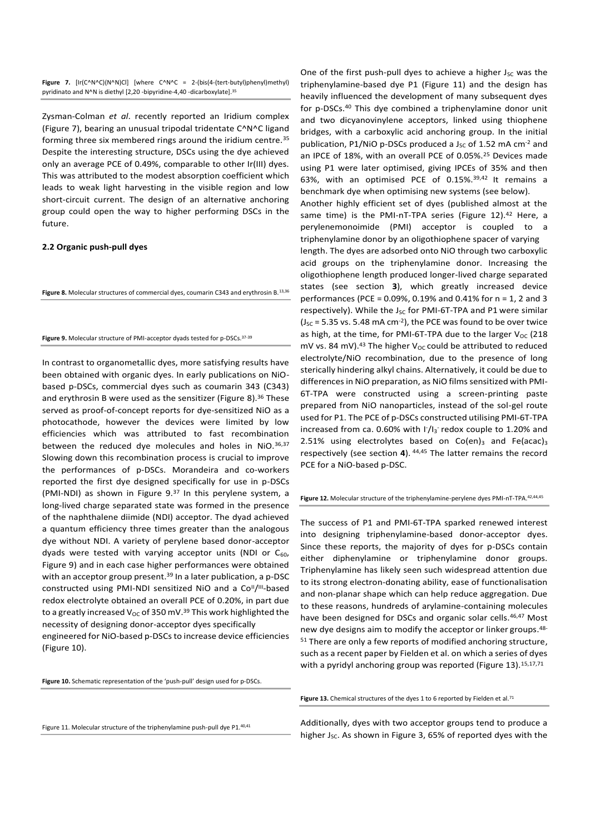**Figure 7.** [Ir(C^N^C)(N^N)Cl] [where C^N^C = 2-(bis(4-(tert-butyl)phenyl)methyl) pyridinato and N^N is diethyl [2,20 -bipyridine-4,40 -dicarboxylate].<sup>35</sup>

Zysman-Colman *et al*. recently reported an Iridium complex (Figure 7), bearing an unusual tripodal tridentate C^N^C ligand forming three six membered rings around the iridium centre.<sup>35</sup> Despite the interesting structure, DSCs using the dye achieved only an average PCE of 0.49%, comparable to other Ir(III) dyes. This was attributed to the modest absorption coefficient which leads to weak light harvesting in the visible region and low short-circuit current. The design of an alternative anchoring group could open the way to higher performing DSCs in the future.

## **2.2 Organic push-pull dyes**

**Figure 8.** Molecular structures of commercial dyes, coumarin C343 and erythrosin B.13,36

#### **Figure 9.** Molecular structure of PMI-acceptor dyads tested for p-DSCs.37-39

In contrast to organometallic dyes, more satisfying results have been obtained with organic dyes. In early publications on NiObased p-DSCs, commercial dyes such as coumarin 343 (C343) and erythrosin B were used as the sensitizer (Figure 8).<sup>36</sup> These served as proof-of-concept reports for dye-sensitized NiO as a photocathode, however the devices were limited by low efficiencies which was attributed to fast recombination between the reduced dye molecules and holes in NiO. 36,37 Slowing down this recombination process is crucial to improve the performances of p-DSCs. Morandeira and co-workers reported the first dye designed specifically for use in p-DSCs (PMI-NDI) as shown in Figure 9.<sup>37</sup> In this perylene system, a long-lived charge separated state was formed in the presence of the naphthalene diimide (NDI) acceptor. The dyad achieved a quantum efficiency three times greater than the analogous dye without NDI. A variety of perylene based donor-acceptor dyads were tested with varying acceptor units (NDI or  $C_{60}$ , Figure 9) and in each case higher performances were obtained with an acceptor group present.<sup>39</sup> In a later publication, a p-DSC constructed using PMI-NDI sensitized NiO and a Co<sup>ll</sup>/<sup>III</sup>-based redox electrolyte obtained an overall PCE of 0.20%, in part due to a greatly increased V<sub>OC</sub> of 350 mV.<sup>39</sup> This work highlighted the necessity of designing donor-acceptor dyes specifically

engineered for NiO-based p-DSCs to increase device efficiencies (Figure 10).

**Figure 10.** Schematic representation of the 'push-pull' design used for p-DSCs.

Figure 11. Molecular structure of the triphenylamine push-pull dye P1.40,41

One of the first push-pull dyes to achieve a higher  $J_{SC}$  was the triphenylamine-based dye P1 (Figure 11) and the design has heavily influenced the development of many subsequent dyes for p-DSCs.<sup>40</sup> This dye combined a triphenylamine donor unit and two dicyanovinylene acceptors, linked using thiophene bridges, with a carboxylic acid anchoring group. In the initial publication, P1/NiO p-DSCs produced a  $J_{SC}$  of 1.52 mA cm<sup>-2</sup> and an IPCE of 18%, with an overall PCE of 0.05%.<sup>25</sup> Devices made using P1 were later optimised, giving IPCEs of 35% and then 63%, with an optimised PCE of 0.15%.39,42 It remains a benchmark dye when optimising new systems (see below). Another highly efficient set of dyes (published almost at the same time) is the PMI-nT-TPA series (Figure 12).<sup>42</sup> Here, a perylenemonoimide (PMI) acceptor is coupled to a triphenylamine donor by an oligothiophene spacer of varying length. The dyes are adsorbed onto NiO through two carboxylic acid groups on the triphenylamine donor. Increasing the oligothiophene length produced longer-lived charge separated states (see section **3**), which greatly increased device performances (PCE = 0.09%, 0.19% and 0.41% for n = 1, 2 and 3 respectively). While the  $J_{SC}$  for PMI-6T-TPA and P1 were similar  $(J<sub>SC</sub> = 5.35$  vs. 5.48 mA cm<sup>-2</sup>), the PCE was found to be over twice as high, at the time, for PMI-6T-TPA due to the larger  $V_{OC}$  (218 mV vs. 84 mV).<sup>43</sup> The higher V<sub>OC</sub> could be attributed to reduced electrolyte/NiO recombination, due to the presence of long sterically hindering alkyl chains. Alternatively, it could be due to differences in NiO preparation, as NiO films sensitized with PMI-6T-TPA were constructed using a screen-printing paste prepared from NiO nanoparticles, instead of the sol-gel route used for P1. The PCE of p-DSCs constructed utilising PMI-6T-TPA increased from ca. 0.60% with  $1/1<sub>3</sub>$  redox couple to 1.20% and 2.51% using electrolytes based on  $Co(en)_3$  and Fe(acac)<sub>3</sub>

respectively (see section **4**). 44,45 The latter remains the record PCE for a NiO-based p-DSC.

**Figure 12.** Molecular structure of the triphenylamine-perylene dyes PMI-nT-TPA.42,44,45

The success of P1 and PMI-6T-TPA sparked renewed interest into designing triphenylamine-based donor-acceptor dyes. Since these reports, the majority of dyes for p-DSCs contain either diphenylamine or triphenylamine donor groups. Triphenylamine has likely seen such widespread attention due to its strong electron-donating ability, ease of functionalisation and non-planar shape which can help reduce aggregation. Due to these reasons, hundreds of arylamine-containing molecules have been designed for DSCs and organic solar cells.<sup>46,47</sup> Most new dye designs aim to modify the acceptor or linker groups.<sup>48-</sup> <sup>51</sup> There are only a few reports of modified anchoring structure, such as a recent paper by Fielden et al. on which a series of dyes with a pyridyl anchoring group was reported (Figure 13).<sup>15,17,71</sup>

Figure 13. Chemical structures of the dyes 1 to 6 reported by Fielden et al.<sup>71</sup>

Additionally, dyes with two acceptor groups tend to produce a higher J<sub>sc</sub>. As shown in Figure 3, 65% of reported dyes with the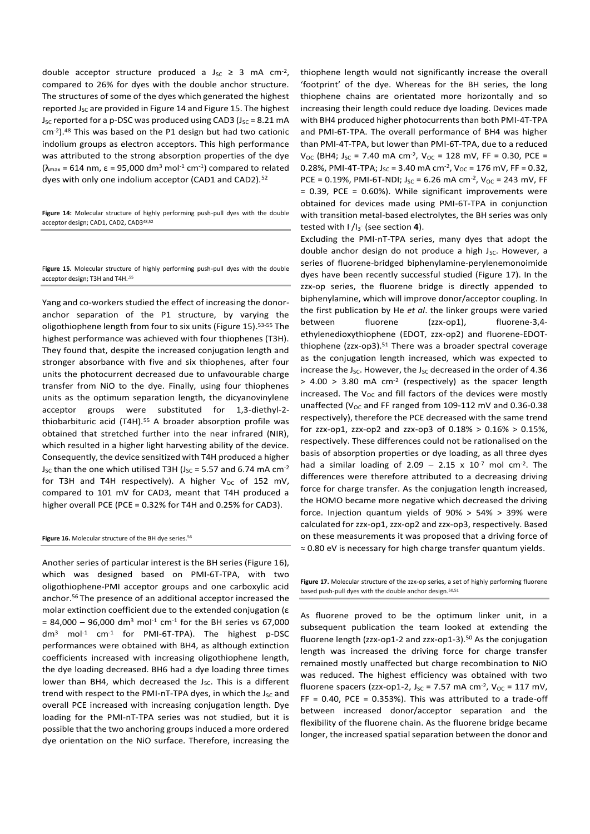double acceptor structure produced a  $J_{SC} \geq 3$  mA cm<sup>-2</sup>, compared to 26% for dyes with the double anchor structure. The structures of some of the dyes which generated the highest reported  $J_{SC}$  are provided in Figure 14 and Figure 15. The highest  $J_{SC}$  reported for a p-DSC was produced using CAD3 ( $J_{SC}$  = 8.21 mA cm-2 ).<sup>48</sup> This was based on the P1 design but had two cationic indolium groups as electron acceptors. This high performance was attributed to the strong absorption properties of the dye  $(\lambda_{\text{max}} = 614 \text{ nm}, \varepsilon = 95,000 \text{ dm}^3 \text{ mol}^{-1} \text{ cm}^{-1})$  compared to related dyes with only one indolium acceptor (CAD1 and CAD2).<sup>52</sup>

**Figure 14:** Molecular structure of highly performing push-pull dyes with the double acceptor design; CAD1, CAD2, CAD348,52

F**igure 15.** Molecular structure of highly performing push-pull dyes with the double acceptor design; T3H and T4H.<sup>55</sup>

Yang and co-workers studied the effect of increasing the donoranchor separation of the P1 structure, by varying the oligothiophene length from four to six units (Figure 15). 53-55 The highest performance was achieved with four thiophenes (T3H). They found that, despite the increased conjugation length and stronger absorbance with five and six thiophenes, after four units the photocurrent decreased due to unfavourable charge transfer from NiO to the dye. Finally, using four thiophenes units as the optimum separation length, the dicyanovinylene acceptor groups were substituted for 1,3-diethyl-2 thiobarbituric acid (T4H).<sup>55</sup> A broader absorption profile was obtained that stretched further into the near infrared (NIR), which resulted in a higher light harvesting ability of the device. Consequently, the device sensitized with T4H produced a higher  $J_{SC}$  than the one which utilised T3H ( $J_{SC}$  = 5.57 and 6.74 mA cm<sup>-2</sup> for T3H and T4H respectively). A higher  $V_{OC}$  of 152 mV, compared to 101 mV for CAD3, meant that T4H produced a higher overall PCE (PCE = 0.32% for T4H and 0.25% for CAD3).

#### Figure 16. Molecular structure of the BH dye series.<sup>56</sup>

Another series of particular interest is the BH series (Figure 16), which was designed based on PMI-6T-TPA, with two oligothiophene-PMI acceptor groups and one carboxylic acid anchor.<sup>56</sup> The presence of an additional acceptor increased the molar extinction coefficient due to the extended conjugation (ε  $= 84,000 - 96,000$  dm<sup>3</sup> mol<sup>-1</sup> cm<sup>-1</sup> for the BH series vs 67,000 dm<sup>3</sup> mol-1 cm-1 for PMI-6T-TPA). The highest p-DSC performances were obtained with BH4, as although extinction coefficients increased with increasing oligothiophene length, the dye loading decreased. BH6 had a dye loading three times lower than BH4, which decreased the  $J_{SC}$ . This is a different trend with respect to the PMI-nT-TPA dyes, in which the  $J_{SC}$  and overall PCE increased with increasing conjugation length. Dye loading for the PMI-nT-TPA series was not studied, but it is possible that the two anchoring groups induced a more ordered dye orientation on the NiO surface. Therefore, increasing the

thiophene length would not significantly increase the overall 'footprint' of the dye. Whereas for the BH series, the long thiophene chains are orientated more horizontally and so increasing their length could reduce dye loading. Devices made with BH4 produced higher photocurrents than both PMI-4T-TPA and PMI-6T-TPA. The overall performance of BH4 was higher than PMI-4T-TPA, but lower than PMI-6T-TPA, due to a reduced  $V_{\text{OC}}$  (BH4; J<sub>SC</sub> = 7.40 mA cm<sup>-2</sup>, V<sub>OC</sub> = 128 mV, FF = 0.30, PCE = 0.28%, PMI-4T-TPA;  $J_{SC}$  = 3.40 mA cm<sup>-2</sup>,  $V_{OC}$  = 176 mV, FF = 0.32, PCE = 0.19%, PMI-6T-NDI;  $J_{SC}$  = 6.26 mA cm<sup>-2</sup>,  $V_{OC}$  = 243 mV, FF = 0.39, PCE = 0.60%). While significant improvements were obtained for devices made using PMI-6T-TPA in conjunction with transition metal-based electrolytes, the BH series was only tested with I- /I3 - (see section **4**).

Excluding the PMI-nT-TPA series, many dyes that adopt the double anchor design do not produce a high Jsc. However, a series of fluorene-bridged biphenylamine-perylenemonoimide dyes have been recently successful studied (Figure 17). In the zzx-op series, the fluorene bridge is directly appended to biphenylamine, which will improve donor/acceptor coupling. In the first publication by He *et al*. the linker groups were varied between fluorene (zzx-op1), fluorene-3,4 ethylenedioxythiophene (EDOT, zzx-op2) and fluorene-EDOTthiophene ( $zzx$ -op3).<sup>51</sup> There was a broader spectral coverage as the conjugation length increased, which was expected to increase the J<sub>SC</sub>. However, the J<sub>SC</sub> decreased in the order of 4.36  $> 4.00$   $> 3.80$  mA cm<sup>-2</sup> (respectively) as the spacer length increased. The  $V_{OC}$  and fill factors of the devices were mostly unaffected ( $V_{OC}$  and FF ranged from 109-112 mV and 0.36-0.38 respectively), therefore the PCE decreased with the same trend for zzx-op1, zzx-op2 and zzx-op3 of 0.18% > 0.16% > 0.15%, respectively. These differences could not be rationalised on the basis of absorption properties or dye loading, as all three dyes had a similar loading of 2.09 - 2.15 x  $10^{-7}$  mol cm<sup>-2</sup>. The differences were therefore attributed to a decreasing driving force for charge transfer. As the conjugation length increased, the HOMO became more negative which decreased the driving force. Injection quantum yields of 90% > 54% > 39% were calculated for zzx-op1, zzx-op2 and zzx-op3, respectively. Based on these measurements it was proposed that a driving force of ≈ 0.80 eV is necessary for high charge transfer quantum yields.

Figure 17. Molecular structure of the zzx-op series, a set of highly performing fluorene based push-pull dyes with the double anchor design.<sup>50,51</sup>

As fluorene proved to be the optimum linker unit, in a subsequent publication the team looked at extending the fluorene length (zzx-op1-2 and zzx-op1-3).<sup>50</sup> As the conjugation length was increased the driving force for charge transfer remained mostly unaffected but charge recombination to NiO was reduced. The highest efficiency was obtained with two fluorene spacers (zzx-op1-2,  $J_{SC} = 7.57$  mA cm<sup>-2</sup>,  $V_{OC} = 117$  mV, FF =  $0.40$ , PCE =  $0.353%$ ). This was attributed to a trade-off between increased donor/acceptor separation and the flexibility of the fluorene chain. As the fluorene bridge became longer, the increased spatial separation between the donor and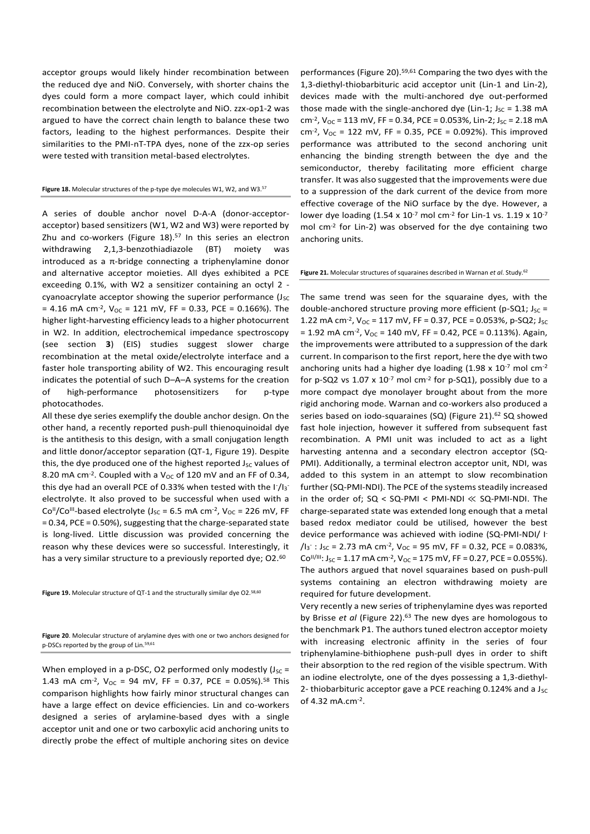acceptor groups would likely hinder recombination between the reduced dye and NiO. Conversely, with shorter chains the dyes could form a more compact layer, which could inhibit recombination between the electrolyte and NiO. zzx-op1-2 was argued to have the correct chain length to balance these two factors, leading to the highest performances. Despite their similarities to the PMI-nT-TPA dyes, none of the zzx-op series were tested with transition metal-based electrolytes.

**Figure 18.** Molecular structures of the p-type dye molecules W1, W2, and W3.<sup>57</sup>

A series of double anchor novel D-A-A (donor-acceptoracceptor) based sensitizers (W1, W2 and W3) were reported by Zhu and co-workers (Figure 18). 57 In this series an electron withdrawing 2,1,3-benzothiadiazole (BT) moiety was introduced as a  $\pi$ -bridge connecting a triphenylamine donor and alternative acceptor moieties. All dyes exhibited a PCE exceeding 0.1%, with W2 a sensitizer containing an octyl 2 cyanoacrylate acceptor showing the superior performance  $(J_{SC})$ = 4.16 mA cm<sup>-2</sup>,  $V_{OC}$  = 121 mV, FF = 0.33, PCE = 0.166%). The higher light-harvesting efficiency leads to a higher photocurrent in W2. In addition, electrochemical impedance spectroscopy (see section **3**) (EIS) studies suggest slower charge recombination at the metal oxide/electrolyte interface and a faster hole transporting ability of W2. This encouraging result indicates the potential of such D–A–A systems for the creation of high-performance photosensitizers for p-type photocathodes.

All these dye series exemplify the double anchor design. On the other hand, a recently reported push-pull thienoquinoidal dye is the antithesis to this design, with a small conjugation length and little donor/acceptor separation (QT-1, Figure 19). Despite this, the dye produced one of the highest reported  $J_{SC}$  values of 8.20 mA cm<sup>-2</sup>. Coupled with a  $V_{OC}$  of 120 mV and an FF of 0.34, this dye had an overall PCE of 0.33% when tested with the  $1/1<sub>3</sub>$ electrolyte. It also proved to be successful when used with a  $Co<sup>H</sup>/Co<sup>III</sup>$ -based electrolyte (J<sub>SC</sub> = 6.5 mA cm<sup>-2</sup>, V<sub>OC</sub> = 226 mV, FF = 0.34, PCE = 0.50%), suggesting that the charge-separated state is long-lived. Little discussion was provided concerning the reason why these devices were so successful. Interestingly, it has a very similar structure to a previously reported dye; O2.<sup>60</sup>

Figure 19. Molecular structure of QT-1 and the structurally similar dye O2.<sup>58,60</sup>

**Figure 20**. Molecular structure of arylamine dyes with one or two anchors designed for p-DSCs reported by the group of Lin.59,61

When employed in a p-DSC, O2 performed only modestly  $(J_{SC} =$ 1.43 mA cm<sup>-2</sup>,  $V_{OC} = 94$  mV, FF = 0.37, PCE = 0.05%).<sup>58</sup> This comparison highlights how fairly minor structural changes can have a large effect on device efficiencies. Lin and co-workers designed a series of arylamine-based dyes with a single acceptor unit and one or two carboxylic acid anchoring units to directly probe the effect of multiple anchoring sites on device

performances (Figure 20).<sup>59,61</sup> Comparing the two dyes with the 1,3-diethyl-thiobarbituric acid acceptor unit (Lin-1 and Lin-2), devices made with the multi-anchored dye out-performed those made with the single-anchored dye (Lin-1;  $J_{SC} = 1.38$  mA cm<sup>-2</sup>,  $V_{OC}$  = 113 mV, FF = 0.34, PCE = 0.053%, Lin-2; J<sub>SC</sub> = 2.18 mA  $\text{cm}^2$ , V<sub>OC</sub> = 122 mV, FF = 0.35, PCE = 0.092%). This improved performance was attributed to the second anchoring unit enhancing the binding strength between the dye and the semiconductor, thereby facilitating more efficient charge transfer. It was also suggested that the improvements were due to a suppression of the dark current of the device from more effective coverage of the NiO surface by the dye. However, a lower dye loading  $(1.54 \times 10^{-7} \text{ mol cm}^{-2} \text{ for lin-1 vs. } 1.19 \times 10^{-7} \text{ m}$ mol cm-2 for Lin-2) was observed for the dye containing two anchoring units.

#### **Figure 21.** Molecular structures of squaraines described in Warnan *et al*. Study.<sup>62</sup>

The same trend was seen for the squaraine dyes, with the double-anchored structure proving more efficient (p-SQ1;  $J_{SC}$  = 1.22 mA cm<sup>-2</sup>,  $V_{OC}$  = 117 mV, FF = 0.37, PCE = 0.053%, p-SQ2; J<sub>SC</sub>  $= 1.92$  mA cm<sup>-2</sup>, V<sub>OC</sub> = 140 mV, FF = 0.42, PCE = 0.113%). Again, the improvements were attributed to a suppression of the dark current. In comparison to the first report, here the dye with two anchoring units had a higher dye loading  $(1.98 \times 10^{-7} \text{ mol cm}^{-2})$ for p-SQ2 vs  $1.07 \times 10^{-7}$  mol cm<sup>-2</sup> for p-SQ1), possibly due to a more compact dye monolayer brought about from the more rigid anchoring mode. Warnan and co-workers also produced a series based on iodo-squaraines (SQ) (Figure 21).<sup>62</sup> SQ showed fast hole injection, however it suffered from subsequent fast recombination. A PMI unit was included to act as a light harvesting antenna and a secondary electron acceptor (SQ-PMI). Additionally, a terminal electron acceptor unit, NDI, was added to this system in an attempt to slow recombination further (SQ-PMI-NDI). The PCE of the systems steadily increased in the order of; SQ < SQ-PMI < PMI-NDI ≪ SQ-PMI-NDI. The charge-separated state was extended long enough that a metal based redox mediator could be utilised, however the best device performance was achieved with iodine (SQ-PMI-NDI/ I-  $/I_3$ : J<sub>sc</sub> = 2.73 mA cm<sup>-2</sup>, V<sub>oc</sub> = 95 mV, FF = 0.32, PCE = 0.083%,  $Co<sup>II/III</sup>: J<sub>SC</sub> = 1.17 mA cm<sup>-2</sup>, V<sub>OC</sub> = 175 mV, FF = 0.27, PCE = 0.055%).$ The authors argued that novel squaraines based on push-pull systems containing an electron withdrawing moiety are required for future development.

Very recently a new series of triphenylamine dyes was reported by Brisse *et al* (Figure 22). <sup>63</sup> The new dyes are homologous to the benchmark P1. The authors tuned electron acceptor moiety with increasing electronic affinity in the series of four triphenylamine-bithiophene push-pull dyes in order to shift their absorption to the red region of the visible spectrum. With an iodine electrolyte, one of the dyes possessing a 1,3-diethyl-2- thiobarbituric acceptor gave a PCE reaching 0.124% and a  $J_{SC}$ of 4.32 mA.cm<sup>-2</sup>.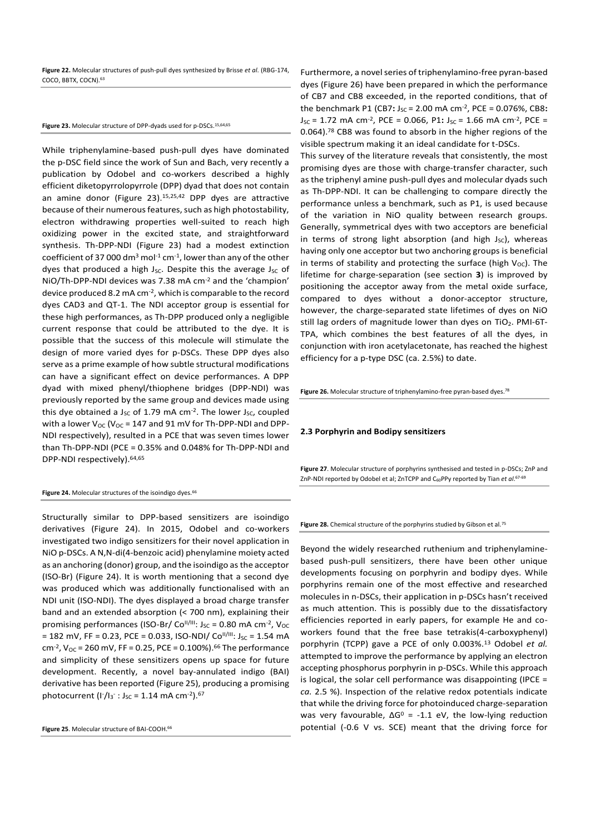**Figure 22.** Molecular structures of push-pull dyes synthesized by Brisse *et al*. (RBG-174, COCO, BBTX, COCN).<sup>63</sup>

#### Figure 23. Molecular structure of DPP-dyads used for p-DSCs.<sup>15,64,65</sup>

While triphenylamine-based push-pull dyes have dominated the p-DSC field since the work of Sun and Bach, very recently a publication by Odobel and co-workers described a highly efficient diketopyrrolopyrrole (DPP) dyad that does not contain an amine donor (Figure 23).15,25,42 DPP dyes are attractive because of their numerous features, such as high photostability, electron withdrawing properties well-suited to reach high oxidizing power in the excited state, and straightforward synthesis. Th-DPP-NDI (Figure 23) had a modest extinction coefficient of 37 000 dm $^3$  mol $^{-1}$  cm $^{-1}$ , lower than any of the other dyes that produced a high  $J_{SC}$ . Despite this the average  $J_{SC}$  of NiO/Th-DPP-NDI devices was 7.38 mA cm-2 and the 'champion' device produced 8.2 mA cm-2 , which is comparable to the record dyes CAD3 and QT-1. The NDI acceptor group is essential for these high performances, as Th-DPP produced only a negligible current response that could be attributed to the dye. It is possible that the success of this molecule will stimulate the design of more varied dyes for p-DSCs. These DPP dyes also serve as a prime example of how subtle structural modifications can have a significant effect on device performances. A DPP dyad with mixed phenyl/thiophene bridges (DPP-NDI) was previously reported by the same group and devices made using this dye obtained a J<sub>SC</sub> of 1.79 mA cm<sup>-2</sup>. The lower J<sub>SC</sub>, coupled with a lower  $V_{OC}$  (V<sub>OC</sub> = 147 and 91 mV for Th-DPP-NDI and DPP-NDI respectively), resulted in a PCE that was seven times lower than Th-DPP-NDI (PCE = 0.35% and 0.048% for Th-DPP-NDI and DPP-NDI respectively).64,65

#### Figure 24. Molecular structures of the isoindigo dyes.<sup>66</sup>

Structurally similar to DPP-based sensitizers are isoindigo derivatives (Figure 24). In 2015, Odobel and co-workers investigated two indigo sensitizers for their novel application in NiO p-DSCs. A N,N-di(4-benzoic acid) phenylamine moiety acted as an anchoring (donor) group, and the isoindigo as the acceptor (ISO-Br) (Figure 24). It is worth mentioning that a second dye was produced which was additionally functionalised with an NDI unit (ISO-NDI). The dyes displayed a broad charge transfer band and an extended absorption (< 700 nm), explaining their promising performances (ISO-Br/  $Co<sup>II/III</sup>$ : J<sub>SC</sub> = 0.80 mA cm<sup>-2</sup>, V<sub>OC</sub> = 182 mV, FF = 0.23, PCE = 0.033, ISO-NDI/ Co<sup>II/III</sup>: J<sub>SC</sub> = 1.54 mA cm<sup>-2</sup>,  $V_{OC}$  = 260 mV, FF = 0.25, PCE = 0.100%).<sup>66</sup> The performance and simplicity of these sensitizers opens up space for future development. Recently, a novel bay-annulated indigo (BAI) derivative has been reported (Figure 25), producing a promising photocurrent (I<sup>-</sup>/I<sub>3</sub><sup>-</sup> : J<sub>SC</sub> = 1.14 mA cm<sup>-2</sup>).<sup>67</sup>

**Figure 25**. Molecular structure of BAI-COOH.<sup>66</sup>

Furthermore, a novel series of triphenylamino-free pyran-based dyes (Figure 26) have been prepared in which the performance of CB7 and CB8 exceeded, in the reported conditions, that of the benchmark P1 (CB7: J<sub>SC</sub> = 2.00 mA cm<sup>-2</sup>, PCE = 0.076%, CB8: J<sub>SC</sub> = 1.72 mA cm<sup>-2</sup>, PCE = 0.066, P1: J<sub>SC</sub> = 1.66 mA cm<sup>-2</sup>, PCE = 0.064).<sup>78</sup> CB8 was found to absorb in the higher regions of the visible spectrum making it an ideal candidate for t-DSCs.

This survey of the literature reveals that consistently, the most promising dyes are those with charge-transfer character, such as the triphenyl amine push-pull dyes and molecular dyads such as Th-DPP-NDI. It can be challenging to compare directly the performance unless a benchmark, such as P1, is used because of the variation in NiO quality between research groups. Generally, symmetrical dyes with two acceptors are beneficial in terms of strong light absorption (and high  $J_{SC}$ ), whereas having only one acceptor but two anchoring groups is beneficial in terms of stability and protecting the surface (high  $V_{\text{OC}}$ ). The lifetime for charge-separation (see section **3**) is improved by positioning the acceptor away from the metal oxide surface, compared to dyes without a donor-acceptor structure, however, the charge-separated state lifetimes of dyes on NiO still lag orders of magnitude lower than dyes on  $TiO<sub>2</sub>$ . PMI-6T-TPA, which combines the best features of all the dyes, in conjunction with iron acetylacetonate, has reached the highest efficiency for a p-type DSC (ca. 2.5%) to date.

**Figure 26.** Molecular structure of triphenylamino-free pyran-based dyes.<sup>78</sup>

#### **2.3 Porphyrin and Bodipy sensitizers**

**Figure 27**. Molecular structure of porphyrins synthesised and tested in p-DSCs; ZnP and ZnP-NDI reported by Odobel et al; ZnTCPP and C60PPy reported by Tian *et al*. 67-69

#### **Figure 28.** Chemical structure of the porphyrins studied by Gibson et al.<sup>75</sup>

Beyond the widely researched ruthenium and triphenylaminebased push-pull sensitizers, there have been other unique developments focusing on porphyrin and bodipy dyes. While porphyrins remain one of the most effective and researched molecules in n-DSCs, their application in p-DSCs hasn't received as much attention. This is possibly due to the dissatisfactory efficiencies reported in early papers, for example He and coworkers found that the free base tetrakis(4-carboxyphenyl) porphyrin (TCPP) gave a PCE of only 0.003%.<sup>13</sup> Odobel *et al.*  attempted to improve the performance by applying an electron accepting phosphorus porphyrin in p-DSCs. While this approach is logical, the solar cell performance was disappointing (IPCE = *ca.* 2.5 %). Inspection of the relative redox potentials indicate that while the driving force for photoinduced charge-separation was very favourable,  $\Delta G^0$  = -1.1 eV, the low-lying reduction potential (-0.6 V vs. SCE) meant that the driving force for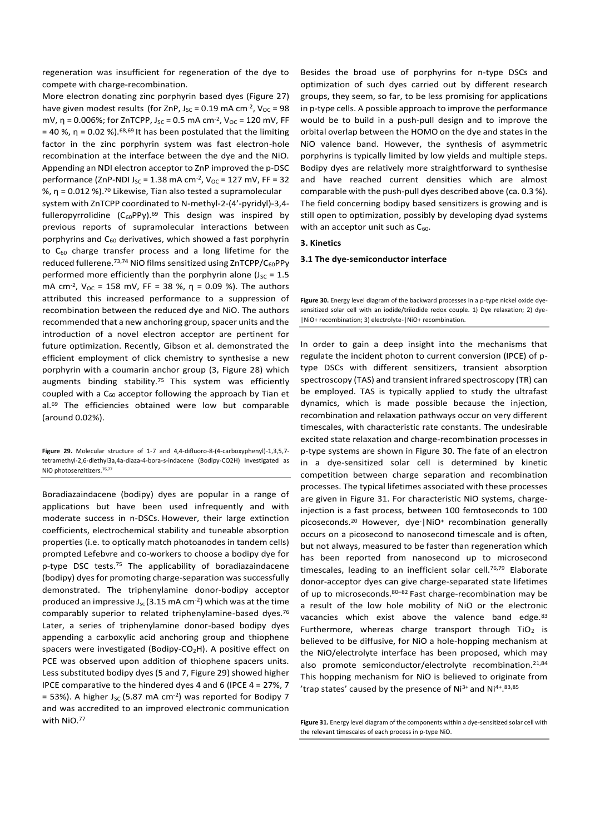regeneration was insufficient for regeneration of the dye to compete with charge-recombination.

More electron donating zinc porphyrin based dyes (Figure 27) have given modest results (for ZnP,  $J_{SC}$  = 0.19 mA cm<sup>-2</sup>,  $V_{OC}$  = 98 mV, η = 0.006%; for ZnTCPP, J<sub>sc</sub> = 0.5 mA cm<sup>-2</sup>, V<sub>oc</sub> = 120 mV, FF = 40 %, η = 0.02 %).<sup>68,69</sup> It has been postulated that the limiting factor in the zinc porphyrin system was fast electron-hole recombination at the interface between the dye and the NiO. Appending an NDI electron acceptor to ZnP improved the p-DSC performance (ZnP-NDI J<sub>SC</sub> = 1.38 mA cm<sup>-2</sup>, V<sub>OC</sub> = 127 mV, FF = 32 %, η = 0.012 %).<sup>70</sup> Likewise, Tian also tested a supramolecular system with ZnTCPP coordinated to N-methyl-2-(4'-pyridyl)-3,4 fulleropyrrolidine  $(C_{60}PPy).<sup>69</sup>$  This design was inspired by previous reports of supramolecular interactions between porphyrins and  $C_{60}$  derivatives, which showed a fast porphyrin to  $C_{60}$  charge transfer process and a long lifetime for the reduced fullerene.<sup>73,74</sup> NiO films sensitized using ZnTCPP/C<sub>60</sub>PPy performed more efficiently than the porphyrin alone ( $J_{SC} = 1.5$ mA cm<sup>-2</sup>, V<sub>OC</sub> = 158 mV, FF = 38 %, η = 0.09 %). The authors attributed this increased performance to a suppression of recombination between the reduced dye and NiO. The authors recommended that a new anchoring group, spacer units and the introduction of a novel electron acceptor are pertinent for future optimization. Recently, Gibson et al. demonstrated the efficient employment of click chemistry to synthesise a new porphyrin with a coumarin anchor group (3, Figure 28) which augments binding stability.<sup>75</sup> This system was efficiently coupled with a  $C_{60}$  acceptor following the approach by Tian et al.<sup>69</sup> The efficiencies obtained were low but comparable (around 0.02%).

**Figure 29.** Molecular structure of 1-7 and 4,4-difluoro-8-(4-carboxyphenyl)-1,3,5,7 tetramethyl-2,6-diethyl3a,4a-diaza-4-bora-s-indacene (Bodipy-CO2H) investigated as NiO photosenzitizers.<sup>76,77</sup>

Boradiazaindacene (bodipy) dyes are popular in a range of applications but have been used infrequently and with moderate success in n-DSCs. However, their large extinction coefficients, electrochemical stability and tuneable absorption properties (i.e. to optically match photoanodes in tandem cells) prompted Lefebvre and co-workers to choose a bodipy dye for p-type DSC tests.<sup>75</sup> The applicability of boradiazaindacene (bodipy) dyes for promoting charge-separation was successfully demonstrated. The triphenylamine donor-bodipy acceptor produced an impressive  $J_{sc}$  (3.15 mA cm<sup>-2</sup>) which was at the time comparably superior to related triphenylamine-based dyes.<sup>76</sup> Later, a series of triphenylamine donor-based bodipy dyes appending a carboxylic acid anchoring group and thiophene spacers were investigated (Bodipy-CO<sub>2</sub>H). A positive effect on PCE was observed upon addition of thiophene spacers units. Less substituted bodipy dyes (5 and 7, Figure 29) showed higher IPCE comparative to the hindered dyes 4 and 6 (IPCE 4 = 27%, 7  $=$  53%). A higher J<sub>sc</sub> (5.87 mA cm<sup>-2</sup>) was reported for Bodipy 7 and was accredited to an improved electronic communication with NiO.<sup>77</sup>

Besides the broad use of porphyrins for n-type DSCs and optimization of such dyes carried out by different research groups, they seem, so far, to be less promising for applications in p-type cells. A possible approach to improve the performance would be to build in a push-pull design and to improve the orbital overlap between the HOMO on the dye and states in the NiO valence band. However, the synthesis of asymmetric porphyrins is typically limited by low yields and multiple steps. Bodipy dyes are relatively more straightforward to synthesise and have reached current densities which are almost comparable with the push-pull dyes described above (ca. 0.3 %). The field concerning bodipy based sensitizers is growing and is still open to optimization, possibly by developing dyad systems with an acceptor unit such as  $C_{60}$ .

## **3. Kinetics**

#### **3.1 The dye-semiconductor interface**

In order to gain a deep insight into the mechanisms that regulate the incident photon to current conversion (IPCE) of ptype DSCs with different sensitizers, transient absorption spectroscopy (TAS) and transient infrared spectroscopy (TR) can be employed. TAS is typically applied to study the ultrafast dynamics, which is made possible because the injection, recombination and relaxation pathways occur on very different timescales, with characteristic rate constants. The undesirable excited state relaxation and charge-recombination processes in p-type systems are shown in Figure 30. The fate of an electron in a dye-sensitized solar cell is determined by kinetic competition between charge separation and recombination processes. The typical lifetimes associated with these processes are given in Figure 31. For characteristic NiO systems, chargeinjection is a fast process, between 100 femtoseconds to 100 picoseconds.<sup>20</sup> However, dye<sup>-</sup>|NiO<sup>+</sup> recombination generally occurs on a picosecond to nanosecond timescale and is often, but not always, measured to be faster than regeneration which has been reported from nanosecond up to microsecond timescales, leading to an inefficient solar cell.<sup>76,79</sup> Elaborate donor-acceptor dyes can give charge-separated state lifetimes of up to microseconds.<sup>80-82</sup> Fast charge-recombination may be a result of the low hole mobility of NiO or the electronic vacancies which exist above the valence band edge. $83$ Furthermore, whereas charge transport through  $TiO<sub>2</sub>$  is believed to be diffusive, for NiO a hole-hopping mechanism at the NiO/electrolyte interface has been proposed, which may also promote semiconductor/electrolyte recombination.<sup>21,84</sup> This hopping mechanism for NiO is believed to originate from 'trap states' caused by the presence of Ni<sup>3+</sup> and Ni<sup>4+</sup>.<sup>83,85</sup>

**Figure 31.** Energy level diagram of the components within a dye-sensitized solar cell with the relevant timescales of each process in p-type NiO.

**Figure 30.** Energy level diagram of the backward processes in a p-type nickel oxide dyesensitized solar cell with an iodide/triiodide redox couple. 1) Dye relaxation; 2) dye- |NiO+ recombination; 3) electrolyte-|NiO+ recombination.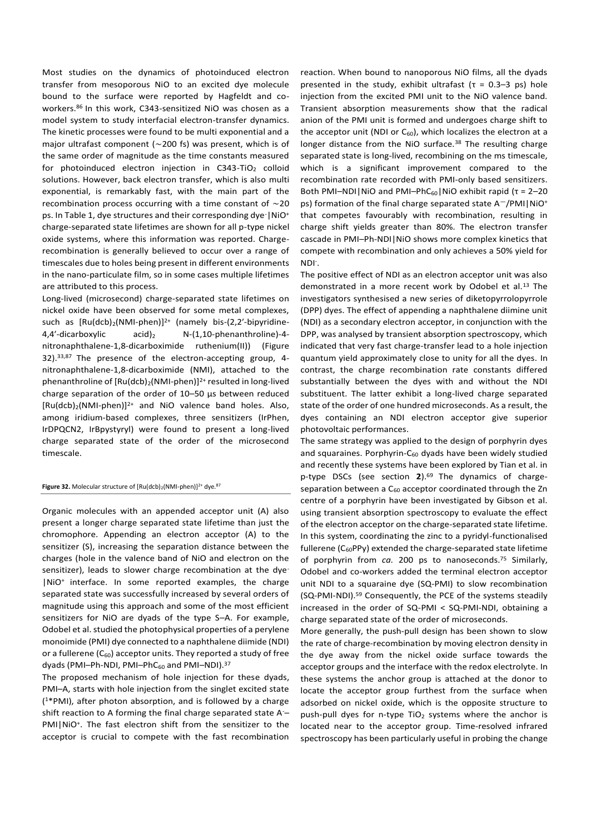Most studies on the dynamics of photoinduced electron transfer from mesoporous NiO to an excited dye molecule bound to the surface were reported by Hagfeldt and coworkers.<sup>86</sup> In this work, C343-sensitized NiO was chosen as a model system to study interfacial electron-transfer dynamics. The kinetic processes were found to be multi exponential and a major ultrafast component (∼200 fs) was present, which is of the same order of magnitude as the time constants measured for photoinduced electron injection in C343-TiO<sub>2</sub> colloid solutions. However, back electron transfer, which is also multi exponential, is remarkably fast, with the main part of the recombination process occurring with a time constant of ∼20 ps. In Table 1, dye structures and their corresponding dye | NiO+ charge-separated state lifetimes are shown for all p-type nickel oxide systems, where this information was reported. Chargerecombination is generally believed to occur over a range of timescales due to holes being present in different environments in the nano-particulate film, so in some cases multiple lifetimes are attributed to this process.

Long-lived (microsecond) charge-separated state lifetimes on nickel oxide have been observed for some metal complexes, such as  $[Ru(dcb)<sub>2</sub>(NMI-phen)]<sup>2+</sup>$  (namely bis-(2,2'-bipyridine-4,4'-dicarboxylic acid)<sub>2</sub> N-(1,10-phenanthroline)-4nitronaphthalene-1,8-dicarboximide ruthenium(II)) (Figure 32). 33,87 The presence of the electron-accepting group, 4 nitronaphthalene-1,8-dicarboximide (NMI), attached to the phenanthroline of [Ru(dcb)<sub>2</sub>(NMI-phen)]<sup>2+</sup> resulted in long-lived charge separation of the order of 10–50 μs between reduced  $[Ru(dcb)<sub>2</sub>(NMI-phen)]<sup>2+</sup>$  and NiO valence band holes. Also, among iridium-based complexes, three sensitizers (IrPhen, IrDPQCN2, IrBpystyryl) were found to present a long-lived charge separated state of the order of the microsecond timescale.

#### Figure 32. Molecular structure of  $[Ru(dcb)_2(NMI\text{-}phen)]^{2+}$  dye.<sup>87</sup>

Organic molecules with an appended acceptor unit (A) also present a longer charge separated state lifetime than just the chromophore. Appending an electron acceptor (A) to the sensitizer (S), increasing the separation distance between the charges (hole in the valence band of NiO and electron on the sensitizer), leads to slower charge recombination at the dye-|NiO<sup>+</sup> interface. In some reported examples, the charge separated state was successfully increased by several orders of magnitude using this approach and some of the most efficient sensitizers for NiO are dyads of the type S–A. For example, Odobel et al. studied the photophysical properties of a perylene monoimide (PMI) dye connected to a naphthalene diimide (NDI) or a fullerene  $(C_{60})$  acceptor units. They reported a study of free dyads (PMI-Ph-NDI, PMI-PhC<sub>60</sub> and PMI-NDI).<sup>37</sup>

The proposed mechanism of hole injection for these dyads, PMI–A, starts with hole injection from the singlet excited state ( <sup>1</sup>\*PMI), after photon absorption, and is followed by a charge shift reaction to A forming the final charge separated state A-– PMI|NiO<sup>+</sup>. The fast electron shift from the sensitizer to the acceptor is crucial to compete with the fast recombination

reaction. When bound to nanoporous NiO films, all the dyads presented in the study, exhibit ultrafast ( $\tau = 0.3-3$  ps) hole injection from the excited PMI unit to the NiO valence band. Transient absorption measurements show that the radical anion of the PMI unit is formed and undergoes charge shift to the acceptor unit (NDI or  $C_{60}$ ), which localizes the electron at a longer distance from the NiO surface.<sup>38</sup> The resulting charge separated state is long-lived, recombining on the ms timescale, which is a significant improvement compared to the recombination rate recorded with PMI-only based sensitizers. Both PMI-NDI | NiO and PMI-PhC $_{60}$ | NiO exhibit rapid ( $\tau = 2-20$ ps) formation of the final charge separated state A-/PMI|NiO<sup>+</sup> that competes favourably with recombination, resulting in charge shift yields greater than 80%. The electron transfer cascade in PMI–Ph-NDI|NiO shows more complex kinetics that compete with recombination and only achieves a 50% yield for NDI- .

The positive effect of NDI as an electron acceptor unit was also demonstrated in a more recent work by Odobel et al.<sup>13</sup> The investigators synthesised a new series of diketopyrrolopyrrole (DPP) dyes. The effect of appending a naphthalene diimine unit (NDI) as a secondary electron acceptor, in conjunction with the DPP, was analysed by transient absorption spectroscopy, which indicated that very fast charge-transfer lead to a hole injection quantum yield approximately close to unity for all the dyes. In contrast, the charge recombination rate constants differed substantially between the dyes with and without the NDI substituent. The latter exhibit a long-lived charge separated state of the order of one hundred microseconds. As a result, the dyes containing an NDI electron acceptor give superior photovoltaic performances.

The same strategy was applied to the design of porphyrin dyes and squaraines. Porphyrin- $C_{60}$  dyads have been widely studied and recently these systems have been explored by Tian et al. in p-type DSCs (see section **2**). <sup>69</sup> The dynamics of chargeseparation between a  $C_{60}$  acceptor coordinated through the Zn centre of a porphyrin have been investigated by Gibson et al. using transient absorption spectroscopy to evaluate the effect of the electron acceptor on the charge-separated state lifetime. In this system, coordinating the zinc to a pyridyl-functionalised fullerene  $(C_{60}PPy)$  extended the charge-separated state lifetime of porphyrin from *ca.* 200 ps to nanoseconds.<sup>75</sup> Similarly, Odobel and co-workers added the terminal electron acceptor unit NDI to a squaraine dye (SQ-PMI) to slow recombination (SQ-PMI-NDI).<sup>59</sup> Consequently, the PCE of the systems steadily increased in the order of SQ-PMI < SQ-PMI-NDI, obtaining a charge separated state of the order of microseconds.

More generally, the push-pull design has been shown to slow the rate of charge-recombination by moving electron density in the dye away from the nickel oxide surface towards the acceptor groups and the interface with the redox electrolyte. In these systems the anchor group is attached at the donor to locate the acceptor group furthest from the surface when adsorbed on nickel oxide, which is the opposite structure to push-pull dyes for n-type  $TiO<sub>2</sub>$  systems where the anchor is located near to the acceptor group. Time-resolved infrared spectroscopy has been particularly useful in probing the change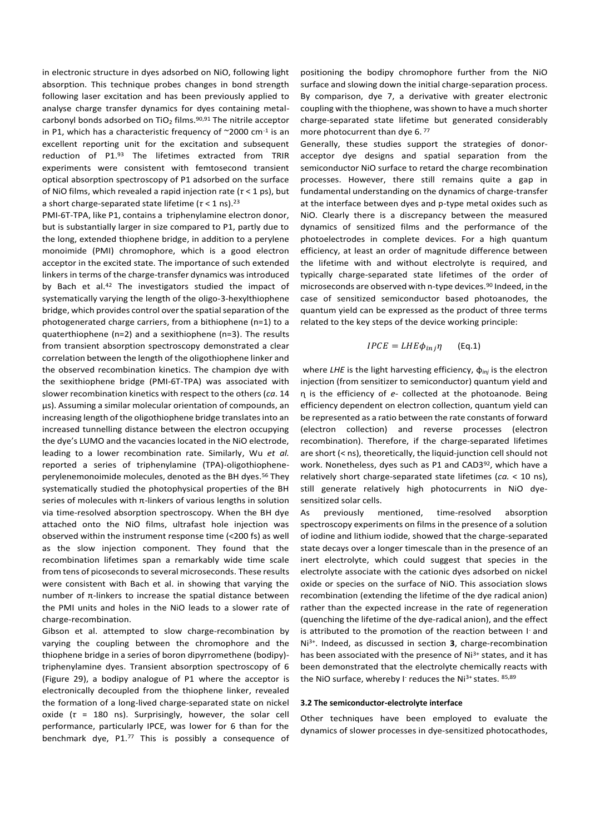in electronic structure in dyes adsorbed on NiO, following light absorption. This technique probes changes in bond strength following laser excitation and has been previously applied to analyse charge transfer dynamics for dyes containing metalcarbonyl bonds adsorbed on  $TiO<sub>2</sub>$  films.<sup>90,91</sup> The nitrile acceptor in P1, which has a characteristic frequency of ~2000 cm<sup>-1</sup> is an excellent reporting unit for the excitation and subsequent reduction of P1. <sup>93</sup> The lifetimes extracted from TRIR experiments were consistent with femtosecond transient optical absorption spectroscopy of P1 adsorbed on the surface of NiO films, which revealed a rapid injection rate (*τ* < 1 ps), but a short charge-separated state lifetime (*τ* < 1 ns).<sup>23</sup>

PMI-6T-TPA, like P1, contains a triphenylamine electron donor, but is substantially larger in size compared to P1, partly due to the long, extended thiophene bridge, in addition to a perylene monoimide (PMI) chromophore, which is a good electron acceptor in the excited state. The importance of such extended linkers in terms of the charge-transfer dynamics was introduced by Bach et al.<sup>42</sup> The investigators studied the impact of systematically varying the length of the oligo-3-hexylthiophene bridge, which provides control over the spatial separation of the photogenerated charge carriers, from a bithiophene (n=1) to a quaterthiophene (n=2) and a sexithiophene (n=3). The results from transient absorption spectroscopy demonstrated a clear correlation between the length of the oligothiophene linker and the observed recombination kinetics. The champion dye with the sexithiophene bridge (PMI-6T-TPA) was associated with slower recombination kinetics with respect to the others (*ca*. 14 µs). Assuming a similar molecular orientation of compounds, an increasing length of the oligothiophene bridge translates into an increased tunnelling distance between the electron occupying the dye's LUMO and the vacancies located in the NiO electrode, leading to a lower recombination rate. Similarly, Wu *et al.* reported a series of triphenylamine (TPA)-oligothiopheneperylenemonoimide molecules, denoted as the BH dyes.<sup>56</sup> They systematically studied the photophysical properties of the BH series of molecules with  $\pi$ -linkers of various lengths in solution via time-resolved absorption spectroscopy. When the BH dye attached onto the NiO films, ultrafast hole injection was observed within the instrument response time (<200 fs) as well as the slow injection component. They found that the recombination lifetimes span a remarkably wide time scale from tens of picoseconds to several microseconds. These results were consistent with Bach et al. in showing that varying the number of π-linkers to increase the spatial distance between the PMI units and holes in the NiO leads to a slower rate of charge-recombination.

Gibson et al. attempted to slow charge-recombination by varying the coupling between the chromophore and the thiophene bridge in a series of boron dipyrromethene (bodipy) triphenylamine dyes. Transient absorption spectroscopy of 6 (Figure 29), a bodipy analogue of P1 where the acceptor is electronically decoupled from the thiophene linker, revealed the formation of a long-lived charge-separated state on nickel oxide (*τ* = 180 ns). Surprisingly, however, the solar cell performance, particularly IPCE, was lower for 6 than for the benchmark dye, P1.<sup>77</sup> This is possibly a consequence of

positioning the bodipy chromophore further from the NiO surface and slowing down the initial charge-separation process. By comparison, dye 7, a derivative with greater electronic coupling with the thiophene, was shown to have a much shorter charge-separated state lifetime but generated considerably more photocurrent than dye 6.77

Generally, these studies support the strategies of donoracceptor dye designs and spatial separation from the semiconductor NiO surface to retard the charge recombination processes. However, there still remains quite a gap in fundamental understanding on the dynamics of charge-transfer at the interface between dyes and p-type metal oxides such as NiO. Clearly there is a discrepancy between the measured dynamics of sensitized films and the performance of the photoelectrodes in complete devices. For a high quantum efficiency, at least an order of magnitude difference between the lifetime with and without electrolyte is required, and typically charge-separated state lifetimes of the order of microseconds are observed with n-type devices.<sup>90</sup> Indeed, in the case of sensitized semiconductor based photoanodes, the quantum yield can be expressed as the product of three terms related to the key steps of the device working principle:

$$
IPCE = LHE\phi_{inj}\eta
$$
 (Eq.1)

where *LHE* is the light harvesting efficiency, ɸ*inj* is the electron injection (from sensitizer to semiconductor) quantum yield and ɳ is the efficiency of *e-* collected at the photoanode. Being efficiency dependent on electron collection, quantum yield can be represented as a ratio between the rate constants of forward (electron collection) and reverse processes (electron recombination). Therefore, if the charge-separated lifetimes are short (< ns), theoretically, the liquid-junction cell should not work. Nonetheless, dyes such as P1 and CAD3<sup>92</sup>, which have a relatively short charge-separated state lifetimes (*ca.* < 10 ns), still generate relatively high photocurrents in NiO dyesensitized solar cells.

As previously mentioned, time-resolved absorption spectroscopy experiments on films in the presence of a solution of iodine and lithium iodide, showed that the charge-separated state decays over a longer timescale than in the presence of an inert electrolyte, which could suggest that species in the electrolyte associate with the cationic dyes adsorbed on nickel oxide or species on the surface of NiO. This association slows recombination (extending the lifetime of the dye radical anion) rather than the expected increase in the rate of regeneration (quenching the lifetime of the dye-radical anion), and the effect is attributed to the promotion of the reaction between I and Ni3+. Indeed, as discussed in section **3**, charge-recombination has been associated with the presence of Ni<sup>3+</sup> states, and it has been demonstrated that the electrolyte chemically reacts with the NiO surface, whereby I<sup>-</sup> reduces the Ni<sup>3+</sup> states. 85,89

#### **3.2 The semiconductor-electrolyte interface**

Other techniques have been employed to evaluate the dynamics of slower processes in dye-sensitized photocathodes,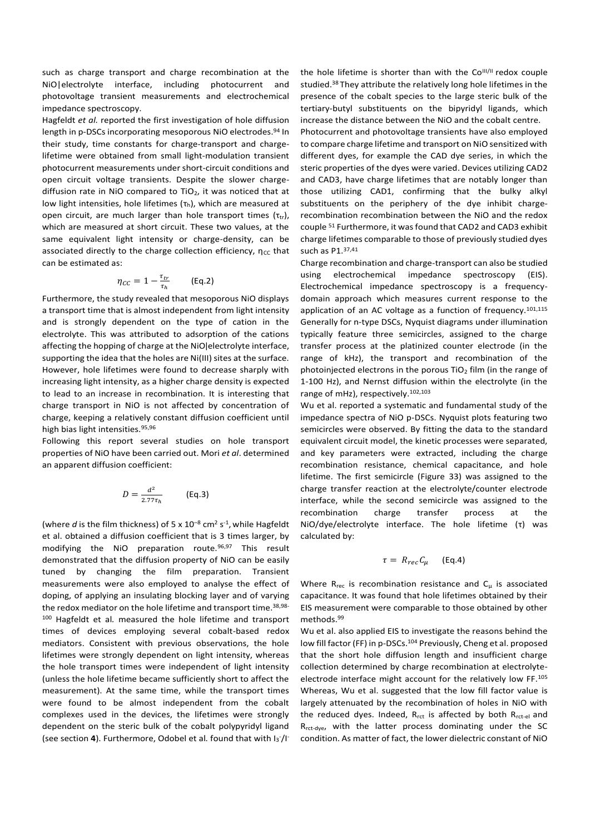such as charge transport and charge recombination at the NiO|electrolyte interface, including photocurrent and photovoltage transient measurements and electrochemical impedance spectroscopy.

Hagfeldt *et al.* reported the first investigation of hole diffusion length in p-DSCs incorporating mesoporous NiO electrodes. 94 In their study, time constants for charge-transport and chargelifetime were obtained from small light-modulation transient photocurrent measurements under short-circuit conditions and open circuit voltage transients. Despite the slower chargediffusion rate in NiO compared to TiO<sub>2</sub>, it was noticed that at low light intensities, hole lifetimes  $(\tau_h)$ , which are measured at open circuit, are much larger than hole transport times  $(\tau_{tr})$ , which are measured at short circuit. These two values, at the same equivalent light intensity or charge-density, can be associated directly to the charge collection efficiency,  $\eta_{CC}$  that can be estimated as:

$$
\eta_{CC} = 1 - \frac{\tau_{tr}}{\tau_h} \qquad \text{(Eq.2)}
$$

Furthermore, the study revealed that mesoporous NiO displays a transport time that is almost independent from light intensity and is strongly dependent on the type of cation in the electrolyte. This was attributed to adsorption of the cations affecting the hopping of charge at the NiO electrolyte interface, supporting the idea that the holes are Ni(III) sites at the surface. However, hole lifetimes were found to decrease sharply with increasing light intensity, as a higher charge density is expected to lead to an increase in recombination. It is interesting that charge transport in NiO is not affected by concentration of charge, keeping a relatively constant diffusion coefficient until high bias light intensities. 95,96

Following this report several studies on hole transport properties of NiO have been carried out. Mori *et al*. determined an apparent diffusion coefficient:

$$
D = \frac{d^2}{2.77\tau_h} \quad \text{(Eq.3)}
$$

(where *d* is the film thickness) of 5 x 10<sup>-8</sup> cm<sup>2</sup> s<sup>-1</sup>, while Hagfeldt et al. obtained a diffusion coefficient that is 3 times larger, by modifying the NiO preparation route.<sup>96,97</sup> This result demonstrated that the diffusion property of NiO can be easily tuned by changing the film preparation. Transient measurements were also employed to analyse the effect of doping, of applying an insulating blocking layer and of varying the redox mediator on the hole lifetime and transport time. 38,98- <sup>100</sup> Hagfeldt et al*.* measured the hole lifetime and transport times of devices employing several cobalt-based redox mediators. Consistent with previous observations, the hole lifetimes were strongly dependent on light intensity, whereas the hole transport times were independent of light intensity (unless the hole lifetime became sufficiently short to affect the measurement). At the same time, while the transport times were found to be almost independent from the cobalt complexes used in the devices, the lifetimes were strongly dependent on the steric bulk of the cobalt polypyridyl ligand (see section 4). Furthermore, Odobel et al. found that with I<sub>3</sub><sup>-</sup>/I<sup>-</sup>

the hole lifetime is shorter than with the  $Co<sup>III/II</sup>$  redox couple studied.<sup>38</sup> They attribute the relatively long hole lifetimes in the presence of the cobalt species to the large steric bulk of the tertiary-butyl substituents on the bipyridyl ligands, which increase the distance between the NiO and the cobalt centre.

Photocurrent and photovoltage transients have also employed to compare charge lifetime and transport on NiO sensitized with different dyes, for example the CAD dye series, in which the steric properties of the dyes were varied. Devices utilizing CAD2 and CAD3, have charge lifetimes that are notably longer than those utilizing CAD1, confirming that the bulky alkyl substituents on the periphery of the dye inhibit chargerecombination recombination between the NiO and the redox couple <sup>51</sup> Furthermore, it was found that CAD2 and CAD3 exhibit charge lifetimes comparable to those of previously studied dyes such as P1.37,41

Charge recombination and charge-transport can also be studied using electrochemical impedance spectroscopy (EIS). Electrochemical impedance spectroscopy is a frequencydomain approach which measures current response to the application of an AC voltage as a function of frequency. $101,115$ Generally for n-type DSCs, Nyquist diagrams under illumination typically feature three semicircles, assigned to the charge transfer process at the platinized counter electrode (in the range of kHz), the transport and recombination of the photoinjected electrons in the porous  $TiO<sub>2</sub>$  film (in the range of 1-100 Hz), and Nernst diffusion within the electrolyte (in the range of mHz), respectively.102,103

Wu et al. reported a systematic and fundamental study of the impedance spectra of NiO p-DSCs. Nyquist plots featuring two semicircles were observed. By fitting the data to the standard equivalent circuit model, the kinetic processes were separated, and key parameters were extracted, including the charge recombination resistance, chemical capacitance, and hole lifetime. The first semicircle (Figure 33) was assigned to the charge transfer reaction at the electrolyte/counter electrode interface, while the second semicircle was assigned to the recombination charge transfer process at the NiO/dye/electrolyte interface. The hole lifetime  $(\tau)$  was calculated by:

$$
\tau = R_{rec} C_{\mu} \quad (\text{Eq.4})
$$

Where  $R_{rec}$  is recombination resistance and  $C_{\mu}$  is associated capacitance. It was found that hole lifetimes obtained by their EIS measurement were comparable to those obtained by other methods.<sup>99</sup>

Wu et al. also applied EIS to investigate the reasons behind the low fill factor (FF) in p-DSCs.<sup>104</sup> Previously, Cheng et al. proposed that the short hole diffusion length and insufficient charge collection determined by charge recombination at electrolyteelectrode interface might account for the relatively low FF.<sup>105</sup> Whereas, Wu et al. suggested that the low fill factor value is largely attenuated by the recombination of holes in NiO with the reduced dyes. Indeed,  $R_{\text{rct}}$  is affected by both  $R_{\text{rct-el}}$  and R<sub>rct-dye</sub>, with the latter process dominating under the SC condition. As matter of fact, the lower dielectric constant of NiO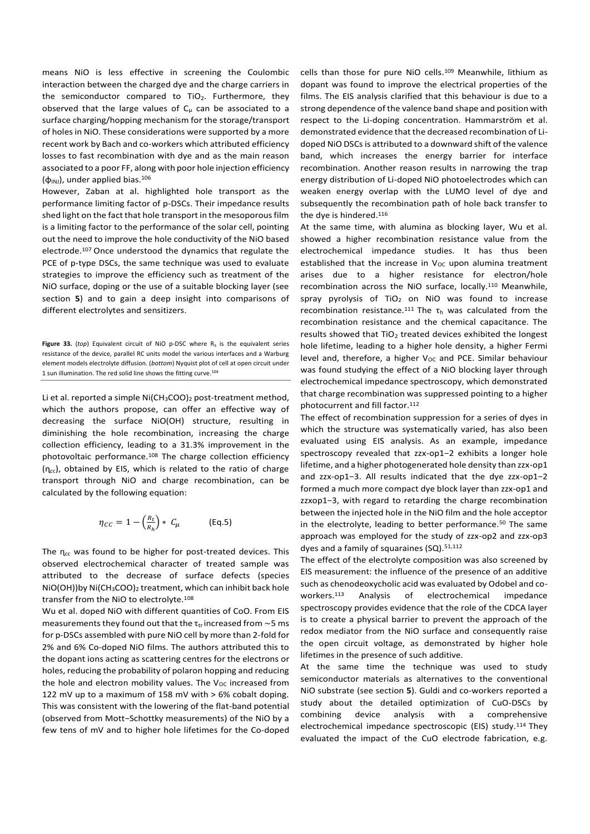means NiO is less effective in screening the Coulombic interaction between the charged dye and the charge carriers in the semiconductor compared to TiO<sub>2</sub>. Furthermore, they observed that the large values of  $C_{\mu}$  can be associated to a surface charging/hopping mechanism for the storage/transport of holes in NiO. These considerations were supported by a more recent work by Bach and co-workers which attributed efficiency losses to fast recombination with dye and as the main reason associated to a poor FF, along with poor hole injection efficiency  $(\varphi_{\text{INJ}})$ , under applied bias.<sup>106</sup>

However, Zaban at al. highlighted hole transport as the performance limiting factor of p-DSCs. Their impedance results shed light on the fact that hole transport in the mesoporous film is a limiting factor to the performance of the solar cell, pointing out the need to improve the hole conductivity of the NiO based electrode.<sup>107</sup> Once understood the dynamics that regulate the PCE of p-type DSCs, the same technique was used to evaluate strategies to improve the efficiency such as treatment of the NiO surface, doping or the use of a suitable blocking layer (see section **5**) and to gain a deep insight into comparisons of different electrolytes and sensitizers.

Figure 33. ( $top$ ) Equivalent circuit of NiO p-DSC where  $R_S$  is the equivalent series resistance of the device, parallel RC units model the various interfaces and a Warburg element models electrolyte diffusion. (*bottom*) Nyquist plot of cell at open circuit under 1 sun illumination. The red solid line shows the fitting curve.<sup>104</sup>

Li et al. reported a simple  $Ni(CH_3COO)_2$  post-treatment method, which the authors propose, can offer an effective way of decreasing the surface NiO(OH) structure, resulting in diminishing the hole recombination, increasing the charge collection efficiency, leading to a 31.3% improvement in the photovoltaic performance.<sup>108</sup> The charge collection efficiency  $(n_{cc})$ , obtained by EIS, which is related to the ratio of charge transport through NiO and charge recombination, can be calculated by the following equation:

$$
\eta_{CC} = 1 - \left(\frac{R_t}{R_h}\right) * C_\mu \quad \text{(Eq.5)}
$$

The  $\eta_{cc}$  was found to be higher for post-treated devices. This observed electrochemical character of treated sample was attributed to the decrease of surface defects (species NiO(OH))by Ni(CH3COO)<sup>2</sup> treatment, which can inhibit back hole transfer from the NiO to electrolyte.<sup>108</sup>

Wu et al. doped NiO with different quantities of CoO. From EIS measurements they found out that the  $\tau_{\rm tr}$  increased from ~5 ms for p-DSCs assembled with pure NiO cell by more than 2-fold for 2% and 6% Co-doped NiO films. The authors attributed this to the dopant ions acting as scattering centres for the electrons or holes, reducing the probability of polaron hopping and reducing the hole and electron mobility values. The  $V_{OC}$  increased from 122 mV up to a maximum of 158 mV with > 6% cobalt doping. This was consistent with the lowering of the flat-band potential (observed from Mott−Schottky measurements) of the NiO by a few tens of mV and to higher hole lifetimes for the Co-doped

cells than those for pure NiO cells.<sup>109</sup> Meanwhile, lithium as dopant was found to improve the electrical properties of the films. The EIS analysis clarified that this behaviour is due to a strong dependence of the valence band shape and position with respect to the Li-doping concentration. Hammarström et al. demonstrated evidence that the decreased recombination of Lidoped NiO DSCs is attributed to a downward shift of the valence band, which increases the energy barrier for interface recombination. Another reason results in narrowing the trap energy distribution of Li-doped NiO photoelectrodes which can weaken energy overlap with the LUMO level of dye and subsequently the recombination path of hole back transfer to the dye is hindered.<sup>116</sup>

At the same time, with alumina as blocking layer, Wu et al. showed a higher recombination resistance value from the electrochemical impedance studies. It has thus been established that the increase in  $V_{OC}$  upon alumina treatment arises due to a higher resistance for electron/hole recombination across the NiO surface, locally.<sup>110</sup> Meanwhile, spray pyrolysis of  $TiO<sub>2</sub>$  on NiO was found to increase recombination resistance.<sup>111</sup> The  $\tau_h$  was calculated from the recombination resistance and the chemical capacitance. The results showed that TiO<sub>2</sub> treated devices exhibited the longest hole lifetime, leading to a higher hole density, a higher Fermi level and, therefore, a higher  $V_{OC}$  and PCE. Similar behaviour was found studying the effect of a NiO blocking layer through electrochemical impedance spectroscopy, which demonstrated that charge recombination was suppressed pointing to a higher photocurrent and fill factor.<sup>112</sup>

The effect of recombination suppression for a series of dyes in which the structure was systematically varied, has also been evaluated using EIS analysis. As an example, impedance spectroscopy revealed that zzx-op1−2 exhibits a longer hole lifetime, and a higher photogenerated hole density than zzx-op1 and zzx-op1−3. All results indicated that the dye zzx-op1−2 formed a much more compact dye block layer than zzx-op1 and zzxop1−3, with regard to retarding the charge recombination between the injected hole in the NiO film and the hole acceptor in the electrolyte, leading to better performance.<sup>50</sup> The same approach was employed for the study of zzx-op2 and zzx-op3 dyes and a family of squaraines (SQ).<sup>51,112</sup>

The effect of the electrolyte composition was also screened by EIS measurement: the influence of the presence of an additive such as chenodeoxycholic acid was evaluated by Odobel and coworkers.<sup>113</sup> Analysis of electrochemical impedance spectroscopy provides evidence that the role of the CDCA layer is to create a physical barrier to prevent the approach of the redox mediator from the NiO surface and consequently raise the open circuit voltage, as demonstrated by higher hole lifetimes in the presence of such additive.

At the same time the technique was used to study semiconductor materials as alternatives to the conventional NiO substrate (see section **5**). Guldi and co-workers reported a study about the detailed optimization of CuO-DSCs by combining device analysis with a comprehensive electrochemical impedance spectroscopic (EIS) study.<sup>114</sup> They evaluated the impact of the CuO electrode fabrication, e.g.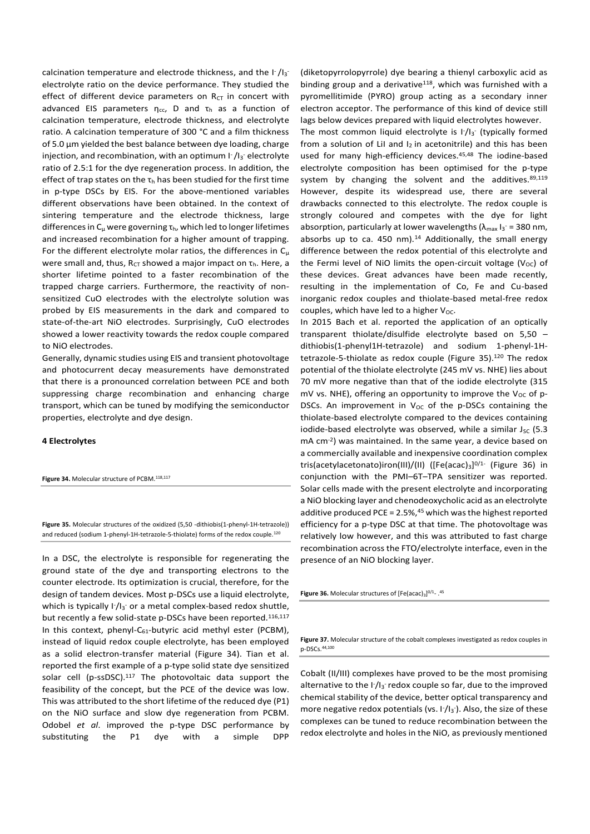calcination temperature and electrode thickness, and the  $\lceil \cdot / \rceil_3$ electrolyte ratio on the device performance. They studied the effect of different device parameters on  $R_{CT}$  in concert with advanced EIS parameters  $\eta_{cc}$ , D and  $\tau_h$  as a function of calcination temperature, electrode thickness, and electrolyte ratio. A calcination temperature of 300 °C and a film thickness of 5.0 µm yielded the best balance between dye loading, charge injection, and recombination, with an optimum I<sup>-</sup>/I<sub>3</sub><sup>-</sup> electrolyte ratio of 2.5:1 for the dye regeneration process. In addition, the effect of trap states on the  $\tau_h$  has been studied for the first time in p-type DSCs by EIS. For the above-mentioned variables different observations have been obtained. In the context of sintering temperature and the electrode thickness, large differences in  $C_{\mu}$  were governing  $\tau_{h}$ , which led to longer lifetimes and increased recombination for a higher amount of trapping. For the different electrolyte molar ratios, the differences in  $C_{\mu}$ were small and, thus,  $R_{CT}$  showed a major impact on  $\tau_h$ . Here, a shorter lifetime pointed to a faster recombination of the trapped charge carriers. Furthermore, the reactivity of nonsensitized CuO electrodes with the electrolyte solution was probed by EIS measurements in the dark and compared to state-of-the-art NiO electrodes. Surprisingly, CuO electrodes showed a lower reactivity towards the redox couple compared to NiO electrodes.

Generally, dynamic studies using EIS and transient photovoltage and photocurrent decay measurements have demonstrated that there is a pronounced correlation between PCE and both suppressing charge recombination and enhancing charge transport, which can be tuned by modifying the semiconductor properties, electrolyte and dye design.

## **4 Electrolytes**

Figure 34. Molecular structure of PCBM.<sup>118,117</sup>

**Figure 35.** Molecular structures of the oxidized (5,50 -dithiobis(1-phenyl-1H-tetrazole)) and reduced (sodium 1-phenyl-1H-tetrazole-5-thiolate) forms of the redox couple.<sup>120</sup>

In a DSC, the electrolyte is responsible for regenerating the ground state of the dye and transporting electrons to the counter electrode. Its optimization is crucial, therefore, for the design of tandem devices. Most p-DSCs use a liquid electrolyte, which is typically  $I^2/I_3$  or a metal complex-based redox shuttle, but recently a few solid-state p-DSCs have been reported.116,117 In this context, phenyl-C $_{61}$ -butyric acid methyl ester (PCBM), instead of liquid redox couple electrolyte, has been employed as a solid electron-transfer material (Figure 34). Tian et al. reported the first example of a p-type solid state dye sensitized solar cell (p-ssDSC).<sup>117</sup> The photovoltaic data support the feasibility of the concept, but the PCE of the device was low. This was attributed to the short lifetime of the reduced dye (P1) on the NiO surface and slow dye regeneration from PCBM. Odobel *et al*. improved the p-type DSC performance by substituting the P1 dye with a simple DPP

(diketopyrrolopyrrole) dye bearing a thienyl carboxylic acid as binding group and a derivative<sup>118</sup>, which was furnished with a pyromellitimide (PYRO) group acting as a secondary inner electron acceptor. The performance of this kind of device still lags below devices prepared with liquid electrolytes however.

The most common liquid electrolyte is  $1/13$ <sup>-</sup> (typically formed from a solution of LiI and  $I_2$  in acetonitrile) and this has been used for many high-efficiency devices.<sup>45,48</sup> The iodine-based electrolyte composition has been optimised for the p-type system by changing the solvent and the additives. $89,119$ However, despite its widespread use, there are several drawbacks connected to this electrolyte. The redox couple is strongly coloured and competes with the dye for light absorption, particularly at lower wavelengths  $(\lambda_{\text{max}})_{3}$  = 380 nm, absorbs up to ca. 450 nm). $14$  Additionally, the small energy difference between the redox potential of this electrolyte and the Fermi level of NiO limits the open-circuit voltage ( $V_{\text{OC}}$ ) of these devices. Great advances have been made recently, resulting in the implementation of Co, Fe and Cu-based inorganic redox couples and thiolate-based metal-free redox couples, which have led to a higher  $V_{OC}$ .

In 2015 Bach et al. reported the application of an optically transparent thiolate/disulfide electrolyte based on 5,50 – dithiobis(1-phenyl1H-tetrazole) and sodium 1-phenyl-1Htetrazole-5-thiolate as redox couple (Figure 35). <sup>120</sup> The redox potential of the thiolate electrolyte (245 mV vs. NHE) lies about 70 mV more negative than that of the iodide electrolyte (315 mV vs. NHE), offering an opportunity to improve the  $V_{OC}$  of p-DSCs. An improvement in  $V_{OC}$  of the p-DSCs containing the thiolate-based electrolyte compared to the devices containing iodide-based electrolyte was observed, while a similar  $J_{SC}$  (5.3 mA cm-2 ) was maintained. In the same year, a device based on a commercially available and inexpensive coordination complex tris(acetylacetonato)iron(III)/(II) ([Fe(acac)<sub>3</sub>]<sup>0/1-</sup> (Figure 36) in conjunction with the PMI–6T–TPA sensitizer was reported. Solar cells made with the present electrolyte and incorporating a NiO blocking layer and chenodeoxycholic acid as an electrolyte additive produced PCE = 2.5%, <sup>45</sup> which was the highest reported efficiency for a p-type DSC at that time. The photovoltage was relatively low however, and this was attributed to fast charge recombination across the FTO/electrolyte interface, even in the presence of an NiO blocking layer.

**Figure 36.** Molecular structures of  $[Fe(acac)<sub>3</sub>]^{0/1}$ . 45

**Figure 37.** Molecular structure of the cobalt complexes investigated as redox couples in p-DSCs.44,100

Cobalt (II/III) complexes have proved to be the most promising alternative to the I<sup>-</sup>/I<sub>3</sub> redox couple so far, due to the improved chemical stability of the device, better optical transparency and more negative redox potentials (vs. I<sup>-</sup>/I<sub>3</sub><sup>-</sup>). Also, the size of these complexes can be tuned to reduce recombination between the redox electrolyte and holes in the NiO, as previously mentioned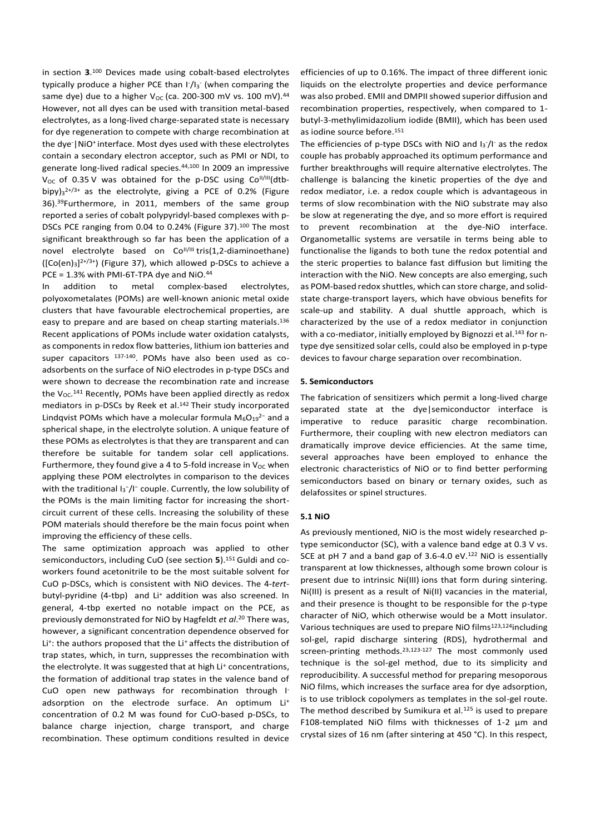in section **3**. <sup>100</sup> Devices made using cobalt-based electrolytes typically produce a higher PCE than I<sup>-</sup>/I<sub>3</sub><sup>-</sup> (when comparing the same dye) due to a higher V<sub>oc</sub> (ca. 200-300 mV vs. 100 mV).<sup>44</sup> However, not all dyes can be used with transition metal-based electrolytes, as a long-lived charge-separated state is necessary for dye regeneration to compete with charge recombination at the dye<sup>-</sup>|NiO<sup>+</sup> interface. Most dyes used with these electrolytes contain a secondary electron acceptor, such as PMI or NDI, to generate long-lived radical species.44,100 In 2009 an impressive  $V_{OC}$  of 0.35 $V$  was obtained for the p-DSC using  $Co<sup>II/III</sup>(dtb$ bipy) $3^{2+/3+}$  as the electrolyte, giving a PCE of 0.2% (Figure 36).<sup>39</sup>Furthermore, in 2011, members of the same group reported a series of cobalt polypyridyl-based complexes with p-DSCs PCE ranging from 0.04 to 0.24% (Figure 37).<sup>100</sup> The most significant breakthrough so far has been the application of a novel electrolyte based on Co<sup>II/III</sup> tris(1,2-diaminoethane)  $($ [Co $($ en $)$ <sub>3</sub>]<sup>2+/3+</sup>) (Figure 37), which allowed p-DSCs to achieve a PCE = 1.3% with PMI-6T-TPA dye and NiO.<sup>44</sup>

In addition to metal complex-based electrolytes, polyoxometalates (POMs) are well-known anionic metal oxide clusters that have favourable electrochemical properties, are easy to prepare and are based on cheap starting materials. 136 Recent applications of POMs include water oxidation catalysts, as components in redox flow batteries, lithium ion batteries and super capacitors  $137-140$ . POMs have also been used as coadsorbents on the surface of NiO electrodes in p-type DSCs and were shown to decrease the recombination rate and increase the  $V_{OC}.$ <sup>141</sup> Recently, POMs have been applied directly as redox mediators in p-DSCs by Reek et al. <sup>142</sup> Their study incorporated Lindqvist POMs which have a molecular formula M<sub>6</sub>O<sub>19</sub><sup>2−</sup> and a spherical shape, in the electrolyte solution. A unique feature of these POMs as electrolytes is that they are transparent and can therefore be suitable for tandem solar cell applications. Furthermore, they found give a 4 to 5-fold increase in  $V_{OC}$  when applying these POM electrolytes in comparison to the devices with the traditional I<sub>3</sub><sup>-</sup>/I<sup>-</sup> couple. Currently, the low solubility of the POMs is the main limiting factor for increasing the shortcircuit current of these cells. Increasing the solubility of these POM materials should therefore be the main focus point when improving the efficiency of these cells.

The same optimization approach was applied to other semiconductors, including CuO (see section **5**).<sup>151</sup> Guldi and coworkers found acetonitrile to be the most suitable solvent for CuO p-DSCs, which is consistent with NiO devices. The 4-*tert*butyl-pyridine (4-tbp) and Li<sup>+</sup> addition was also screened. In general, 4-tbp exerted no notable impact on the PCE, as previously demonstrated for NiO by Hagfeldt *et al*. <sup>20</sup> There was, however, a significant concentration dependence observed for Li<sup>+</sup>: the authors proposed that the Li<sup>+</sup> affects the distribution of trap states, which, in turn, suppresses the recombination with the electrolyte. It was suggested that at high Li<sup>+</sup> concentrations, the formation of additional trap states in the valence band of CuO open new pathways for recombination through Iadsorption on the electrode surface. An optimum Li<sup>+</sup> concentration of 0.2 M was found for CuO-based p-DSCs, to balance charge injection, charge transport, and charge recombination. These optimum conditions resulted in device

efficiencies of up to 0.16%. The impact of three different ionic liquids on the electrolyte properties and device performance was also probed. EMII and DMPII showed superior diffusion and recombination properties, respectively, when compared to 1 butyl-3-methylimidazolium iodide (BMII), which has been used as iodine source before.<sup>151</sup>

The efficiencies of p-type DSCs with NiO and  $I_3/I^2$  as the redox couple has probably approached its optimum performance and further breakthroughs will require alternative electrolytes. The challenge is balancing the kinetic properties of the dye and redox mediator, i.e. a redox couple which is advantageous in terms of slow recombination with the NiO substrate may also be slow at regenerating the dye, and so more effort is required to prevent recombination at the dye-NiO interface. Organometallic systems are versatile in terms being able to functionalise the ligands to both tune the redox potential and the steric properties to balance fast diffusion but limiting the interaction with the NiO. New concepts are also emerging, such as POM-based redox shuttles, which can store charge, and solidstate charge-transport layers, which have obvious benefits for scale-up and stability. A dual shuttle approach, which is characterized by the use of a redox mediator in conjunction with a co-mediator, initially employed by Bignozzi et al.<sup>143</sup> for ntype dye sensitized solar cells, could also be employed in p-type devices to favour charge separation over recombination.

## **5. Semiconductors**

The fabrication of sensitizers which permit a long-lived charge separated state at the dye|semiconductor interface is imperative to reduce parasitic charge recombination. Furthermore, their coupling with new electron mediators can dramatically improve device efficiencies. At the same time, several approaches have been employed to enhance the electronic characteristics of NiO or to find better performing semiconductors based on binary or ternary oxides, such as delafossites or spinel structures.

## **5.1 NiO**

As previously mentioned, NiO is the most widely researched ptype semiconductor (SC), with a valence band edge at 0.3 V vs. SCE at pH 7 and a band gap of 3.6-4.0 eV.<sup>122</sup> NiO is essentially transparent at low thicknesses, although some brown colour is present due to intrinsic Ni(III) ions that form during sintering. Ni(III) is present as a result of Ni(II) vacancies in the material, and their presence is thought to be responsible for the p-type character of NiO, which otherwise would be a Mott insulator. Various techniques are used to prepare NiO films<sup>123,124</sup>including sol-gel, rapid discharge sintering (RDS), hydrothermal and screen-printing methods.<sup>23,123-127</sup> The most commonly used technique is the sol-gel method, due to its simplicity and reproducibility. A successful method for preparing mesoporous NiO films, which increases the surface area for dye adsorption, is to use triblock copolymers as templates in the sol-gel route. The method described by Sumikura et al*.* 125 is used to prepare F108-templated NiO films with thicknesses of 1-2 µm and crystal sizes of 16 nm (after sintering at 450 °C). In this respect,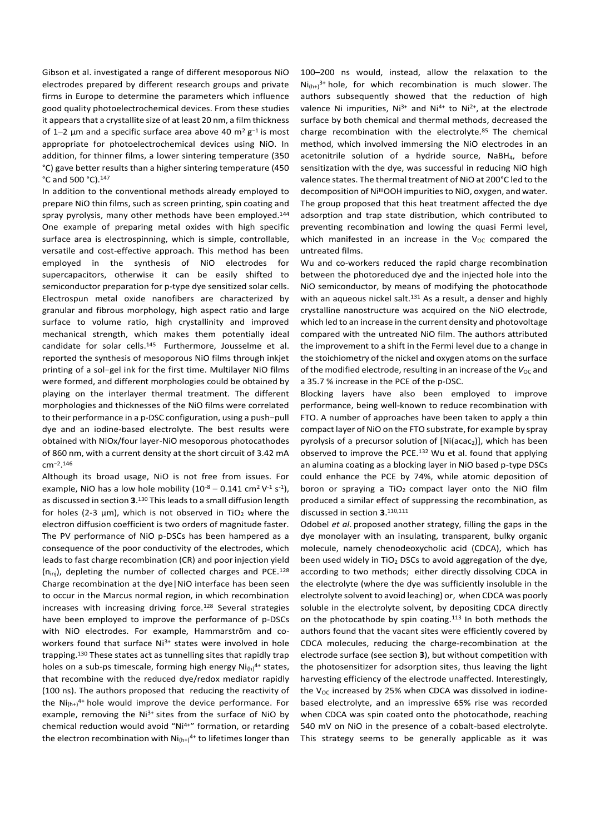Gibson et al. investigated a range of different mesoporous NiO electrodes prepared by different research groups and private firms in Europe to determine the parameters which influence good quality photoelectrochemical devices. From these studies it appears that a crystallite size of at least 20 nm, a film thickness of 1–2  $\mu$ m and a specific surface area above 40 m<sup>2</sup> g<sup>-1</sup> is most appropriate for photoelectrochemical devices using NiO. In addition, for thinner films, a lower sintering temperature (350 °C) gave better results than a higher sintering temperature (450 °C and 500 °C).<sup>147</sup>

In addition to the conventional methods already employed to prepare NiO thin films, such as screen printing, spin coating and spray pyrolysis, many other methods have been employed.<sup>144</sup> One example of preparing metal oxides with high specific surface area is electrospinning, which is simple, controllable, versatile and cost-effective approach. This method has been employed in the synthesis of NiO electrodes for supercapacitors, otherwise it can be easily shifted to semiconductor preparation for p-type dye sensitized solar cells. Electrospun metal oxide nanofibers are characterized by granular and fibrous morphology, high aspect ratio and large surface to volume ratio, high crystallinity and improved mechanical strength, which makes them potentially ideal candidate for solar cells. <sup>145</sup> Furthermore, Jousselme et al. reported the synthesis of mesoporous NiO films through inkjet printing of a sol−gel ink for the first time. Multilayer NiO films were formed, and different morphologies could be obtained by playing on the interlayer thermal treatment. The different morphologies and thicknesses of the NiO films were correlated to their performance in a p-DSC configuration, using a push−pull dye and an iodine-based electrolyte. The best results were obtained with NiOx/four layer-NiO mesoporous photocathodes of 860 nm, with a current density at the short circuit of 3.42 mA cm<sup>−</sup><sup>2</sup> . 146

Although its broad usage, NiO is not free from issues. For example, NiO has a low hole mobility  $(10^{-8} - 0.141 \text{ cm}^2 \text{ V}^{-1} \text{ s}^{-1})$ , as discussed in section **3**. <sup>130</sup> This leads to a small diffusion length for holes (2-3  $\mu$ m), which is not observed in TiO<sub>2</sub> where the electron diffusion coefficient is two orders of magnitude faster. The PV performance of NiO p-DSCs has been hampered as a consequence of the poor conductivity of the electrodes, which leads to fast charge recombination (CR) and poor injection yield  $(n_{\text{ini}})$ , depleting the number of collected charges and PCE.<sup>128</sup> Charge recombination at the dye|NiO interface has been seen to occur in the Marcus normal region, in which recombination increases with increasing driving force.<sup>128</sup> Several strategies have been employed to improve the performance of p-DSCs with NiO electrodes. For example, Hammarström and coworkers found that surface Ni<sup>3+</sup> states were involved in hole trapping.<sup>130</sup> These states act as tunnelling sites that rapidly trap holes on a sub-ps timescale, forming high energy  $Ni_{(h)}^{4+}$  states, that recombine with the reduced dye/redox mediator rapidly (100 ns). The authors proposed that reducing the reactivity of the  $Ni_{(h+)}^{4+}$  hole would improve the device performance. For example, removing the Ni<sup>3+</sup> sites from the surface of NiO by chemical reduction would avoid "Ni<sup>4+"</sup> formation, or retarding the electron recombination with  $Ni<sub>(h+)</sub><sup>4+</sup>$  to lifetimes longer than 100–200 ns would, instead, allow the relaxation to the  $Ni(h+)^{3+}$  hole, for which recombination is much slower. The authors subsequently showed that the reduction of high valence Ni impurities,  $Ni^{3+}$  and  $Ni^{4+}$  to  $Ni^{2+}$ , at the electrode surface by both chemical and thermal methods, decreased the charge recombination with the electrolyte.<sup>85</sup> The chemical method, which involved immersing the NiO electrodes in an acetonitrile solution of a hydride source, NaBH<sub>4</sub>, before sensitization with the dye, was successful in reducing NiO high valence states. The thermal treatment of NiO at 200°C led to the decomposition of Ni<sup>III</sup>OOH impurities to NiO, oxygen, and water. The group proposed that this heat treatment affected the dye adsorption and trap state distribution, which contributed to preventing recombination and lowing the quasi Fermi level, which manifested in an increase in the  $V_{OC}$  compared the untreated films.

Wu and co-workers reduced the rapid charge recombination between the photoreduced dye and the injected hole into the NiO semiconductor, by means of modifying the photocathode with an aqueous nickel salt.<sup>131</sup> As a result, a denser and highly crystalline nanostructure was acquired on the NiO electrode, which led to an increase in the current density and photovoltage compared with the untreated NiO film. The authors attributed the improvement to a shift in the Fermi level due to a change in the stoichiometry of the nickel and oxygen atoms on the surface of the modified electrode, resulting in an increase of the  $V_{OC}$  and a 35.7 % increase in the PCE of the p-DSC.

Blocking layers have also been employed to improve performance, being well-known to reduce recombination with FTO. A number of approaches have been taken to apply a thin compact layer of NiO on the FTO substrate, for example by spray pyrolysis of a precursor solution of  $[Ni(\text{ac}2)]$ , which has been observed to improve the PCE. <sup>132</sup> Wu et al. found that applying an alumina coating as a blocking layer in NiO based p-type DSCs could enhance the PCE by 74%, while atomic deposition of boron or spraying a  $TiO<sub>2</sub>$  compact layer onto the NiO film produced a similar effect of suppressing the recombination, as discussed in section **3**. 110,111

Odobel *et al*. proposed another strategy, filling the gaps in the dye monolayer with an insulating, transparent, bulky organic molecule, namely chenodeoxycholic acid (CDCA), which has been used widely in  $TiO<sub>2</sub>$  DSCs to avoid aggregation of the dye, according to two methods; either directly dissolving CDCA in the electrolyte (where the dye was sufficiently insoluble in the electrolyte solvent to avoid leaching) or, when CDCA was poorly soluble in the electrolyte solvent, by depositing CDCA directly on the photocathode by spin coating.<sup>113</sup> In both methods the authors found that the vacant sites were efficiently covered by CDCA molecules, reducing the charge-recombination at the electrode surface (see section **3**), but without competition with the photosensitizer for adsorption sites, thus leaving the light harvesting efficiency of the electrode unaffected. Interestingly, the  $V_{OC}$  increased by 25% when CDCA was dissolved in iodinebased electrolyte, and an impressive 65% rise was recorded when CDCA was spin coated onto the photocathode, reaching 540 mV on NiO in the presence of a cobalt-based electrolyte. This strategy seems to be generally applicable as it was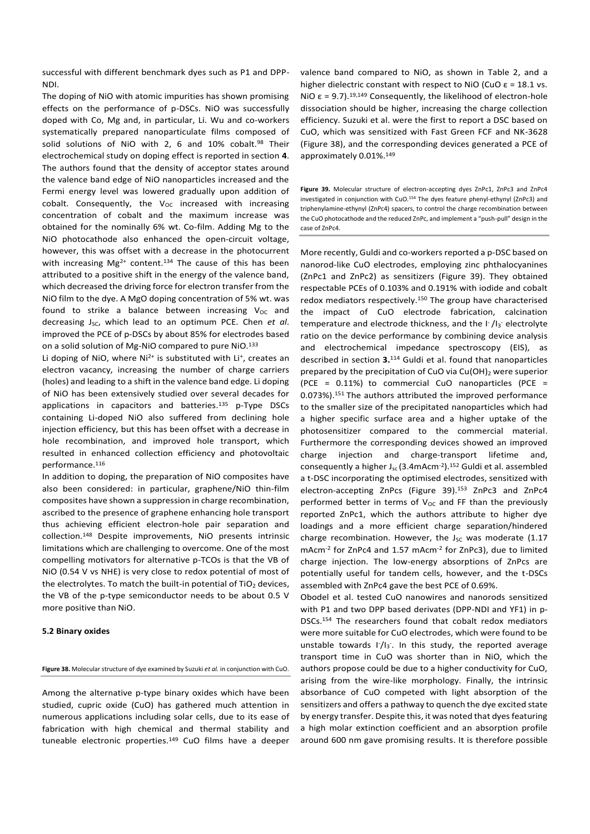successful with different benchmark dyes such as P1 and DPP-NDI.

The doping of NiO with atomic impurities has shown promising effects on the performance of p-DSCs. NiO was successfully doped with Co, Mg and, in particular, Li. Wu and co-workers systematically prepared nanoparticulate films composed of solid solutions of NiO with 2, 6 and 10% cobalt.<sup>98</sup> Their electrochemical study on doping effect is reported in section **4**. The authors found that the density of acceptor states around the valence band edge of NiO nanoparticles increased and the Fermi energy level was lowered gradually upon addition of cobalt. Consequently, the  $V_{OC}$  increased with increasing concentration of cobalt and the maximum increase was obtained for the nominally 6% wt. Co-film. Adding Mg to the NiO photocathode also enhanced the open-circuit voltage, however, this was offset with a decrease in the photocurrent with increasing  $Mg^{2+}$  content.<sup>134</sup> The cause of this has been attributed to a positive shift in the energy of the valence band, which decreased the driving force for electron transfer from the NiO film to the dye. A MgO doping concentration of 5% wt. was found to strike a balance between increasing  $V_{OC}$  and decreasing J<sub>SC</sub>, which lead to an optimum PCE. Chen *et al.* improved the PCE of p-DSCs by about 85% for electrodes based on a solid solution of Mg-NiO compared to pure NiO.<sup>133</sup>

Li doping of NiO, where  $Ni^{2+}$  is substituted with Li<sup>+</sup>, creates an electron vacancy, increasing the number of charge carriers (holes) and leading to a shift in the valence band edge. Li doping of NiO has been extensively studied over several decades for applications in capacitors and batteries.<sup>135</sup> p-Type DSCs containing Li-doped NiO also suffered from declining hole injection efficiency, but this has been offset with a decrease in hole recombination, and improved hole transport, which resulted in enhanced collection efficiency and photovoltaic performance.<sup>116</sup>

In addition to doping, the preparation of NiO composites have also been considered: in particular, graphene/NiO thin-film composites have shown a suppression in charge recombination, ascribed to the presence of graphene enhancing hole transport thus achieving efficient electron-hole pair separation and collection.<sup>148</sup> Despite improvements, NiO presents intrinsic limitations which are challenging to overcome. One of the most compelling motivators for alternative p-TCOs is that the VB of NiO (0.54 V vs NHE) is very close to redox potential of most of the electrolytes. To match the built-in potential of  $TiO<sub>2</sub>$  devices, the VB of the p-type semiconductor needs to be about 0.5 V more positive than NiO.

## **5.2 Binary oxides**

#### **Figure 38.** Molecular structure of dye examined by Suzuki *et al.* in conjunction with CuO.

Among the alternative p-type binary oxides which have been studied, cupric oxide (CuO) has gathered much attention in numerous applications including solar cells, due to its ease of fabrication with high chemical and thermal stability and tuneable electronic properties.<sup>149</sup> CuO films have a deeper valence band compared to NiO, as shown in Table 2, and a higher dielectric constant with respect to NiO (CuO  $\varepsilon$  = 18.1 vs. NiO ε = 9.7).<sup>19,149</sup> Consequently, the likelihood of electron-hole dissociation should be higher, increasing the charge collection efficiency. Suzuki et al. were the first to report a DSC based on CuO, which was sensitized with Fast Green FCF and NK-3628 (Figure 38), and the corresponding devices generated a PCE of approximately 0.01%.<sup>149</sup>

**Figure 39.** Molecular structure of electron-accepting dyes ZnPc1, ZnPc3 and ZnPc4 investigated in conjunction with CuO.<sup>154</sup> The dyes feature phenyl-ethynyl (ZnPc3) and triphenylamine-ethynyl (ZnPc4) spacers, to control the charge recombination between the CuO photocathode and the reduced ZnPc, and implement a "push-pull" design in the case of ZnPc4.

More recently, Guldi and co-workers reported a p-DSC based on nanorod-like CuO electrodes, employing zinc phthalocyanines (ZnPc1 and ZnPc2) as sensitizers (Figure 39). They obtained respectable PCEs of 0.103% and 0.191% with iodide and cobalt redox mediators respectively.<sup>150</sup> The group have characterised the impact of CuO electrode fabrication, calcination temperature and electrode thickness, and the  $\lceil \cdot / \rceil_3$  electrolyte ratio on the device performance by combining device analysis and electrochemical impedance spectroscopy (EIS), as described in section **3.**<sup>114</sup> Guldi et al. found that nanoparticles prepared by the precipitation of CuO via Cu(OH)<sub>2</sub> were superior (PCE = 0.11%) to commercial CuO nanoparticles (PCE = 0.073%). <sup>151</sup> The authors attributed the improved performance to the smaller size of the precipitated nanoparticles which had a higher specific surface area and a higher uptake of the photosensitizer compared to the commercial material. Furthermore the corresponding devices showed an improved charge injection and charge-transport lifetime and, consequently a higher  $J_{sc}$  (3.4mAcm<sup>-2</sup>).<sup>152</sup> Guldi et al. assembled a t-DSC incorporating the optimised electrodes, sensitized with electron-accepting ZnPcs (Figure 39).<sup>153</sup> ZnPc3 and ZnPc4 performed better in terms of  $V_{OC}$  and FF than the previously reported ZnPc1, which the authors attribute to higher dye loadings and a more efficient charge separation/hindered charge recombination. However, the  $J_{SC}$  was moderate (1.17 mAcm<sup>-2</sup> for ZnPc4 and 1.57 mAcm<sup>-2</sup> for ZnPc3), due to limited charge injection. The low-energy absorptions of ZnPcs are potentially useful for tandem cells, however, and the t-DSCs assembled with ZnPc4 gave the best PCE of 0.69%.

Obodel et al. tested CuO nanowires and nanorods sensitized with P1 and two DPP based derivates (DPP-NDI and YF1) in p-DSCs. <sup>154</sup> The researchers found that cobalt redox mediators were more suitable for CuO electrodes, which were found to be unstable towards I<sup>-</sup>/I<sub>3</sub><sup>-</sup>. In this study, the reported average transport time in CuO was shorter than in NiO, which the authors propose could be due to a higher conductivity for CuO, arising from the wire-like morphology. Finally, the intrinsic absorbance of CuO competed with light absorption of the sensitizers and offers a pathway to quench the dye excited state by energy transfer. Despite this, it was noted that dyes featuring a high molar extinction coefficient and an absorption profile around 600 nm gave promising results. It is therefore possible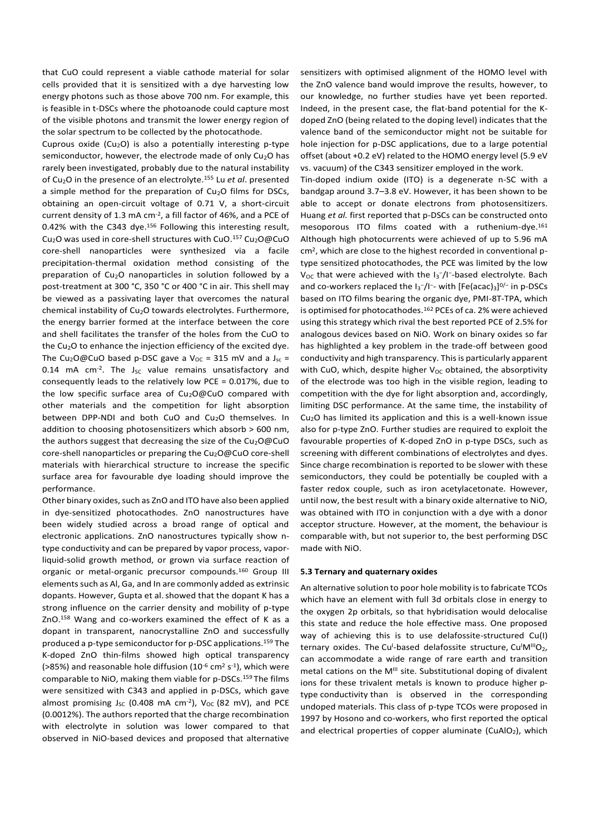that CuO could represent a viable cathode material for solar cells provided that it is sensitized with a dye harvesting low energy photons such as those above 700 nm. For example, this is feasible in t-DSCs where the photoanode could capture most of the visible photons and transmit the lower energy region of the solar spectrum to be collected by the photocathode.

Cuprous oxide (Cu<sub>2</sub>O) is also a potentially interesting p-type semiconductor, however, the electrode made of only Cu<sub>2</sub>O has rarely been investigated, probably due to the natural instability of Cu2O in the presence of an electrolyte.<sup>155</sup> Lu *et al*. presented a simple method for the preparation of  $Cu<sub>2</sub>O$  films for DSCs, obtaining an open-circuit voltage of 0.71 V, a short-circuit current density of 1.3 mA cm-2 , a fill factor of 46%, and a PCE of 0.42% with the C343 dye.<sup>156</sup> Following this interesting result, Cu<sub>2</sub>O was used in core-shell structures with CuO.<sup>157</sup> Cu<sub>2</sub>O@CuO core-shell nanoparticles were synthesized via a facile precipitation-thermal oxidation method consisting of the preparation of Cu<sub>2</sub>O nanoparticles in solution followed by a post-treatment at 300 °C, 350 °C or 400 °C in air. This shell may be viewed as a passivating layer that overcomes the natural chemical instability of Cu2O towards electrolytes. Furthermore, the energy barrier formed at the interface between the core and shell facilitates the transfer of the holes from the CuO to the Cu2O to enhance the injection efficiency of the excited dye. The Cu<sub>2</sub>O@CuO based p-DSC gave a V<sub>OC</sub> = 315 mV and a J<sub>sc</sub> = 0.14 mA  $cm^{-2}$ . The  $J_{SC}$  value remains unsatisfactory and consequently leads to the relatively low PCE = 0.017%, due to the low specific surface area of Cu<sub>2</sub>O@CuO compared with other materials and the competition for light absorption between DPP-NDI and both CuO and Cu<sub>2</sub>O themselves. In addition to choosing photosensitizers which absorb > 600 nm, the authors suggest that decreasing the size of the  $Cu<sub>2</sub>O@CuO$ core-shell nanoparticles or preparing the  $Cu<sub>2</sub>O@CuO$  core-shell materials with hierarchical structure to increase the specific surface area for favourable dye loading should improve the performance.

Other binary oxides, such as ZnO and ITO have also been applied in dye-sensitized photocathodes. ZnO nanostructures have been widely studied across a broad range of optical and electronic applications. ZnO nanostructures typically show ntype conductivity and can be prepared by vapor process, vaporliquid-solid growth method, or grown via surface reaction of organic or metal-organic precursor compounds.<sup>160</sup> Group III elements such as Al, Ga, and In are commonly added as extrinsic dopants. However, Gupta et al.showed that the dopant K has a strong influence on the carrier density and mobility of p-type ZnO.<sup>158</sup> Wang and co-workers examined the effect of K as a dopant in transparent, nanocrystalline ZnO and successfully produced a p-type semiconductor for p-DSC applications.<sup>159</sup> The K-doped ZnO thin-films showed high optical transparency (>85%) and reasonable hole diffusion ( $10^{-6}$  cm<sup>2</sup> s<sup>-1</sup>), which were comparable to NiO, making them viable for p-DSCs.<sup>159</sup> The films were sensitized with C343 and applied in p-DSCs, which gave almost promising  $J_{SC}$  (0.408 mA cm<sup>-2</sup>),  $V_{OC}$  (82 mV), and PCE (0.0012%). The authors reported that the charge recombination with electrolyte in solution was lower compared to that observed in NiO-based devices and proposed that alternative

sensitizers with optimised alignment of the HOMO level with the ZnO valence band would improve the results, however, to our knowledge, no further studies have yet been reported. Indeed, in the present case, the flat-band potential for the Kdoped ZnO (being related to the doping level) indicates that the valence band of the semiconductor might not be suitable for hole injection for p-DSC applications, due to a large potential offset (about +0.2 eV) related to the HOMO energy level (5.9 eV vs. vacuum) of the C343 sensitizer employed in the work.

Tin-doped indium oxide (ITO) is a degenerate n-SC with a bandgap around 3.7–3.8 eV. However, it has been shown to be able to accept or donate electrons from photosensitizers. Huang *et al.* first reported that p-DSCs can be constructed onto mesoporous ITO films coated with a ruthenium-dye.<sup>161</sup> Although high photocurrents were achieved of up to 5.96 mA cm<sup>2</sup> , which are close to the highest recorded in conventional ptype sensitized photocathodes, the PCE was limited by the low V<sub>OC</sub> that were achieved with the I<sub>3</sub>-/I<sup>-</sup>-based electrolyte. Bach and co-workers replaced the  $I_3$ - $/I$ - with  $[Fe(acac)_3]^{0/-}$  in p-DSCs based on ITO films bearing the organic dye, PMI-8T-TPA, which is optimised for photocathodes.<sup>162</sup> PCEs of ca. 2% were achieved using this strategy which rival the best reported PCE of 2.5% for analogous devices based on NiO. Work on binary oxides so far has highlighted a key problem in the trade-off between good conductivity and high transparency. This is particularly apparent with CuO, which, despite higher  $V_{OC}$  obtained, the absorptivity of the electrode was too high in the visible region, leading to competition with the dye for light absorption and, accordingly, limiting DSC performance. At the same time, the instability of  $Cu<sub>2</sub>O$  has limited its application and this is a well-known issue also for p-type ZnO. Further studies are required to exploit the favourable properties of K-doped ZnO in p-type DSCs, such as screening with different combinations of electrolytes and dyes. Since charge recombination is reported to be slower with these semiconductors, they could be potentially be coupled with a faster redox couple, such as iron acetylacetonate. However, until now, the best result with a binary oxide alternative to NiO, was obtained with ITO in conjunction with a dye with a donor acceptor structure. However, at the moment, the behaviour is comparable with, but not superior to, the best performing DSC made with NiO.

## **5.3 Ternary and quaternary oxides**

An alternative solution to poor hole mobility is to fabricate TCOs which have an element with full 3d orbitals close in energy to the oxygen 2p orbitals, so that hybridisation would delocalise this state and reduce the hole effective mass. One proposed way of achieving this is to use delafossite-structured Cu(I) ternary oxides. The Cu<sup>1</sup>-based delafossite structure, Cu<sup>I</sup>M<sup>III</sup>O<sub>2</sub>, can accommodate a wide range of rare earth and transition metal cations on the M<sup>III</sup> site. Substitutional doping of divalent ions for these trivalent metals is known to produce higher ptype conductivity than is observed in the corresponding undoped materials. This class of p-type TCOs were proposed in 1997 by Hosono and co-workers, who first reported the optical and electrical properties of copper aluminate (CuAlO<sub>2</sub>), which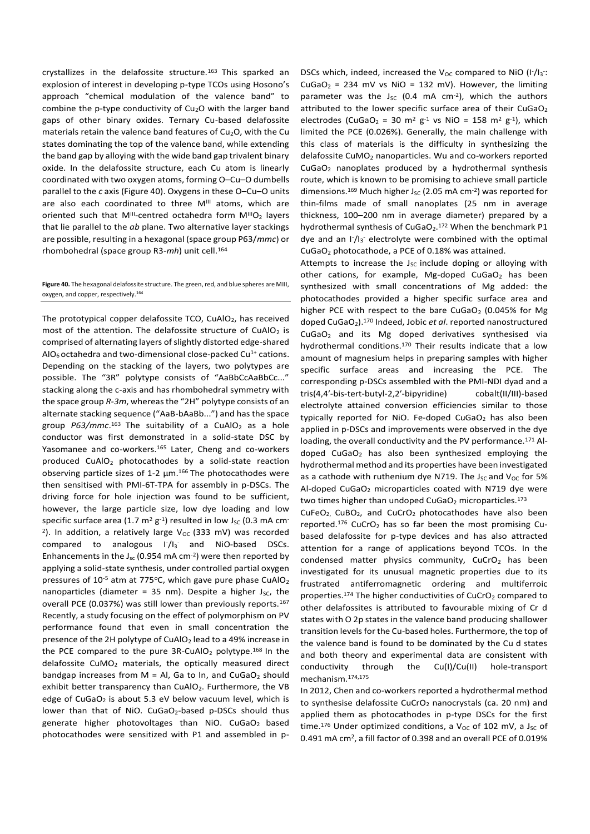crystallizes in the delafossite structure.<sup>163</sup> This sparked an explosion of interest in developing p-type TCOs using Hosono's approach "chemical modulation of the valence band" to combine the p-type conductivity of  $Cu<sub>2</sub>O$  with the larger band gaps of other binary oxides. Ternary Cu-based delafossite materials retain the valence band features of  $Cu<sub>2</sub>O$ , with the Cu states dominating the top of the valence band, while extending the band gap by alloying with the wide band gap trivalent binary oxide. In the delafossite structure, each Cu atom is linearly coordinated with two oxygen atoms, forming O–Cu–O dumbells parallel to the *c* axis (Figure 40). Oxygens in these O–Cu–O units are also each coordinated to three M<sup>III</sup> atoms, which are oriented such that  $M^{\text{III}}$ -centred octahedra form  $M^{\text{III}}O_2$  layers that lie parallel to the *ab* plane. Two alternative layer stackings are possible, resulting in a hexagonal (space group P63/*mmc*) or rhombohedral (space group R3-*mh*) unit cell.<sup>164</sup>

#### **Figure 40.** The hexagonal delafossite structure. The green, red, and blue spheres are MIII, oxygen, and copper, respectively.<sup>164</sup>

The prototypical copper delafossite TCO, CuAlO<sub>2</sub>, has received most of the attention. The delafossite structure of  $CuAlO<sub>2</sub>$  is comprised of alternating layers of slightly distorted edge-shared  $AIO<sub>6</sub> octahedra$  and two-dimensional close-packed Cu<sup>1+</sup> cations. Depending on the stacking of the layers, two polytypes are possible. The "3R" polytype consists of "AaBbCcAaBbCc..." stacking along the c-axis and has rhombohedral symmetry with the space group *R-3m*, whereas the "2H" polytype consists of an alternate stacking sequence ("AaB-bAaBb...") and has the space group P63/mmc.<sup>163</sup> The suitability of a CuAlO<sub>2</sub> as a hole conductor was first demonstrated in a solid-state DSC by Yasomanee and co-workers.<sup>165</sup> Later, Cheng and co-workers produced CuAlO<sup>2</sup> photocathodes by a solid-state reaction observing particle sizes of 1-2 µm. <sup>166</sup> The photocathodes were then sensitised with PMI-6T-TPA for assembly in p-DSCs. The driving force for hole injection was found to be sufficient, however, the large particle size, low dye loading and low specific surface area (1.7 m<sup>2</sup> g<sup>-1</sup>) resulted in low J<sub>sc</sub> (0.3 mA cm<sup>-</sup> <sup>2</sup>). In addition, a relatively large V<sub>oc</sub> (333 mV) was recorded  $compared to analogous 1/Is and NiO-based DSCs.$ Enhancements in the  $J_{sc}$  (0.954 mA cm<sup>-2</sup>) were then reported by applying a solid-state synthesis, under controlled partial oxygen pressures of  $10^{-5}$  atm at 775°C, which gave pure phase CuAlO<sub>2</sub> nanoparticles (diameter = 35 nm). Despite a higher  $J_{SC}$ , the overall PCE (0.037%) was still lower than previously reports.<sup>167</sup> Recently, a study focusing on the effect of polymorphism on PV performance found that even in small concentration the presence of the 2H polytype of  $CuAlO<sub>2</sub>$  lead to a 49% increase in the PCE compared to the pure  $3R$ -CuAlO<sub>2</sub> polytype.<sup>168</sup> In the delafossite CuMO<sub>2</sub> materials, the optically measured direct bandgap increases from  $M = AI$ , Ga to In, and CuGaO<sub>2</sub> should exhibit better transparency than CuAlO<sub>2</sub>. Furthermore, the VB edge of CuGaO<sub>2</sub> is about 5.3 eV below vacuum level, which is lower than that of NiO.  $CuGaO<sub>2</sub>$ -based p-DSCs should thus generate higher photovoltages than NiO.  $CuGaO<sub>2</sub>$  based photocathodes were sensitized with P1 and assembled in p-

DSCs which, indeed, increased the  $V_{OC}$  compared to NiO (I<sup>-</sup>/I<sub>3</sub><sup>-</sup>: CuGaO<sub>2</sub> = 234 mV vs NiO = 132 mV). However, the limiting parameter was the  $J_{SC}$  (0.4 mA cm<sup>-2</sup>), which the authors attributed to the lower specific surface area of their CuGaO<sub>2</sub> electrodes (CuGaO<sub>2</sub> = 30 m<sup>2</sup> g<sup>-1</sup> vs NiO = 158 m<sup>2</sup> g<sup>-1</sup>), which limited the PCE (0.026%). Generally, the main challenge with this class of materials is the difficulty in synthesizing the delafossite CuMO<sup>2</sup> nanoparticles. Wu and co-workers reported CuGaO<sup>2</sup> nanoplates produced by a hydrothermal synthesis route, which is known to be promising to achieve small particle dimensions.<sup>169</sup> Much higher J<sub>sc</sub> (2.05 mA cm<sup>-2</sup>) was reported for thin-films made of small nanoplates (25 nm in average thickness, 100–200 nm in average diameter) prepared by a hydrothermal synthesis of CuGaO<sub>2</sub>.<sup>172</sup> When the benchmark P1 dye and an I<sup>-</sup>/I<sub>3</sub><sup>-</sup> electrolyte were combined with the optimal CuGaO<sup>2</sup> photocathode, a PCE of 0.18% was attained.

Attempts to increase the  $J_{SC}$  include doping or alloying with other cations, for example, Mg-doped  $CuGaO<sub>2</sub>$  has been synthesized with small concentrations of Mg added: the photocathodes provided a higher specific surface area and higher PCE with respect to the bare CuGaO<sub>2</sub> (0.045% for Mg doped CuGaO2).<sup>170</sup> Indeed, Jobic *et al*. reported nanostructured CuGaO<sup>2</sup> and its Mg doped derivatives synthesised via hydrothermal conditions.<sup>170</sup> Their results indicate that a low amount of magnesium helps in preparing samples with higher specific surface areas and increasing the PCE. The corresponding p-DSCs assembled with the PMI-NDI dyad and a tris(4,4′-bis-tert-butyl-2,2′-bipyridine) cobalt(II/III)-based electrolyte attained conversion efficiencies similar to those typically reported for NiO. Fe-doped  $CuGaO<sub>2</sub>$  has also been applied in p-DSCs and improvements were observed in the dye loading, the overall conductivity and the PV performance.<sup>171</sup> Aldoped CuGaO<sub>2</sub> has also been synthesized employing the hydrothermal method and its properties have been investigated as a cathode with ruthenium dye N719. The J<sub>SC</sub> and V<sub>OC</sub> for 5% Al-doped  $CuGaO<sub>2</sub>$  microparticles coated with N719 dye were two times higher than undoped CuGaO<sub>2</sub> microparticles.<sup>173</sup>

CuFeO<sub>2,</sub> CuBO<sub>2</sub>, and CuCrO<sub>2</sub> photocathodes have also been reported. $176$  CuCrO<sub>2</sub> has so far been the most promising Cubased delafossite for p-type devices and has also attracted attention for a range of applications beyond TCOs. In the condensed matter physics community,  $CuCrO<sub>2</sub>$  has been investigated for its unusual magnetic properties due to its frustrated antiferromagnetic ordering and multiferroic properties. $174$  The higher conductivities of CuCrO<sub>2</sub> compared to other delafossites is attributed to favourable mixing of Cr d states with O 2p states in the valence band producing shallower transition levels for the Cu-based holes. Furthermore, the top of the valence band is found to be dominated by the Cu d states and both theory and experimental data are consistent with conductivity through the Cu(I)/Cu(II) hole-transport mechanism.174,175

In 2012, Chen and co-workers reported a hydrothermal method to synthesise delafossite CuCrO<sub>2</sub> nanocrystals (ca. 20 nm) and applied them as photocathodes in p-type DSCs for the first time.<sup>176</sup> Under optimized conditions, a V<sub>OC</sub> of 102 mV, a J<sub>SC</sub> of 0.491 mA cm<sup>2</sup> , a fill factor of 0.398 and an overall PCE of 0.019%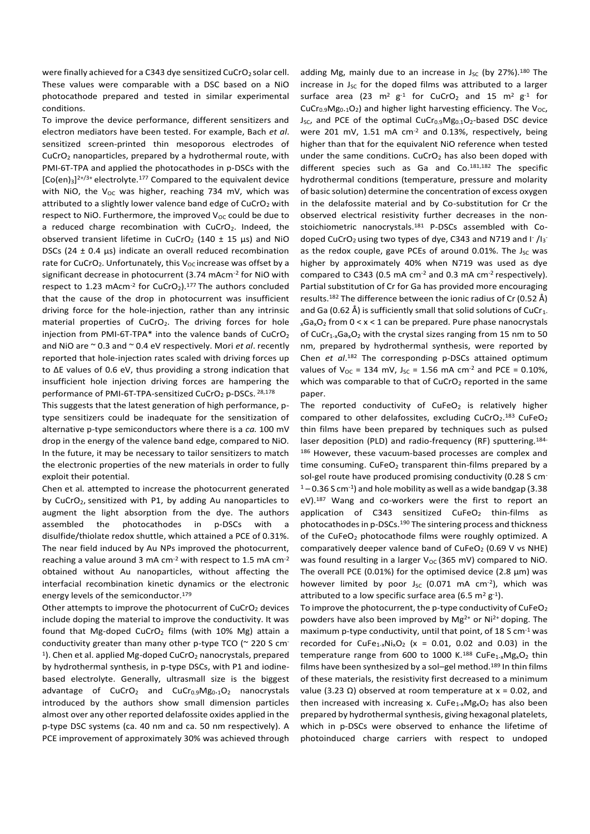were finally achieved for a C343 dye sensitized CuCrO<sub>2</sub> solar cell. These values were comparable with a DSC based on a NiO photocathode prepared and tested in similar experimental conditions.

To improve the device performance, different sensitizers and electron mediators have been tested. For example, Bach *et al*. sensitized screen-printed thin mesoporous electrodes of CuCrO<sup>2</sup> nanoparticles, prepared by a hydrothermal route, with PMI-6T-TPA and applied the photocathodes in p-DSCs with the  $[Co(en)_3]^{2+/3+}$  electrolyte.<sup>177</sup> Compared to the equivalent device with NiO, the  $V_{OC}$  was higher, reaching 734 mV, which was attributed to a slightly lower valence band edge of CuCrO<sub>2</sub> with respect to NiO. Furthermore, the improved  $V_{OC}$  could be due to a reduced charge recombination with CuCrO<sub>2</sub>. Indeed, the observed transient lifetime in CuCrO<sub>2</sub> (140  $\pm$  15  $\mu$ s) and NiO DSCs (24  $\pm$  0.4  $\mu$ s) indicate an overall reduced recombination rate for CuCrO<sub>2</sub>. Unfortunately, this  $V_{OC}$  increase was offset by a significant decrease in photocurrent (3.74 mAcm-2 for NiO with respect to 1.23 mAcm<sup>-2</sup> for  $CuCrO<sub>2</sub>$ ).<sup>177</sup> The authors concluded that the cause of the drop in photocurrent was insufficient driving force for the hole-injection, rather than any intrinsic material properties of  $CuCrO<sub>2</sub>$ . The driving forces for hole injection from PMI-6T-TPA\* into the valence bands of CuCrO<sub>2</sub> and NiO are ~ 0.3 and ~ 0.4 eV respectively. Mori *et al*. recently reported that hole-injection rates scaled with driving forces up to ∆E values of 0.6 eV, thus providing a strong indication that insufficient hole injection driving forces are hampering the performance of PMI-6T-TPA-sensitized CuCrO<sub>2</sub> p-DSCs. 28,178

This suggests that the latest generation of high performance, ptype sensitizers could be inadequate for the sensitization of alternative p-type semiconductors where there is a *ca.* 100 mV drop in the energy of the valence band edge, compared to NiO. In the future, it may be necessary to tailor sensitizers to match the electronic properties of the new materials in order to fully exploit their potential.

Chen et al*.* attempted to increase the photocurrent generated by CuCrO<sub>2</sub>, sensitized with P1, by adding Au nanoparticles to augment the light absorption from the dye. The authors assembled the photocathodes in p-DSCs with a disulfide/thiolate redox shuttle, which attained a PCE of 0.31%. The near field induced by Au NPs improved the photocurrent, reaching a value around 3 mA cm-2 with respect to 1.5 mA cm-2 obtained without Au nanoparticles, without affecting the interfacial recombination kinetic dynamics or the electronic energy levels of the semiconductor.<sup>179</sup>

Other attempts to improve the photocurrent of  $CuCrO<sub>2</sub>$  devices include doping the material to improve the conductivity. It was found that Mg-doped CuCrO<sub>2</sub> films (with 10% Mg) attain a conductivity greater than many other p-type TCO (~ 220 S cm-<sup>1</sup>). Chen et al. applied Mg-doped CuCrO<sub>2</sub> nanocrystals, prepared by hydrothermal synthesis, in p-type DSCs, with P1 and iodinebased electrolyte. Generally, ultrasmall size is the biggest advantage of  $CuCrO<sub>2</sub>$  and  $CuCr<sub>0.9</sub>Mg<sub>0.1</sub>O<sub>2</sub>$  nanocrystals introduced by the authors show small dimension particles almost over any other reported delafossite oxides applied in the p-type DSC systems (ca. 40 nm and ca. 50 nm respectively). A PCE improvement of approximately 30% was achieved through

adding Mg, mainly due to an increase in  $J_{SC}$  (by 27%).<sup>180</sup> The increase in  $J_{SC}$  for the doped films was attributed to a larger surface area (23  $m^2$  g<sup>-1</sup> for CuCrO<sub>2</sub> and 15  $m^2$  g<sup>-1</sup> for  $CuCr<sub>0.9</sub>Mg<sub>0.1</sub>O<sub>2</sub>$ ) and higher light harvesting efficiency. The V<sub>OC</sub>, J<sub>SC</sub>, and PCE of the optimal CuCr<sub>0.9</sub>Mg<sub>0.1</sub>O<sub>2</sub>-based DSC device were 201 mV, 1.51 mA cm<sup>-2</sup> and 0.13%, respectively, being higher than that for the equivalent NiO reference when tested under the same conditions.  $CuCrO<sub>2</sub>$  has also been doped with different species such as Ga and Co.181,182 The specific hydrothermal conditions (temperature, pressure and molarity of basic solution) determine the concentration of excess oxygen in the delafossite material and by Co-substitution for Cr the observed electrical resistivity further decreases in the nonstoichiometric nanocrystals.<sup>181</sup> P-DSCs assembled with Codoped CuCrO<sub>2</sub> using two types of dye, C343 and N719 and  $\lfloor \cdot / \rfloor_3$ as the redox couple, gave PCEs of around 0.01%. The  $J_{SC}$  was higher by approximately 40% when N719 was used as dye compared to C343 (0.5 mA cm<sup>-2</sup> and 0.3 mA cm<sup>-2</sup> respectively). Partial substitution of Cr for Ga has provided more encouraging results.<sup>182</sup> The difference between the ionic radius of Cr (0.52 Å) and Ga (0.62 Å) is sufficiently small that solid solutions of CuCr<sub>1</sub>.  $_{x}Ga_{x}O_{2}$  from  $0 < x < 1$  can be prepared. Pure phase nanocrystals of CuCr<sub>1-x</sub>Ga<sub>x</sub>O<sub>2</sub> with the crystal sizes ranging from 15 nm to 50 nm, prepared by hydrothermal synthesis, were reported by Chen *et al*. <sup>182</sup> The corresponding p-DSCs attained optimum values of  $V_{OC} = 134$  mV, J<sub>SC</sub> = 1.56 mA cm<sup>-2</sup> and PCE = 0.10%, which was comparable to that of  $CuCrO<sub>2</sub>$  reported in the same paper.

The reported conductivity of  $CuFeO<sub>2</sub>$  is relatively higher compared to other delafossites, excluding  $CuCrO<sub>2</sub>$ .<sup>183</sup> CuFeO<sub>2</sub> thin films have been prepared by techniques such as pulsed laser deposition (PLD) and radio-frequency (RF) sputtering.<sup>184-</sup> 186 However, these vacuum-based processes are complex and time consuming.  $CuFeO<sub>2</sub>$  transparent thin-films prepared by a sol-gel route have produced promising conductivity (0.28 S cm- $1 - 0.36$  S cm<sup>-1</sup>) and hole mobility as well as a wide bandgap (3.38 eV).<sup>187</sup> Wang and co-workers were the first to report an application of C343 sensitized  $CuFeO<sub>2</sub>$  thin-films as photocathodes in p-DSCs.<sup>190</sup> The sintering process and thickness of the CuFeO<sub>2</sub> photocathode films were roughly optimized. A comparatively deeper valence band of  $CuFeO<sub>2</sub>$  (0.69 V vs NHE) was found resulting in a larger  $V_{OC}$  (365 mV) compared to NiO. The overall PCE (0.01%) for the optimised device (2.8  $\mu$ m) was however limited by poor  $J_{SC}$  (0.071 mA cm<sup>-2</sup>), which was attributed to a low specific surface area (6.5 m<sup>2</sup> g<sup>-1</sup>).

To improve the photocurrent, the p-type conductivity of  $CuFeO<sub>2</sub>$ powders have also been improved by Mg<sup>2+</sup> or Ni<sup>2+</sup> doping. The maximum p-type conductivity, until that point, of 18 S cm<sup>-1</sup> was recorded for CuFe<sub>1-x</sub>Ni<sub>x</sub>O<sub>2</sub> (x = 0.01, 0.02 and 0.03) in the temperature range from 600 to 1000 K.<sup>188</sup> CuFe<sub>1-x</sub>Mg<sub>x</sub>O<sub>2</sub> thin films have been synthesized by a sol-gel method.<sup>189</sup> In thin films of these materials, the resistivity first decreased to a minimum value (3.23 Ω) observed at room temperature at  $x = 0.02$ , and then increased with increasing x. CuFe<sub>1-x</sub>Mg<sub>x</sub>O<sub>2</sub> has also been prepared by hydrothermal synthesis, giving hexagonal platelets, which in p-DSCs were observed to enhance the lifetime of photoinduced charge carriers with respect to undoped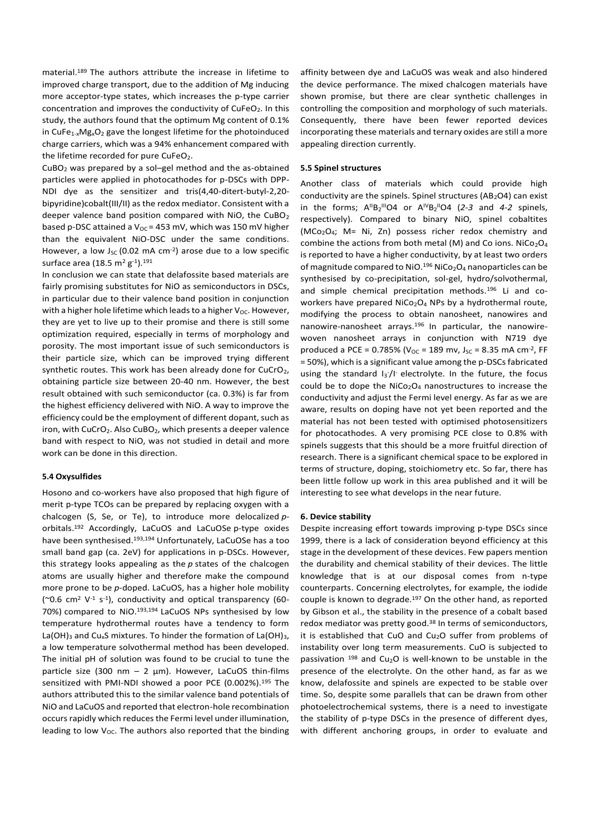material.<sup>189</sup> The authors attribute the increase in lifetime to improved charge transport, due to the addition of Mg inducing more acceptor-type states, which increases the p-type carrier concentration and improves the conductivity of CuFeO<sub>2</sub>. In this study, the authors found that the optimum Mg content of 0.1% in CuFe $_{1-x}Mg_xO_2$  gave the longest lifetime for the photoinduced charge carriers, which was a 94% enhancement compared with the lifetime recorded for pure CuFeO<sub>2</sub>.

CuBO<sup>2</sup> was prepared by a sol–gel method and the as-obtained particles were applied in photocathodes for p-DSCs with DPP-NDI dye as the sensitizer and tris(4,40-ditert-butyl-2,20 bipyridine)cobalt(III/II) as the redox mediator. Consistent with a deeper valence band position compared with NiO, the CuBO<sup>2</sup> based p-DSC attained a  $V_{OC}$  = 453 mV, which was 150 mV higher than the equivalent NiO-DSC under the same conditions. However, a low  $J_{SC}$  (0.02 mA cm<sup>-2</sup>) arose due to a low specific surface area (18.5 m $^2$  g<sup>-1</sup>). $^{191}$ 

In conclusion we can state that delafossite based materials are fairly promising substitutes for NiO as semiconductors in DSCs, in particular due to their valence band position in conjunction with a higher hole lifetime which leads to a higher  $V_{OC}$ . However, they are yet to live up to their promise and there is still some optimization required, especially in terms of morphology and porosity. The most important issue of such semiconductors is their particle size, which can be improved trying different synthetic routes. This work has been already done for CuCrO<sub>2</sub>, obtaining particle size between 20-40 nm. However, the best result obtained with such semiconductor (ca. 0.3%) is far from the highest efficiency delivered with NiO. A way to improve the efficiency could be the employment of different dopant, such as iron, with CuCrO<sub>2</sub>. Also CuBO<sub>2</sub>, which presents a deeper valence band with respect to NiO, was not studied in detail and more work can be done in this direction.

## **5.4 Oxysulfides**

Hosono and co-workers have also proposed that high figure of merit p-type TCOs can be prepared by replacing oxygen with a chalcogen (S, Se, or Te), to introduce more delocalized *p*orbitals.<sup>192</sup> Accordingly, LaCuOS and LaCuOSe p-type oxides have been synthesised. 193,194 Unfortunately, LaCuOSe has a too small band gap (ca. 2eV) for applications in p-DSCs. However, this strategy looks appealing as the *p* states of the chalcogen atoms are usually higher and therefore make the compound more prone to be *p*-doped. LaCuOS, has a higher hole mobility  $(\sim 0.6$  cm<sup>2</sup> V<sup>-1</sup> s<sup>-1</sup>), conductivity and optical transparency (60-70%) compared to NiO.<sup>193,194</sup> LaCuOS NPs synthesised by low temperature hydrothermal routes have a tendency to form La(OH)<sub>3</sub> and Cu<sub>x</sub>S mixtures. To hinder the formation of La(OH)<sub>3</sub>, a low temperature solvothermal method has been developed. The initial pH of solution was found to be crucial to tune the particle size (300 nm  $-$  2 µm). However, LaCuOS thin-films sensitized with PMI-NDI showed a poor PCE (0.002%).<sup>195</sup> The authors attributed this to the similar valence band potentials of NiO and LaCuOS and reported that electron-hole recombination occurs rapidly which reduces the Fermi level under illumination, leading to low  $V_{OC}$ . The authors also reported that the binding

affinity between dye and LaCuOS was weak and also hindered the device performance. The mixed chalcogen materials have shown promise, but there are clear synthetic challenges in controlling the composition and morphology of such materials. Consequently, there have been fewer reported devices incorporating these materials and ternary oxides are still a more appealing direction currently.

#### **5.5 Spinel structures**

Another class of materials which could provide high conductivity are the spinels. Spinel structures ( $AB_2O4$ ) can exist in the forms;  $A^{II}B_2^{III}O4$  or  $A^{IV}B_2^{II}O4$  (2-3 and 4-2 spinels, respectively). Compared to binary NiO, spinel cobaltites (MCo2O4; M= Ni, Zn) possess richer redox chemistry and combine the actions from both metal (M) and Co ions. NiCo<sub>2</sub>O<sub>4</sub> is reported to have a higher conductivity, by at least two orders of magnitude compared to NiO.<sup>196</sup> NiCo<sub>2</sub>O<sub>4</sub> nanoparticles can be synthesised by co-precipitation, sol-gel, hydro/solvothermal, and simple chemical precipitation methods.<sup>196</sup> Li and coworkers have prepared NiCo<sub>2</sub>O<sub>4</sub> NPs by a hydrothermal route, modifying the process to obtain nanosheet, nanowires and nanowire-nanosheet arrays.<sup>196</sup> In particular, the nanowirewoven nanosheet arrays in conjunction with N719 dye produced a PCE = 0.785% ( $V_{OC}$  = 189 mv, J<sub>SC</sub> = 8.35 mA cm<sup>-2</sup>, FF = 50%), which is a significant value among the p-DSCs fabricated using the standard  $I_3$ <sup>-</sup>/I<sup>-</sup> electrolyte. In the future, the focus could be to dope the  $NiCo<sub>2</sub>O<sub>4</sub>$  nanostructures to increase the conductivity and adjust the Fermi level energy. As far as we are aware, results on doping have not yet been reported and the material has not been tested with optimised photosensitizers for photocathodes. A very promising PCE close to 0.8% with spinels suggests that this should be a more fruitful direction of research. There is a significant chemical space to be explored in terms of structure, doping, stoichiometry etc. So far, there has been little follow up work in this area published and it will be interesting to see what develops in the near future.

#### **6. Device stability**

Despite increasing effort towards improving p-type DSCs since 1999, there is a lack of consideration beyond efficiency at this stage in the development of these devices. Few papers mention the durability and chemical stability of their devices. The little knowledge that is at our disposal comes from n-type counterparts. Concerning electrolytes, for example, the iodide couple is known to degrade. <sup>197</sup> On the other hand, as reported by Gibson et al., the stability in the presence of a cobalt based redox mediator was pretty good.<sup>38</sup> In terms of semiconductors, it is established that CuO and Cu<sub>2</sub>O suffer from problems of instability over long term measurements. CuO is subjected to passivation  $198$  and Cu<sub>2</sub>O is well-known to be unstable in the presence of the electrolyte. On the other hand, as far as we know, delafossite and spinels are expected to be stable over time. So, despite some parallels that can be drawn from other photoelectrochemical systems, there is a need to investigate the stability of p-type DSCs in the presence of different dyes, with different anchoring groups, in order to evaluate and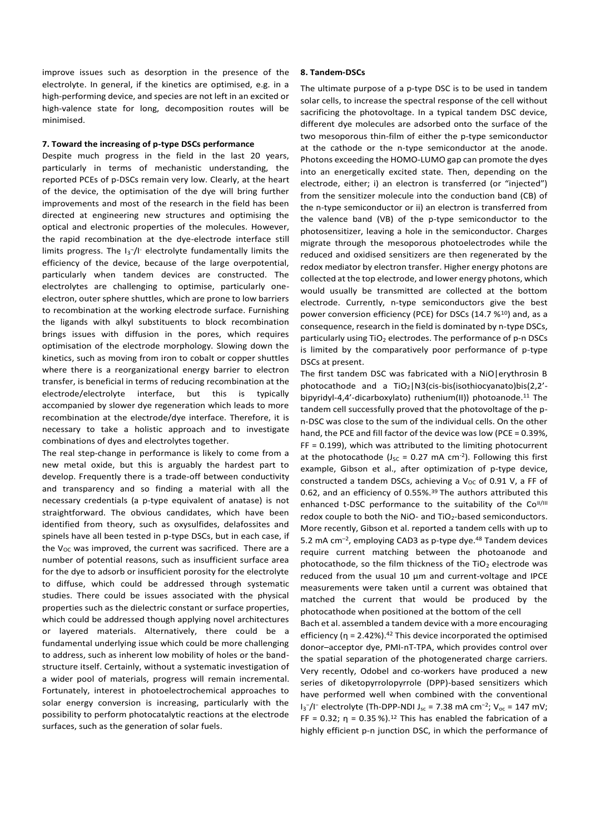improve issues such as desorption in the presence of the electrolyte. In general, if the kinetics are optimised, e.g. in a high-performing device, and species are not left in an excited or high-valence state for long, decomposition routes will be minimised.

## **7. Toward the increasing of p-type DSCs performance**

Despite much progress in the field in the last 20 years, particularly in terms of mechanistic understanding, the reported PCEs of p-DSCs remain very low. Clearly, at the heart of the device, the optimisation of the dye will bring further improvements and most of the research in the field has been directed at engineering new structures and optimising the optical and electronic properties of the molecules. However, the rapid recombination at the dye-electrode interface still limits progress. The I<sub>3</sub><sup>-</sup>/I<sup>-</sup> electrolyte fundamentally limits the efficiency of the device, because of the large overpotential, particularly when tandem devices are constructed. The electrolytes are challenging to optimise, particularly oneelectron, outer sphere shuttles, which are prone to low barriers to recombination at the working electrode surface. Furnishing the ligands with alkyl substituents to block recombination brings issues with diffusion in the pores, which requires optimisation of the electrode morphology. Slowing down the kinetics, such as moving from iron to cobalt or copper shuttles where there is a reorganizational energy barrier to electron transfer, is beneficial in terms of reducing recombination at the electrode/electrolyte interface, but this is typically accompanied by slower dye regeneration which leads to more recombination at the electrode/dye interface. Therefore, it is necessary to take a holistic approach and to investigate combinations of dyes and electrolytes together.

The real step-change in performance is likely to come from a new metal oxide, but this is arguably the hardest part to develop. Frequently there is a trade-off between conductivity and transparency and so finding a material with all the necessary credentials (a p-type equivalent of anatase) is not straightforward. The obvious candidates, which have been identified from theory, such as oxysulfides, delafossites and spinels have all been tested in p-type DSCs, but in each case, if the  $V_{OC}$  was improved, the current was sacrificed. There are a number of potential reasons, such as insufficient surface area for the dye to adsorb or insufficient porosity for the electrolyte to diffuse, which could be addressed through systematic studies. There could be issues associated with the physical properties such as the dielectric constant or surface properties, which could be addressed though applying novel architectures or layered materials. Alternatively, there could be a fundamental underlying issue which could be more challenging to address, such as inherent low mobility of holes or the bandstructure itself. Certainly, without a systematic investigation of a wider pool of materials, progress will remain incremental. Fortunately, interest in photoelectrochemical approaches to solar energy conversion is increasing, particularly with the possibility to perform photocatalytic reactions at the electrode surfaces, such as the generation of solar fuels.

## **8. Tandem-DSCs**

The ultimate purpose of a p-type DSC is to be used in tandem solar cells, to increase the spectral response of the cell without sacrificing the photovoltage. In a typical tandem DSC device, different dye molecules are adsorbed onto the surface of the two mesoporous thin-film of either the p-type semiconductor at the cathode or the n-type semiconductor at the anode. Photons exceeding the HOMO-LUMO gap can promote the dyes into an energetically excited state. Then, depending on the electrode, either; i) an electron is transferred (or "injected") from the sensitizer molecule into the conduction band (CB) of the n-type semiconductor or ii) an electron is transferred from the valence band (VB) of the p-type semiconductor to the photosensitizer, leaving a hole in the semiconductor. Charges migrate through the mesoporous photoelectrodes while the reduced and oxidised sensitizers are then regenerated by the redox mediator by electron transfer. Higher energy photons are collected at the top electrode, and lower energy photons, which would usually be transmitted are collected at the bottom electrode. Currently, n-type semiconductors give the best power conversion efficiency (PCE) for DSCs (14.7 %<sup>10</sup>) and, as a consequence, research in the field is dominated by n-type DSCs, particularly using TiO<sub>2</sub> electrodes. The performance of p-n DSCs is limited by the comparatively poor performance of p-type DSCs at present.

The first tandem DSC was fabricated with a NiO|erythrosin B photocathode and a TiO2|N3(cis-bis(isothiocyanato)bis(2,2' bipyridyl-4,4'-dicarboxylato) ruthenium(II)) photoanode.<sup>11</sup> The tandem cell successfully proved that the photovoltage of the pn-DSC was close to the sum of the individual cells. On the other hand, the PCE and fill factor of the device was low (PCE = 0.39%, FF = 0.199), which was attributed to the limiting photocurrent at the photocathode ( $J_{SC}$  = 0.27 mA cm<sup>-2</sup>). Following this first example, Gibson et al., after optimization of p-type device, constructed a tandem DSCs, achieving a  $V_{OC}$  of 0.91 V, a FF of 0.62, and an efficiency of 0.55%.<sup>39</sup> The authors attributed this enhanced t-DSC performance to the suitability of the Co<sup>II/III</sup> redox couple to both the NiO- and TiO<sub>2</sub>-based semiconductors. More recently, Gibson et al. reported a tandem cells with up to 5.2 mA cm<sup>-2</sup>, employing CAD3 as p-type dye.<sup>48</sup> Tandem devices require current matching between the photoanode and photocathode, so the film thickness of the  $TiO<sub>2</sub>$  electrode was reduced from the usual 10 µm and current-voltage and IPCE measurements were taken until a current was obtained that matched the current that would be produced by the photocathode when positioned at the bottom of the cell

Bach et al. assembled a tandem device with a more encouraging efficiency ( $\eta$  = 2.42%).<sup>42</sup> This device incorporated the optimised donor–acceptor dye, PMI-nT-TPA, which provides control over the spatial separation of the photogenerated charge carriers. Very recently, Odobel and co-workers have produced a new series of diketopyrrolopyrrole (DPP)-based sensitizers which have performed well when combined with the conventional  $I_3$ <sup>-</sup>/I<sup>-</sup> electrolyte (Th-DPP-NDI J<sub>sc</sub> = 7.38 mA cm<sup>-2</sup>; V<sub>oc</sub> = 147 mV; FF = 0.32;  $\eta$  = 0.35 %).<sup>12</sup> This has enabled the fabrication of a highly efficient p-n junction DSC, in which the performance of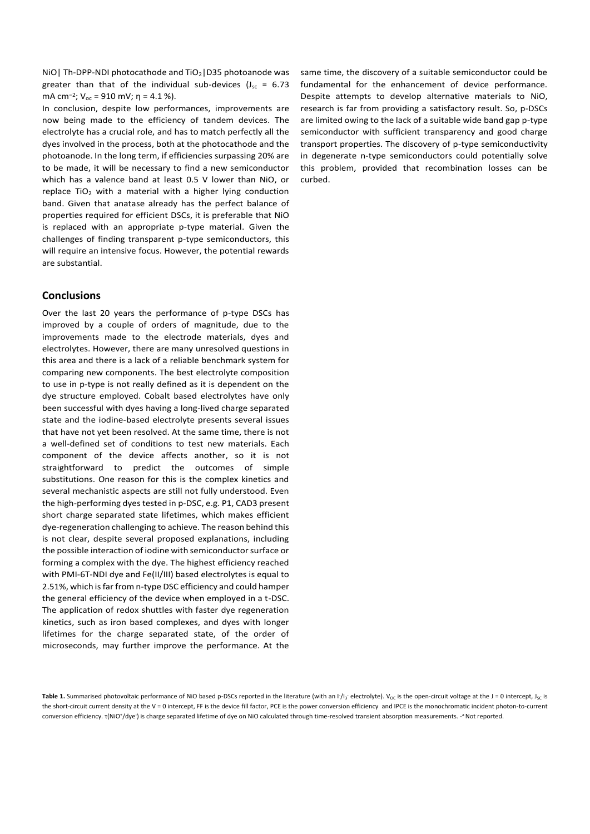NiO | Th-DPP-NDI photocathode and  $TiO<sub>2</sub>$  | D35 photoanode was greater than that of the individual sub-devices ( $J_{sc} = 6.73$ mA cm<sup>-2</sup>; V<sub>oc</sub> = 910 mV; η = 4.1 %).

In conclusion, despite low performances, improvements are now being made to the efficiency of tandem devices. The electrolyte has a crucial role, and has to match perfectly all the dyes involved in the process, both at the photocathode and the photoanode. In the long term, if efficiencies surpassing 20% are to be made, it will be necessary to find a new semiconductor which has a valence band at least 0.5 V lower than NiO, or replace  $TiO<sub>2</sub>$  with a material with a higher lying conduction band. Given that anatase already has the perfect balance of properties required for efficient DSCs, it is preferable that NiO is replaced with an appropriate p-type material. Given the challenges of finding transparent p-type semiconductors, this will require an intensive focus. However, the potential rewards are substantial.

## **Conclusions**

Over the last 20 years the performance of p-type DSCs has improved by a couple of orders of magnitude, due to the improvements made to the electrode materials, dyes and electrolytes. However, there are many unresolved questions in this area and there is a lack of a reliable benchmark system for comparing new components. The best electrolyte composition to use in p-type is not really defined as it is dependent on the dye structure employed. Cobalt based electrolytes have only been successful with dyes having a long-lived charge separated state and the iodine-based electrolyte presents several issues that have not yet been resolved. At the same time, there is not a well-defined set of conditions to test new materials. Each component of the device affects another, so it is not straightforward to predict the outcomes of simple substitutions. One reason for this is the complex kinetics and several mechanistic aspects are still not fully understood. Even the high-performing dyes tested in p-DSC, e.g. P1, CAD3 present short charge separated state lifetimes, which makes efficient dye-regeneration challenging to achieve. The reason behind this is not clear, despite several proposed explanations, including the possible interaction of iodine with semiconductor surface or forming a complex with the dye. The highest efficiency reached with PMI-6T-NDI dye and Fe(II/III) based electrolytes is equal to 2.51%, which is far from n-type DSC efficiency and could hamper the general efficiency of the device when employed in a t-DSC. The application of redox shuttles with faster dye regeneration kinetics, such as iron based complexes, and dyes with longer lifetimes for the charge separated state, of the order of microseconds, may further improve the performance. At the

same time, the discovery of a suitable semiconductor could be fundamental for the enhancement of device performance. Despite attempts to develop alternative materials to NiO, research is far from providing a satisfactory result. So, p-DSCs are limited owing to the lack of a suitable wide band gap p-type semiconductor with sufficient transparency and good charge transport properties. The discovery of p-type semiconductivity in degenerate n-type semiconductors could potentially solve this problem, provided that recombination losses can be curbed.

Table 1. Summarised photovoltaic performance of NiO based p-DSCs reported in the literature (with an I<sup>-</sup>/I<sub>3</sub><sup>-</sup> electrolyte). V<sub>oC</sub> is the open-circuit voltage at the J = 0 intercept, J<sub>sc</sub> is the short-circuit current density at the V = 0 intercept, FF is the device fill factor, PCE is the power conversion efficiency and IPCE is the monochromatic incident photon-to-current conversion efficiency. τ(NiO+/dye·) is charge separated lifetime of dye on NiO calculated through time-resolved transient absorption measurements. -ª Not reported.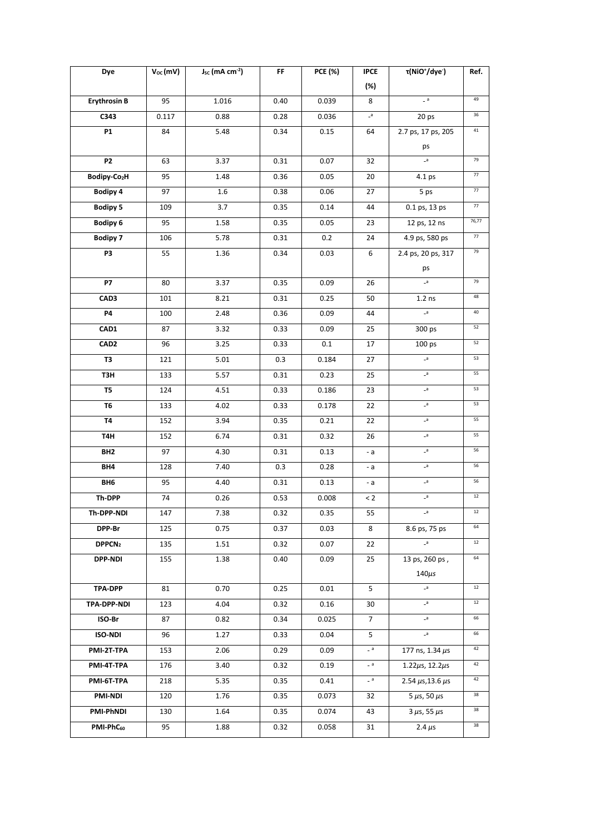| Dye                      | $V_{OC}$ (mV) | J <sub>sc</sub> (mA cm <sup>-2</sup> ) | FF   | <b>PCE (%)</b> | <b>IPCE</b>    | τ(NiO <sup>+</sup> /dye <sup>-</sup> ) | Ref.   |
|--------------------------|---------------|----------------------------------------|------|----------------|----------------|----------------------------------------|--------|
|                          |               |                                        |      |                | (%)            |                                        |        |
| <b>Erythrosin B</b>      | 95            | 1.016                                  | 0.40 | 0.039          | 8              | $-$ a                                  | 49     |
| C343                     | 0.117         | 0.88                                   | 0.28 | 0.036          | $\mathsf{s}_-$ | 20 ps                                  | 36     |
| <b>P1</b>                | 84            | 5.48                                   | 0.34 | 0.15           | 64             | 2.7 ps, 17 ps, 205                     | $41\,$ |
|                          |               |                                        |      |                |                | ps                                     |        |
| <b>P2</b>                | 63            | 3.37                                   | 0.31 | 0.07           | 32             | $\mathsf{a}$                           | 79     |
| Bodipy-Co <sub>2</sub> H | 95            | 1.48                                   | 0.36 | 0.05           | 20             | 4.1 ps                                 | $77\,$ |
| <b>Bodipy 4</b>          | 97            | 1.6                                    | 0.38 | 0.06           | 27             | 5 ps                                   | $77\,$ |
| <b>Bodipy 5</b>          | 109           | 3.7                                    | 0.35 | 0.14           | 44             | 0.1 ps, 13 ps                          | $77\,$ |
| <b>Bodipy 6</b>          | 95            | 1.58                                   | 0.35 | 0.05           | 23             | 12 ps, 12 ns                           | 76,77  |
| <b>Bodipy 7</b>          | 106           | 5.78                                   | 0.31 | 0.2            | 24             | 4.9 ps, 580 ps                         | $77\,$ |
| P3                       | 55            | 1.36                                   | 0.34 | 0.03           | 6              | 2.4 ps, 20 ps, 317                     | 79     |
|                          |               |                                        |      |                |                | ps                                     |        |
| <b>P7</b>                | 80            | 3.37                                   | 0.35 | 0.09           | 26             | $\overline{\phantom{a}}$               | 79     |
| CAD <sub>3</sub>         | 101           | 8.21                                   | 0.31 | 0.25           | 50             | $1.2$ ns                               | 48     |
| <b>P4</b>                | 100           | 2.48                                   | 0.36 | 0.09           | 44             | $\mathsf{a}_-$                         | 40     |
| CAD1                     | 87            | 3.32                                   | 0.33 | 0.09           | 25             | 300 ps                                 | 52     |
| CAD <sub>2</sub>         | 96            | 3.25                                   | 0.33 | 0.1            | 17             | 100 ps                                 | 52     |
| T3                       | 121           | 5.01                                   | 0.3  | 0.184          | 27             | $\mathsf{a}$                           | 53     |
| T3H                      | 133           | 5.57                                   | 0.31 | 0.23           | 25             | $\mathsf{a}_-$                         | 55     |
| T5                       | 124           | 4.51                                   | 0.33 | 0.186          | 23             | $\mathsf{a}_-$                         | 53     |
| T6                       | 133           | 4.02                                   | 0.33 | 0.178          | 22             | $\mathsf{a}$                           | 53     |
| <b>T4</b>                | 152           | 3.94                                   | 0.35 | 0.21           | 22             | $\mathsf{a}_-$                         | 55     |
| T4H                      | 152           | 6.74                                   | 0.31 | 0.32           | 26             | $\mathsf{a}\mathsf{.}$                 | 55     |
| BH <sub>2</sub>          | 97            | 4.30                                   | 0.31 | 0.13           | - a            | $\mathsf{a}$                           | 56     |
| BH4                      | 128           | 7.40                                   | 0.3  | 0.28           | - а            | $\mathsf{a}\mathsf{a}$                 | 56     |
| BH6                      | 95            | 4.40                                   | 0.31 | 0.13           | - a            | $\mathsf{a}\mathsf{.}$                 | 56     |
| Th-DPP                   | 74            | 0.26                                   | 0.53 | 0.008          | $\leq 2$       | $\mathsf{a}\mathsf{b}$                 | $12\,$ |
| Th-DPP-NDI               | 147           | 7.38                                   | 0.32 | 0.35           | 55             | $-a$                                   | 12     |
| DPP-Br                   | 125           | 0.75                                   | 0.37 | 0.03           | 8              | 8.6 ps, 75 ps                          | 64     |
| DPPCN <sub>2</sub>       | 135           | 1.51                                   | 0.32 | 0.07           | 22             | $\mathsf{a}_-$                         | $12\,$ |
| <b>DPP-NDI</b>           | 155           | 1.38                                   | 0.40 | 0.09           | 25             | 13 ps, 260 ps,                         | 64     |
|                          |               |                                        |      |                |                | $140\mu s$                             |        |
| <b>TPA-DPP</b>           | 81            | 0.70                                   | 0.25 | 0.01           | 5              | a                                      | $12\,$ |
| TPA-DPP-NDI              | 123           | 4.04                                   | 0.32 | 0.16           | 30             | a                                      | $12\,$ |
| ISO-Br                   | 87            | 0.82                                   | 0.34 | 0.025          | $\overline{7}$ | $-a$                                   | 66     |
| ISO-NDI                  | 96            | 1.27                                   | 0.33 | 0.04           | 5              | $\mathsf{a}_-$                         | 66     |
| PMI-2T-TPA               | 153           | 2.06                                   | 0.29 | 0.09           | $-$ a          | 177 ns, 1.34 $\mu$ s                   | 42     |
| PMI-4T-TPA               | 176           | 3.40                                   | 0.32 | 0.19           | $-$ a          | $1.22 \mu s$ , $12.2 \mu s$            | 42     |
| PMI-6T-TPA               | 218           | 5.35                                   | 0.35 | 0.41           | $-$ a          | 2.54 $\mu$ s, 13.6 $\mu$ s             | 42     |
| <b>PMI-NDI</b>           | 120           | 1.76                                   | 0.35 | 0.073          | 32             | 5 $\mu$ s, 50 $\mu$ s                  | 38     |
| <b>PMI-PhNDI</b>         | 130           | 1.64                                   | 0.35 | 0.074          | 43             | $3 \mu s$ , 55 $\mu s$                 | 38     |
| PMI-PhC60                | 95            | 1.88                                   | 0.32 | 0.058          | 31             | 2.4 $\mu$ s                            | 38     |
|                          |               |                                        |      |                |                |                                        |        |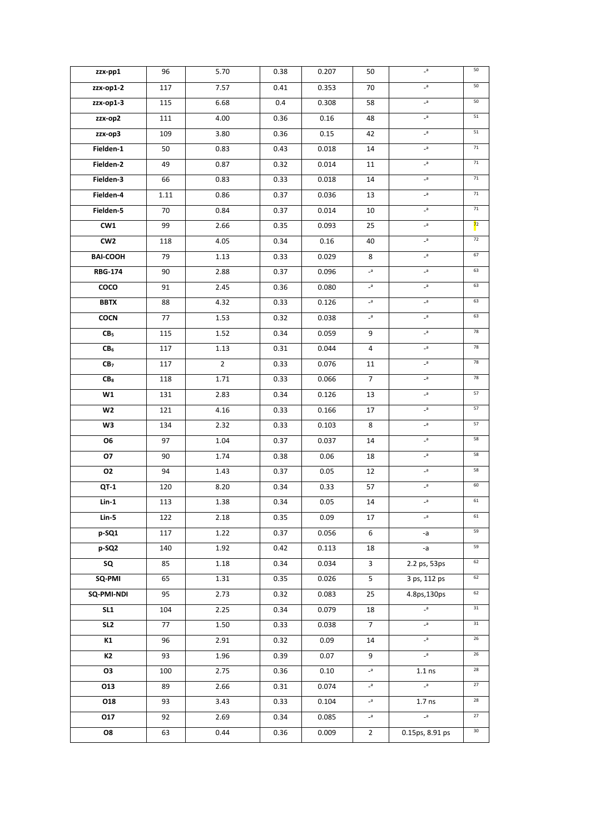| zzx-pp1         | 96   | 5.70           | 0.38 | 0.207 | 50                   | $\mathsf{s}_-$         | 50             |
|-----------------|------|----------------|------|-------|----------------------|------------------------|----------------|
| zzx-op1-2       | 117  | 7.57           | 0.41 | 0.353 | 70                   | $\mathsf{a}_-$         | $50\,$         |
| zzx-op1-3       | 115  | 6.68           | 0.4  | 0.308 | 58                   | $\mathsf{a}_-$         | 50             |
| zzx-op2         | 111  | 4.00           | 0.36 | 0.16  | 48                   | $-a$                   | 51             |
| zzx-op3         | 109  | 3.80           | 0.36 | 0.15  | 42                   | $a_{-}$                | ${\bf 51}$     |
| Fielden-1       | 50   | 0.83           | 0.43 | 0.018 | 14                   | $\mathsf{a}\mathsf{.}$ | 71             |
| Fielden-2       | 49   | 0.87           | 0.32 | 0.014 | 11                   | $\mathsf{a}\mathsf{b}$ | $71\,$         |
| Fielden-3       | 66   | 0.83           | 0.33 | 0.018 | 14                   | $\mathsf{a}\mathsf{b}$ | $71\,$         |
| Fielden-4       | 1.11 | 0.86           | 0.37 | 0.036 | 13                   | $\mathsf{s}_-$         | $71\,$         |
| Fielden-5       | 70   | 0.84           | 0.37 | 0.014 | 10                   | $-a$                   | $71\,$         |
| CW1             | 99   | 2.66           | 0.35 | 0.093 | 25                   | $a_{-}$                | 7 <sup>2</sup> |
| CW <sub>2</sub> | 118  | 4.05           | 0.34 | 0.16  | 40                   | $\mathsf{a}_-$         | 72             |
| <b>BAI-COOH</b> | 79   | 1.13           | 0.33 | 0.029 | 8                    | $\mathsf{a}$           | 67             |
| <b>RBG-174</b>  | 90   | 2.88           | 0.37 | 0.096 | $\mathsf{a}\text{-}$ | $\mathsf{a}_-$         | 63             |
| $\overline{c}$  | 91   | 2.45           | 0.36 | 0.080 | $\mathsf{a}_-$       | $\mathsf{a}_-$         | 63             |
| <b>BBTX</b>     | 88   | 4.32           | 0.33 | 0.126 | $-a$                 | $\mathsf{a}_-$         | 63             |
| <b>COCN</b>     | 77   | 1.53           | 0.32 | 0.038 | $\mathsf{a}_-$       | $a_{-}$                | 63             |
| CB <sub>5</sub> | 115  | 1.52           | 0.34 | 0.059 | 9                    | $\mathsf{a}_-$         | 78             |
| CB <sub>6</sub> | 117  | 1.13           | 0.31 | 0.044 | 4                    | $-a$                   | 78             |
| CB <sub>7</sub> | 117  | $\overline{2}$ | 0.33 | 0.076 | 11                   | $\mathsf{a}_-$         | 78             |
| CB <sub>8</sub> | 118  | 1.71           | 0.33 | 0.066 | $\overline{7}$       | $a_{-}$                | 78             |
| W1              | 131  | 2.83           | 0.34 | 0.126 | 13                   | $a_{-}$                | 57             |
| W2              | 121  | 4.16           | 0.33 | 0.166 | 17                   | $\mathsf{a}_-$         | 57             |
| W3              | 134  | 2.32           | 0.33 | 0.103 | 8                    | $\mathsf{a}_-$         | 57             |
| O <sub>6</sub>  | 97   | 1.04           | 0.37 | 0.037 | 14                   | $-a$                   | 58             |
| 07              | 90   | 1.74           | 0.38 | 0.06  | 18                   | $\mathsf{a}_-$         | 58             |
| 02              | 94   | 1.43           | 0.37 | 0.05  | 12                   | $\mathsf{a}_-$         | 58             |
| QT-1            | 120  | 8.20           | 0.34 | 0.33  | 57                   | $-a$                   | 60             |
| $Lin-1$         | 113  | 1.38           | 0.34 | 0.05  | 14                   | $\mathsf{a}_-$         | 61             |
| Lin-5           | 122  | 2.18           | 0.35 | 0.09  | 17                   | a                      | 61             |
| p-SQ1           | 117  | 1.22           | 0.37 | 0.056 | 6                    | -a                     | 59             |
| p-SQ2           | 140  | 1.92           | 0.42 | 0.113 | 18                   | -a                     | 59             |
| SQ              | 85   | 1.18           | 0.34 | 0.034 | 3                    | 2.2 ps, 53ps           | 62             |
| SQ-PMI          | 65   | 1.31           | 0.35 | 0.026 | 5                    | 3 ps, 112 ps           | 62             |
| SQ-PMI-NDI      | 95   | 2.73           | 0.32 | 0.083 | 25                   | 4.8ps, 130ps           | 62             |
| SL1             | 104  | 2.25           | 0.34 | 0.079 | 18                   | a                      | 31             |
| SL <sub>2</sub> | 77   | 1.50           | 0.33 | 0.038 | $7\overline{ }$      | $\mathsf{s}_-$         | 31             |
| K1              | 96   | 2.91           | 0.32 | 0.09  | 14                   | $a_{-}$                | 26             |
| K2              | 93   | 1.96           | 0.39 | 0.07  | 9                    | $a_{-}$                | 26             |
| 03              | 100  | 2.75           | 0.36 | 0.10  | $a_{-}$              | $1.1$ ns               | 28             |
| 013             | 89   | 2.66           | 0.31 | 0.074 | $-a$                 | $a_{-}$                | $27\,$         |
| 018             | 93   | 3.43           | 0.33 | 0.104 | $-a$                 | 1.7 <sub>ns</sub>      | 28             |
| 017             | 92   | 2.69           | 0.34 | 0.085 | $-a$                 | $\mathsf{a}_-$         | $27\,$         |
| 08              | 63   | 0.44           | 0.36 | 0.009 | $\overline{2}$       | 0.15ps, 8.91 ps        | $30\,$         |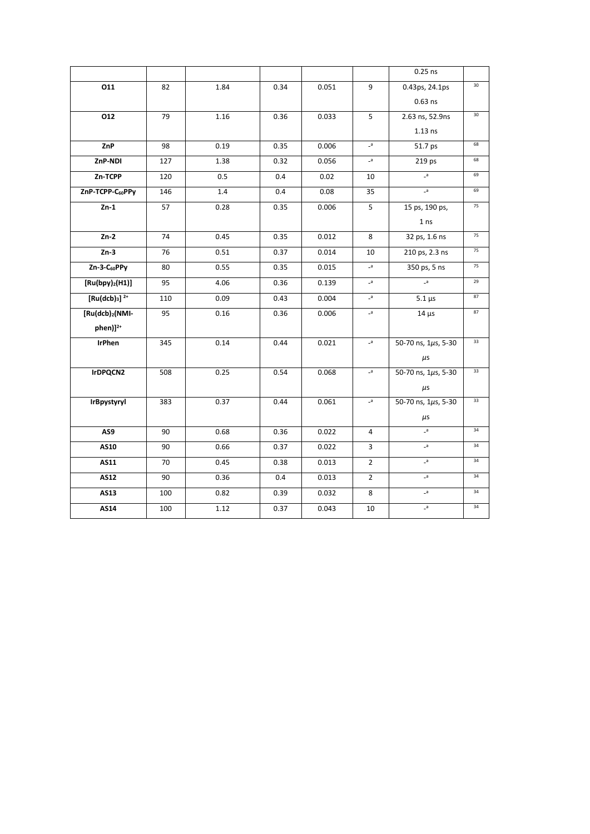|                             |     |      |      |       |                          | $0.25$ ns                 |    |
|-----------------------------|-----|------|------|-------|--------------------------|---------------------------|----|
| 011                         | 82  | 1.84 | 0.34 | 0.051 | 9                        | 0.43ps, 24.1ps            | 30 |
|                             |     |      |      |       |                          | $0.63$ ns                 |    |
| 012                         | 79  | 1.16 | 0.36 | 0.033 | 5                        | 2.63 ns, 52.9ns           | 30 |
|                             |     |      |      |       |                          | $1.13$ ns                 |    |
| ZnP                         | 98  | 0.19 | 0.35 | 0.006 | $-a$                     | 51.7 ps                   | 68 |
| ZnP-NDI                     | 127 | 1.38 | 0.32 | 0.056 | a                        | 219 ps                    | 68 |
| Zn-TCPP                     | 120 | 0.5  | 0.4  | 0.02  | 10                       | $a-$                      | 69 |
| ZnP-TCPP-C60PPy             | 146 | 1.4  | 0.4  | 0.08  | 35                       | $\overline{a}$            | 69 |
| $Zn-1$                      | 57  | 0.28 | 0.35 | 0.006 | 5                        | 15 ps, 190 ps,            | 75 |
|                             |     |      |      |       |                          | 1 <sub>ns</sub>           |    |
| $Zn-2$                      | 74  | 0.45 | 0.35 | 0.012 | 8                        | 32 ps, 1.6 ns             | 75 |
| $Zn-3$                      | 76  | 0.51 | 0.37 | 0.014 | 10                       | 210 ps, 2.3 ns            | 75 |
| Zn-3-C <sub>60</sub> PPy    | 80  | 0.55 | 0.35 | 0.015 | a                        | 350 ps, 5 ns              | 75 |
| [Ru(bpy) <sub>2</sub> (H1)] | 95  | 4.06 | 0.36 | 0.139 | a                        | $\overline{a}$            | 29 |
| $[Ru(dcb)3]$ <sup>2+</sup>  | 110 | 0.09 | 0.43 | 0.004 | $\mathsf{a}_-$           | $5.1 \,\mu s$             | 87 |
| [Ru(dcb) <sub>2</sub> (NMI- | 95  | 0.16 | 0.36 | 0.006 | $\mathsf{a}_-$           | $14 \mu s$                | 87 |
| phen)] <sup>2+</sup>        |     |      |      |       |                          |                           |    |
| <b>IrPhen</b>               | 345 | 0.14 | 0.44 | 0.021 | $\overline{\phantom{a}}$ | 50-70 ns, 1µs, 5-30       | 33 |
|                             |     |      |      |       |                          | $\mu$ s                   |    |
| IrDPQCN2                    | 508 | 0.25 | 0.54 | 0.068 | $\mathsf{a}_-$           | 50-70 ns, 1µs, 5-30       | 33 |
|                             |     |      |      |       |                          | $\mu$ s                   |    |
| IrBpystyryl                 | 383 | 0.37 | 0.44 | 0.061 | a                        | 50-70 ns, $1\mu s$ , 5-30 | 33 |
|                             |     |      |      |       |                          | $\mu$ s                   |    |
| AS9                         | 90  | 0.68 | 0.36 | 0.022 | $\overline{4}$           | $a-$                      | 34 |
| <b>AS10</b>                 | 90  | 0.66 | 0.37 | 0.022 | 3                        | $a_{-}$                   | 34 |
| AS11                        | 70  | 0.45 | 0.38 | 0.013 | $\overline{2}$           | $-a$                      | 34 |
| <b>AS12</b>                 | 90  | 0.36 | 0.4  | 0.013 | $\overline{2}$           | $a_{-}$                   | 34 |
| AS13                        | 100 | 0.82 | 0.39 | 0.032 | 8                        | a                         | 34 |
| AS14                        | 100 | 1.12 | 0.37 | 0.043 | 10                       | a                         | 34 |
|                             |     |      |      |       |                          |                           |    |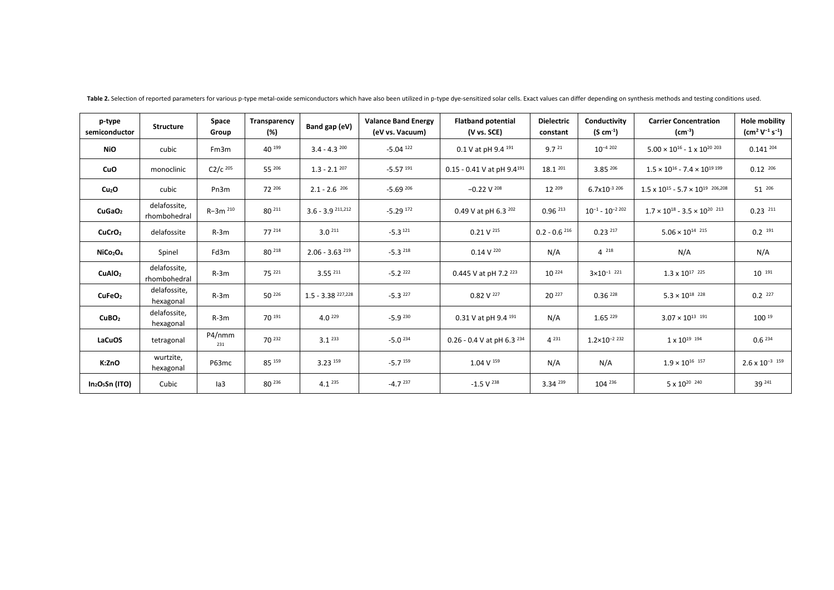| p-type<br>semiconductor          | <b>Structure</b>             | Space<br>Group | Transparency<br>(%) | Band gap (eV)                | <b>Valance Band Energy</b><br>(eV vs. Vacuum) | <b>Flatband potential</b><br>(V vs. SCE) | <b>Dielectric</b><br>constant | Conductivity<br>$(S \text{ cm}^{-1})$ | <b>Carrier Concentration</b><br>$(cm-3)$          | <b>Hole mobility</b><br>$\rm (cm^2 V^{-1} s^{-1})$ |
|----------------------------------|------------------------------|----------------|---------------------|------------------------------|-----------------------------------------------|------------------------------------------|-------------------------------|---------------------------------------|---------------------------------------------------|----------------------------------------------------|
| <b>NiO</b>                       | cubic                        | Fm3m           | 40 199              | $3.4 - 4.3^{200}$            | $-5.04$ <sup>122</sup>                        | 0.1 V at pH 9.4 191                      | 9.7 <sup>21</sup>             | $10^{-4}$ 202                         | $5.00 \times 10^{16}$ - 1 x 10 <sup>20 203</sup>  | $0.141^{204}$                                      |
| CuO                              | monoclinic                   | $C2/c$ 205     | 55 206              | $1.3 - 2.1^{207}$            | $-5.57$ $^{191}$                              | $0.15 - 0.41$ V at pH $9.4^{191}$        | 18.1 201                      | 3.85 206                              | $1.5 \times 10^{16} - 7.4 \times 10^{19}$ 199     | $0.12^{206}$                                       |
| Cu <sub>2</sub> O                | cubic                        | Pn3m           | 72 206              | $2.1 - 2.6 \frac{206}{ }$    | $-5.69^{206}$                                 | $-0.22$ V $^{208}$                       | 12 209                        | $6.7x10^{-3}$ 206                     | $1.5 \times 10^{15} - 5.7 \times 10^{19}$ 206,208 | $51^{206}$                                         |
| CuGaO <sub>2</sub>               | delafossite,<br>rhombohedral | R-3m 210       | 80 211              | $3.6 - 3.9$ 211,212          | $-5.29$ $172$                                 | 0.49 V at pH 6.3 $^{202}$                | $0.96^{213}$                  | $10^{-1} - 10^{-2202}$                | $1.7 \times 10^{18} - 3.5 \times 10^{20}$ 213     | $0.23$ $^{211}$                                    |
| CuCrO <sub>2</sub>               | delafossite                  | $R-3m$         | 77 214              | 3.0 <sup>211</sup>           | $-5.3$ <sup>121</sup>                         | $0.21$ V $^{215}$                        | $0.2 - 0.6216$                | $0.23$ $217$                          | $5.06 \times 10^{14}$ 215                         | $0.2$ 191                                          |
| NiCo <sub>2</sub> O <sub>4</sub> | Spinel                       | Fd3m           | 80 218              | $2.06 - 3.63$ <sup>219</sup> | $-5.3$ 218                                    | $0.14$ V $^{220}$                        | N/A                           | 4 218                                 | N/A                                               | N/A                                                |
| CuAIO <sub>2</sub>               | delafossite,<br>rhombohedral | $R-3m$         | 75 221              | $3.55^{211}$                 | $-5.2$ 222                                    | 0.445 V at pH 7.2 223                    | $10^{224}$                    | $3 \times 10^{-1}$ 221                | $1.3 \times 10^{17}$ 225                          | $10^{-191}$                                        |
| CuFeO <sub>2</sub>               | delafossite,<br>hexagonal    | $R-3m$         | 50 226              | $1.5 - 3.38$ $^{227,228}$    | $-5.3^{227}$                                  | $0.82$ V $^{227}$                        | 20 227                        | $0.36^{228}$                          | $5.3 \times 10^{18}$ 228                          | $0.2 \frac{227}{ }$                                |
| CuBO <sub>2</sub>                | delafossite,<br>hexagonal    | $R-3m$         | 70 191              | $4.0^{229}$                  | $-5.9^{230}$                                  | 0.31 V at pH 9.4 191                     | N/A                           | $1.65^{229}$                          | $3.07 \times 10^{13}$ 191                         | $100^{19}$                                         |
| LaCuOS                           | tetragonal                   | P4/nmm<br>231  | 70 232              | $3.1^{233}$                  | $-5.0$ $^{234}$                               | 0.26 - 0.4 V at pH 6.3 $^{234}$          | $4^{231}$                     | $1.2 \times 10^{-2}$ 232              | 1 x 10 <sup>19</sup> <sup>194</sup>               | $0.6^{234}$                                        |
| K:ZnO                            | wurtzite,<br>hexagonal       | P63mc          | 85 159              | $3.23^{159}$                 | $-5.7$ <sup>159</sup>                         | $1.04$ V $^{159}$                        | N/A                           | N/A                                   | $1.9 \times 10^{16}$ 157                          | $2.6 \times 10^{-3}$ 159                           |
| $In2O5Sn$ (ITO)                  | Cubic                        | la3            | 80 236              | $4.1^{235}$                  | $-4.7$ <sup>237</sup>                         | $-1.5 V238$                              | $3.34^{239}$                  | $104^{236}$                           | 5 x 10 <sup>20</sup> <sup>240</sup>               | 39 241                                             |

Table 2. Selection of reported parameters for various p-type metal-oxide semiconductors which have also been utilized in p-type dye-sensitized solar cells. Exact values can differ depending on synthesis methods and testing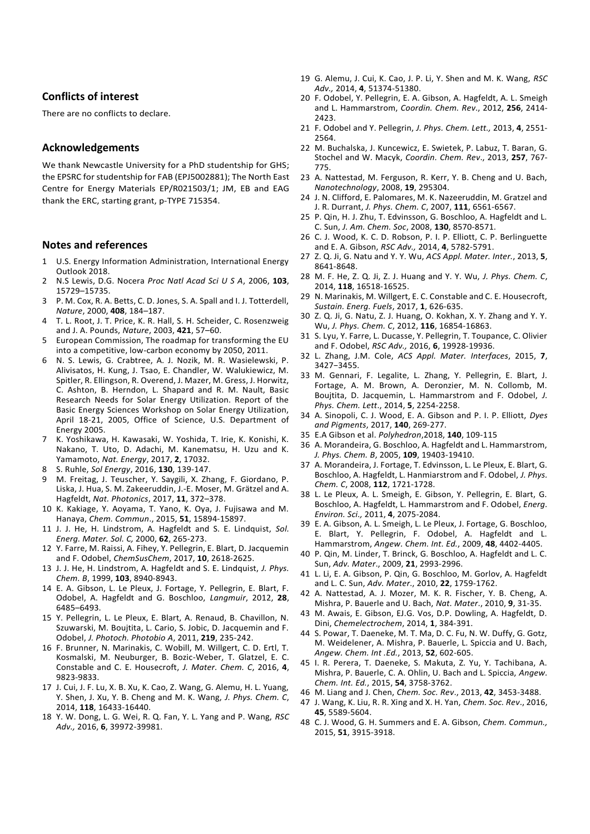## **Conflicts of interest**

There are no conflicts to declare.

## **Acknowledgements**

We thank Newcastle University for a PhD studentship for GHS; the EPSRC for studentship for FAB (EPJ5002881); The North East Centre for Energy Materials EP/R021503/1; JM, EB and EAG thank the ERC, starting grant, p-TYPE 715354.

## **Notes and references**

- 1 U.S. Energy Information Administration, International Energy Outlook 2018.
- 2 N.S Lewis, D.G. Nocera *Proc Natl Acad Sci U S A*, 2006, **103**, 15729–15735.
- 3 P. M. Cox, R. A. Betts, C. D. Jones, S. A. Spall and I. J. Totterdell, *Nature*, 2000, **408**, 184–187.
- 4 T. L. Root, J. T. Price, K. R. Hall, S. H. Scheider, C. Rosenzweig and J. A. Pounds, *Nature*, 2003, **421**, 57–60.
- 5 European Commission, The roadmap for transforming the EU into a competitive, low-carbon economy by 2050, 2011.
- 6 N. S. Lewis, G. Crabtree, A. J. Nozik, M. R. Wasielewski, P. Alivisatos, H. Kung, J. Tsao, E. Chandler, W. Walukiewicz, M. Spitler, R. Ellingson, R. Overend, J. Mazer, M. Gress, J. Horwitz, C. Ashton, B. Herndon, L. Shapard and R. M. Nault, Basic Research Needs for Solar Energy Utilization. Report of the Basic Energy Sciences Workshop on Solar Energy Utilization, April 18-21, 2005, Office of Science, U.S. Department of Energy 2005.
- 7 K. Yoshikawa, H. Kawasaki, W. Yoshida, T. Irie, K. Konishi, K. Nakano, T. Uto, D. Adachi, M. Kanematsu, H. Uzu and K. Yamamoto, *Nat. Energy*, 2017, **2**, 17032.
- 8 S. Ruhle, *Sol Energy*, 2016, **130**, 139-147.
- 9 M. Freitag, J. Teuscher, Y. Saygili, X. Zhang, F. Giordano, P. Liska, J. Hua, S. M. Zakeeruddin, J.-E. Moser, M. Grätzel and A. Hagfeldt, *Nat. Photonics*, 2017, **11**, 372–378.
- 10 K. Kakiage, Y. Aoyama, T. Yano, K. Oya, J. Fujisawa and M. Hanaya, *Chem. Commun*., 2015, **51**, 15894-15897.
- 11 J. J. He, H. Lindstrom, A. Hagfeldt and S. E. Lindquist, *Sol. Energ. Mater. Sol. C,* 2000, **62**, 265-273.
- 12 Y. Farre, M. Raissi, A. Fihey, Y. Pellegrin, E. Blart, D. Jacquemin and F. Odobel, *ChemSusChem*, 2017, **10**, 2618-2625.
- 13 J. J. He, H. Lindstrom, A. Hagfeldt and S. E. Lindquist, *J. Phys. Chem. B*, 1999, **103**, 8940-8943.
- 14 E. A. Gibson, L. Le Pleux, J. Fortage, Y. Pellegrin, E. Blart, F. Odobel, A. Hagfeldt and G. Boschloo, *Langmuir*, 2012, **28**, 6485–6493.
- 15 Y. Pellegrin, L. Le Pleux, E. Blart, A. Renaud, B. Chavillon, N. Szuwarski, M. Boujtita, L. Cario, S. Jobic, D. Jacquemin and F. Odobel, *J. Photoch. Photobio A*, 2011, **219**, 235-242.
- 16 F. Brunner, N. Marinakis, C. Wobill, M. Willgert, C. D. Ertl, T. Kosmalski, M. Neuburger, B. Bozic-Weber, T. Glatzel, E. C. Constable and C. E. Housecroft, *J. Mater. Chem. C*, 2016, **4**, 9823-9833.
- 17 J. Cui, J. F. Lu, X. B. Xu, K. Cao, Z. Wang, G. Alemu, H. L. Yuang, Y. Shen, J. Xu, Y. B. Cheng and M. K. Wang, *J. Phys. Chem. C*, 2014, **118**, 16433-16440.
- 18 Y. W. Dong, L. G. Wei, R. Q. Fan, Y. L. Yang and P. Wang, *RSC Adv.,* 2016, **6**, 39972-39981.
- 19 G. Alemu, J. Cui, K. Cao, J. P. Li, Y. Shen and M. K. Wang, *RSC Adv.,* 2014, **4**, 51374-51380.
- 20 F. Odobel, Y. Pellegrin, E. A. Gibson, A. Hagfeldt, A. L. Smeigh and L. Hammarstrom, *Coordin. Chem. Rev*., 2012, **256**, 2414- 2423.
- 21 F. Odobel and Y. Pellegrin, *J. Phys. Chem. Lett.,* 2013, **4**, 2551- 2564.
- 22 M. Buchalska, J. Kuncewicz, E. Swietek, P. Labuz, T. Baran, G. Stochel and W. Macyk, *Coordin. Chem. Rev*., 2013, **257**, 767- 775.
- 23 A. Nattestad, M. Ferguson, R. Kerr, Y. B. Cheng and U. Bach, *Nanotechnology*, 2008, **19**, 295304.
- 24 J. N. Clifford, E. Palomares, M. K. Nazeeruddin, M. Gratzel and J. R. Durrant, *J. Phys. Chem. C*, 2007, **111**, 6561-6567.
- 25 P. Qin, H. J. Zhu, T. Edvinsson, G. Boschloo, A. Hagfeldt and L. C. Sun, *J. Am. Chem. Soc*, 2008, **130**, 8570-8571.
- 26 C. J. Wood, K. C. D. Robson, P. I. P. Elliott, C. P. Berlinguette and E. A. Gibson, *RSC Adv.,* 2014, **4**, 5782-5791.
- 27 Z. Q. Ji, G. Natu and Y. Y. Wu, *ACS Appl. Mater. Inter.*, 2013, **5**, 8641-8648.
- 28 M. F. He, Z. Q. Ji, Z. J. Huang and Y. Y. Wu, *J. Phys. Chem. C*, 2014, **118**, 16518-16525.
- 29 N. Marinakis, M. Willgert, E. C. Constable and C. E. Housecroft, *Sustain. Energ. Fuels*, 2017, **1**, 626-635.
- 30 Z. Q. Ji, G. Natu, Z. J. Huang, O. Kokhan, X. Y. Zhang and Y. Y. Wu, *J. Phys. Chem. C*, 2012, **116**, 16854-16863.
- 31 S. Lyu, Y. Farre, L. Ducasse, Y. Pellegrin, T. Toupance, C. Olivier and F. Odobel, *RSC Adv.,* 2016, **6**, 19928-19936.
- 32 L. Zhang, J.M. Cole, *ACS Appl. Mater. Interfaces*, 2015, **7**, 3427−3455.
- 33 M. Gennari, F. Legalite, L. Zhang, Y. Pellegrin, E. Blart, J. Fortage, A. M. Brown, A. Deronzier, M. N. Collomb, M. Boujtita, D. Jacquemin, L. Hammarstrom and F. Odobel, *J. Phys. Chem. Lett*., 2014, **5**, 2254-2258.
- 34 A. Sinopoli, C. J. Wood, E. A. Gibson and P. I. P. Elliott, *Dyes and Pigments*, 2017, **140**, 269-277.
- 35 E.A Gibson et al. *Polyhedron*,2018, **140**, 109-115
- 36 A. Morandeira, G. Boschloo, A. Hagfeldt and L. Hammarstrom, *J. Phys. Chem. B*, 2005, **109**, 19403-19410.
- 37 A. Morandeira, J. Fortage, T. Edvinsson, L. Le Pleux, E. Blart, G. Boschloo, A. Hagfeldt, L. Hanmiarstrom and F. Odobel, *J. Phys. Chem. C*, 2008, **112**, 1721-1728.
- 38 L. Le Pleux, A. L. Smeigh, E. Gibson, Y. Pellegrin, E. Blart, G. Boschloo, A. Hagfeldt, L. Hammarstrom and F. Odobel, *Energ. Environ. Sci.,* 2011, **4**, 2075-2084.
- 39 E. A. Gibson, A. L. Smeigh, L. Le Pleux, J. Fortage, G. Boschloo, E. Blart, Y. Pellegrin, F. Odobel, A. Hagfeldt and L. Hammarstrom, *Angew. Chem. Int. Ed.*, 2009, **48**, 4402-4405.
- 40 P. Qin, M. Linder, T. Brinck, G. Boschloo, A. Hagfeldt and L. C. Sun, *Adv. Mater*., 2009, **21**, 2993-2996.
- 41 L. Li, E. A. Gibson, P. Qin, G. Boschloo, M. Gorlov, A. Hagfeldt and L. C. Sun, *Adv. Mater*., 2010, **22**, 1759-1762.
- 42 A. Nattestad, A. J. Mozer, M. K. R. Fischer, Y. B. Cheng, A. Mishra, P. Bauerle and U. Bach, *Nat. Mater*., 2010, **9**, 31-35.
- 43 M. Awais, E. Gibson, EJ.G. Vos, D.P. Dowling, A. Hagfeldt, D. Dini, *Chemelectrochem*, 2014, **1**, 384-391.
- 44 S. Powar, T. Daeneke, M. T. Ma, D. C. Fu, N. W. Duffy, G. Gotz, M. Weidelener, A. Mishra, P. Bauerle, L. Spiccia and U. Bach, *Angew. Chem. Int .Ed.*, 2013, **52**, 602-605.
- 45 I. R. Perera, T. Daeneke, S. Makuta, Z. Yu, Y. Tachibana, A. Mishra, P. Bauerle, C. A. Ohlin, U. Bach and L. Spiccia, *Angew. Chem. Int. Ed.*, 2015, **54**, 3758-3762.
- 46 M. Liang and J. Chen, *Chem. Soc. Rev*., 2013, **42**, 3453-3488.
- 47 J. Wang, K. Liu, R. R. Xing and X. H. Yan, *Chem. Soc. Rev*., 2016, **45**, 5589-5604.
- 48 C. J. Wood, G. H. Summers and E. A. Gibson, *Chem. Commun.,* 2015, **51**, 3915-3918.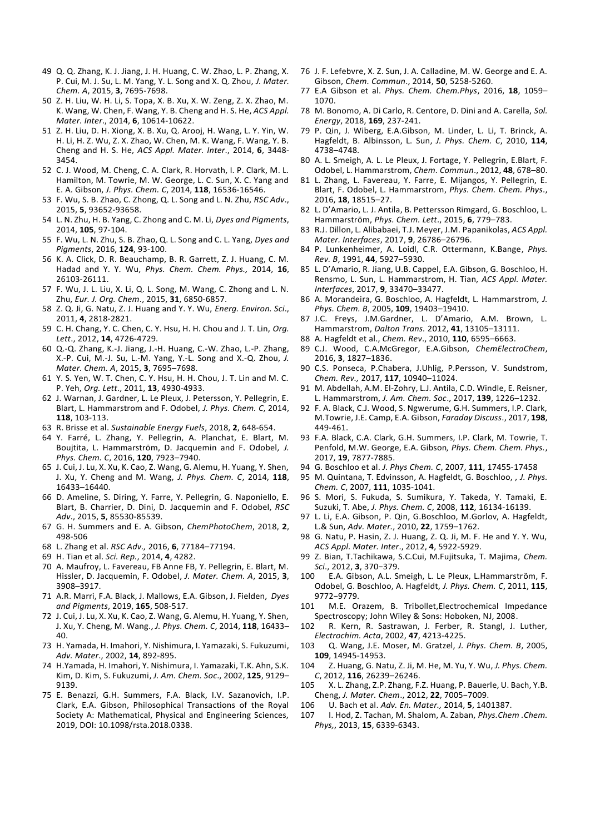- 49 Q. Q. Zhang, K. J. Jiang, J. H. Huang, C. W. Zhao, L. P. Zhang, X. P. Cui, M. J. Su, L. M. Yang, Y. L. Song and X. Q. Zhou, *J. Mater. Chem. A*, 2015, **3**, 7695-7698.
- 50 Z. H. Liu, W. H. Li, S. Topa, X. B. Xu, X. W. Zeng, Z. X. Zhao, M. K. Wang, W. Chen, F. Wang, Y. B. Cheng and H. S. He, *ACS Appl. Mater. Inter*., 2014, **6**, 10614-10622.
- 51 Z. H. Liu, D. H. Xiong, X. B. Xu, Q. Arooj, H. Wang, L. Y. Yin, W. H. Li, H. Z. Wu, Z. X. Zhao, W. Chen, M. K. Wang, F. Wang, Y. B. Cheng and H. S. He, *ACS Appl. Mater. Inter*., 2014, **6**, 3448- 3454.
- 52 C. J. Wood, M. Cheng, C. A. Clark, R. Horvath, I. P. Clark, M. L. Hamilton, M. Towrie, M. W. George, L. C. Sun, X. C. Yang and E. A. Gibson, *J. Phys. Chem. C*, 2014, **118**, 16536-16546.
- 53 F. Wu, S. B. Zhao, C. Zhong, Q. L. Song and L. N. Zhu, *RSC Adv*., 2015, **5**, 93652-93658.
- 54 L. N. Zhu, H. B. Yang, C. Zhong and C. M. Li, *Dyes and Pigments*, 2014, **105**, 97-104.
- 55 F. Wu, L. N. Zhu, S. B. Zhao, Q. L. Song and C. L. Yang, *Dyes and Pigments*, 2016, **124**, 93-100.
- 56 K. A. Click, D. R. Beauchamp, B. R. Garrett, Z. J. Huang, C. M. Hadad and Y. Y. Wu, *Phys. Chem. Chem. Phys.,* 2014, **16**, 26103-26111.
- 57 F. Wu, J. L. Liu, X. Li, Q. L. Song, M. Wang, C. Zhong and L. N. Zhu, *Eur. J. Org. Chem*., 2015, **31**, 6850-6857.
- 58 Z. Q. Ji, G. Natu, Z. J. Huang and Y. Y. Wu, *Energ. Environ. Sci*., 2011, **4**, 2818-2821.
- 59 C. H. Chang, Y. C. Chen, C. Y. Hsu, H. H. Chou and J. T. Lin, *Org. Lett*., 2012, **14**, 4726-4729.
- 60 Q.-Q. Zhang, K.-J. Jiang, J.-H. Huang, C.-W. Zhao, L.-P. Zhang, X.-P. Cui, M.-J. Su, L.-M. Yang, Y.-L. Song and X.-Q. Zhou, *J. Mater. Chem. A*, 2015, **3**, 7695–7698.
- 61 Y. S. Yen, W. T. Chen, C. Y. Hsu, H. H. Chou, J. T. Lin and M. C. P. Yeh, *Org. Lett*., 2011, **13**, 4930-4933.
- 62 J. Warnan, J. Gardner, L. Le Pleux, J. Petersson, Y. Pellegrin, E. Blart, L. Hammarstrom and F. Odobel, *J. Phys. Chem. C*, 2014, **118**, 103-113.
- 63 R. Brisse et al. *Sustainable Energy Fuels*, 2018, **2**, 648-654.
- 64 Y. Farré, L. Zhang, Y. Pellegrin, A. Planchat, E. Blart, M. Boujtita, L. Hammarström, D. Jacquemin and F. Odobel*, J. Phys. Chem. C*, 2016, **120**, 7923–7940.
- 65 J. Cui, J. Lu, X. Xu, K. Cao, Z. Wang, G. Alemu, H. Yuang, Y. Shen, J. Xu, Y. Cheng and M. Wang, *J. Phys. Chem. C*, 2014, **118**, 16433–16440.
- 66 D. Ameline, S. Diring, Y. Farre, Y. Pellegrin, G. Naponiello, E. Blart, B. Charrier, D. Dini, D. Jacquemin and F. Odobel, *RSC Adv*., 2015, **5**, 85530-85539.
- 67 G. H. Summers and E. A. Gibson, *ChemPhotoChem*, 2018, **2**, 498-506
- 68 L. Zhang et al. *RSC Adv.,* 2016, **6**, 77184–77194.
- 69 H. Tian et al. *Sci. Rep.*, 2014, **4**, 4282.
- 70 A. Maufroy, L. Favereau, FB Anne FB, Y. Pellegrin, E. Blart, M. Hissler, D. Jacquemin, F. Odobel, *J. Mater. Chem. A*, 2015, **3**, 3908–3917.
- 71 A.R. Marri, F.A. Black, J. Mallows, E.A. Gibson, J. Fielden, *Dyes and Pigments*, 2019, **165**, 508-517.
- 72 J. Cui, J. Lu, X. Xu, K. Cao, Z. Wang, G. Alemu, H. Yuang, Y. Shen, J. Xu, Y. Cheng, M. Wang., *J. Phys. Chem. C*, 2014, **118**, 16433– 40.
- 73 H. Yamada, H. Imahori, Y. Nishimura, I. Yamazaki, S. Fukuzumi, *Adv. Mater*., 2002, **14**, 892-895.
- 74 H.Yamada, H. Imahori, Y. Nishimura, I. Yamazaki, T.K. Ahn, S.K. Kim, D. Kim, S. Fukuzumi, *J. Am. Chem. Soc*., 2002, **125**, 9129– 9139.
- 75 E. Benazzi, G.H. Summers, F.A. Black, I.V. Sazanovich, I.P. Clark, E.A. Gibson, Philosophical Transactions of the Royal Society A: Mathematical, Physical and Engineering Sciences, 2019, DOI: 10.1098/rsta.2018.0338.
- 76 J. F. Lefebvre, X. Z. Sun, J. A. Calladine, M. W. George and E. A. Gibson, *Chem. Commun*., 2014, **50**, 5258-5260.
- 77 E.A Gibson et al. *Phys. Chem. Chem.Phys*, 2016, **18**, 1059– 1070.
- 78 M. Bonomo, A. Di Carlo, R. Centore, D. Dini and A. Carella, *Sol. Energy*, 2018, **169**, 237-241.
- 79 P. Qin, J. Wiberg, E.A.Gibson, M. Linder, L. Li, T. Brinck, A. Hagfeldt, B. Albinsson, L. Sun, *J. Phys. Chem. C*, 2010, **114**, 4738–4748.
- 80 A. L. Smeigh, A. L. Le Pleux, J. Fortage, Y. Pellegrin, E.Blart, F. Odobel, L. Hammarstrom, *Chem. Commun*., 2012, **48**, 678–80.
- 81 L. Zhang, L. Favereau, Y. Farre, E. Mijangos, Y. Pellegrin, E. Blart, F. Odobel, L. Hammarstrom, *Phys. Chem. Chem. Phys*., 2016, **18**, 18515–27.
- 82 L. D'Amario, L. J. Antila, B. Pettersson Rimgard, G. Boschloo, L. Hammarström, *Phys. Chem. Lett*., 2015, **6**, 779–783.
- 83 R.J. Dillon, L. Alibabaei, T.J. Meyer, J.M. Papanikolas, *ACS Appl. Mater. Interfaces*, 2017, **9**, 26786–26796.
- 84 P. Lunkenheimer, A. Loidl, C.R. Ottermann, K.Bange, *Phys. Rev. B*, 1991, **44**, 5927–5930.
- 85 L. D'Amario, R. Jiang, U.B. Cappel, E.A. Gibson, G. Boschloo, H. Rensmo, L. Sun, L. Hammarstrom, H. Tian, *ACS Appl. Mater. Interfaces*, 2017, **9**, 33470–33477.
- 86 A. Morandeira, G. Boschloo, A. Hagfeldt, L. Hammarstrom, *J. Phys. Chem. B*, 2005, **109**, 19403–19410.
- 87 J.C. Freys, J.M.Gardner, L. D'Amario, A.M. Brown, L. Hammarstrom, *Dalton Trans.* 2012, **41**, 13105–13111.
- 88 A. Hagfeldt et al., *Chem. Rev*., 2010, **110**, 6595–6663.
- 89 C.J. Wood, C.A.McGregor, E.A.Gibson, *ChemElectroChem*, 2016, **3**, 1827–1836.
- 90 C.S. Ponseca, P.Chabera, J.Uhlig, P.Persson, V. Sundstrom, *Chem. Rev.,* 2017, **117**, 10940–11024.
- 91 M. Abdellah, A.M. El-Zohry, L.J. Antila, C.D. Windle, E. Reisner, L. Hammarstrom, *J. Am. Chem. Soc*., 2017, **139**, 1226–1232.
- 92 F. A. Black, C.J. Wood, S. Ngwerume, G.H. Summers, I.P. Clark, M.Towrie, J.E. Camp, E.A. Gibson, *Faraday Discuss*., 2017, **198**, 449-461.
- 93 F.A. Black, C.A. Clark, G.H. Summers, I.P. Clark, M. Towrie, T. Penfold, M.W. George, E.A. Gibson*, Phys. Chem. Chem. Phys.*, 2017, **19**, 7877-7885.
- 94 G. Boschloo et al. *J. Phys Chem. C*, 2007, **111**, 17455-17458
- 95 M. Quintana, T. Edvinsson, A. Hagfeldt, G. Boschloo, , *J. Phys. Chem. C*, 2007, **111**, 1035-1041.
- 96 S. Mori, S. Fukuda, S. Sumikura, Y. Takeda, Y. Tamaki, E. Suzuki, T. Abe, *J. Phys. Chem. C*, 2008, **112**, 16134-16139.
- 97 L. Li, E.A. Gibson, P. Qin, G.Boschloo, M.Gorlov, A. Hagfeldt, L.& Sun, *Adv. Mater.*, 2010, **22**, 1759–1762.
- 98 G. Natu, P. Hasin, Z. J. Huang, Z. Q. Ji, M. F. He and Y. Y. Wu, *ACS Appl. Mater. Inter*., 2012, **4**, 5922-5929.
- 99 Z. Bian, T.Tachikawa, S.C.Cui, M.Fujitsuka, T. Majima, *Chem. Sci*., 2012, **3**, 370−379.
- 100 E.A. Gibson, A.L. Smeigh, L. Le Pleux, L.Hammarström, F. Odobel, G. Boschloo, A. Hagfeldt, *J. Phys. Chem. C*, 2011, **115**, 9772−9779.
- 101 M.E. Orazem, B. Tribollet,Electrochemical Impedance Spectroscopy; John Wiley & Sons: Hoboken, NJ, 2008.
- 102 R. Kern, R. Sastrawan, J. Ferber, R. Stangl, J. Luther, *Electrochim. Acta*, 2002, **47**, 4213-4225.
- 103 Q. Wang, J.E. Moser, M. Gratzel, *J. Phys. Chem. B*, 2005, **109**, 14945-14953.
- 104 Z. Huang, G. Natu, Z. Ji, M. He, M. Yu, Y. Wu, *J. Phys. Chem. C*, 2012, **116**, 26239–26246.
- 105 X. L. Zhang, Z.P. Zhang, F.Z. Huang, P. Bauerle, U. Bach, Y.B. Cheng, *J. Mater. Chem*., 2012, **22**, 7005−7009.
- 106 U. Bach et al. *Adv. En. Mater.,* 2014, **5**, 1401387.
- 107 I. Hod, Z. Tachan, M. Shalom, A. Zaban, *Phys.Chem .Chem. Phys,*, 2013, **15**, 6339-6343.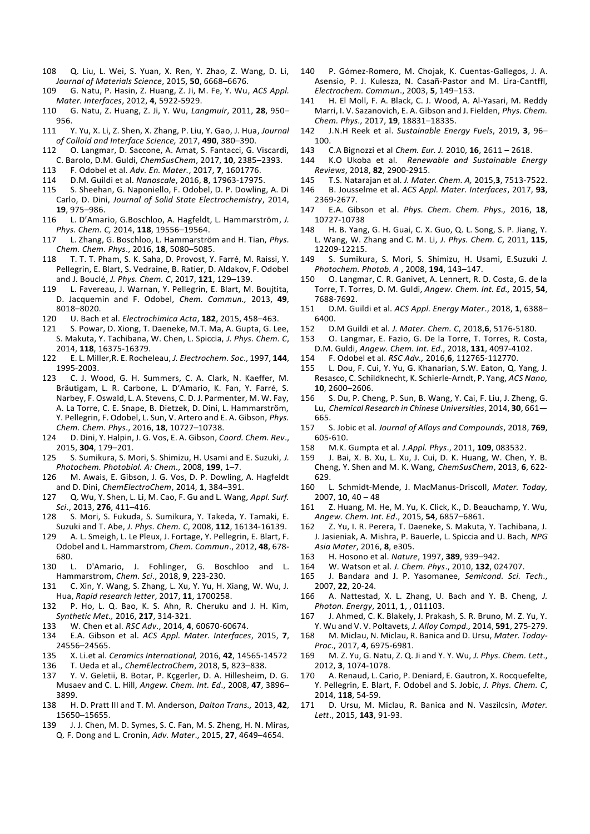- 108 Q. Liu, L. Wei, S. Yuan, X. Ren, Y. Zhao, Z. Wang, D. Li, *Journal of Materials Science*, 2015, **50**, 6668–6676.
- 109 G. Natu, P. Hasin, Z. Huang, Z. Ji, M. Fe, Y. Wu, *ACS Appl. Mater. Interfaces*, 2012, **4**, 5922-5929.
- 110 G. Natu, Z. Huang, Z. Ji, Y. Wu, *Langmuir*, 2011, **28**, 950– 956.
- 111 Y. Yu, X. Li, Z. Shen, X. Zhang, P. Liu, Y. Gao, J. Hua, *Journal of Colloid and Interface Science,* 2017, **490**, 380–390.
- 0. Langmar, D. Saccone, A. Amat, S. Fantacci, G. Viscardi, C. Barolo, D.M. Guldi, *ChemSusChem*, 2017, **10**, 2385–2393.
- 113 F. Odobel et al. *Adv. En. Mater.*, 2017, **7**, 1601776.
- 114 D.M. Guildi et al. *Nanoscale*, 2016, **8**, 17963-17975.
- 115 S. Sheehan, G. Naponiello, F. Odobel, D. P. Dowling, A. Di Carlo, D. Dini, *Journal of Solid State Electrochemistry*, 2014, **19**, 975–986.
- 116 L. D'Amario, G.Boschloo, A. Hagfeldt, L. Hammarström, *J. Phys. Chem. C,* 2014, **118**, 19556–19564.
- 117 L. Zhang, G. Boschloo, L. Hammarström and H. Tian, *Phys. Chem. Chem. Phys*., 2016, **18**, 5080–5085.
- T. T. T. Pham, S. K. Saha, D. Provost, Y. Farré, M. Raissi, Y. Pellegrin, E. Blart, S. Vedraine, B. Ratier, D. Aldakov, F. Odobel and J. Bouclé, *J. Phys. Chem. C*, 2017, **121**, 129–139.
- L. Favereau, J. Warnan, Y. Pellegrin, E. Blart, M. Boujtita, D. Jacquemin and F. Odobel, *Chem. Commun.,* 2013, **49**, 8018–8020.
- 120 U. Bach et al. *Electrochimica Acta*, **182**, 2015, 458–463.
- S. Powar, D. Xiong, T. Daeneke, M.T. Ma, A. Gupta, G. Lee, S. Makuta, Y. Tachibana, W. Chen, L. Spiccia, *J. Phys. Chem. C*, 2014, **118**, 16375-16379.
- 122 E. L. Miller,R. E. Rocheleau, *J. Electrochem. Soc*., 1997, **144**, 1995-2003.
- C. J. Wood, G. H. Summers, C. A. Clark, N. Kaeffer, M. Bräutigam, L. R. Carbone, L. D'Amario, K. Fan, Y. Farré, S. Narbey, F. Oswald, L. A. Stevens, C. D. J. Parmenter, M. W. Fay, A. La Torre, C. E. Snape, B. Dietzek, D. Dini, L. Hammarström, Y. Pellegrin, F. Odobel, L. Sun, V. Artero and E. A. Gibson, *Phys. Chem. Chem. Phys*., 2016, **18**, 10727–10738.
- 124 D. Dini, Y. Halpin, J. G. Vos, E. A. Gibson, *Coord. Chem. Rev*., 2015, **304**, 179–201.
- 125 S. Sumikura, S. Mori, S. Shimizu, H. Usami and E. Suzuki, *J. Photochem. Photobiol. A: Chem.,* 2008, **199**, 1–7.
- 126 M. Awais, E. Gibson, J. G. Vos, D. P. Dowling, A. Hagfeldt and D. Dini, *ChemElectroChem*, 2014, **1**, 384–391.
- 127 Q. Wu, Y. Shen, L. Li, M. Cao, F. Gu and L. Wang, *Appl. Surf. Sci*., 2013, **276**, 411–416.
- 128 S. Mori, S. Fukuda, S. Sumikura, Y. Takeda, Y. Tamaki, E. Suzuki and T. Abe, *J. Phys. Chem. C*, 2008, **112**, 16134-16139.
- A. L. Smeigh, L. Le Pleux, J. Fortage, Y. Pellegrin, E. Blart, F. Odobel and L. Hammarstrom, *Chem. Commun*., 2012, **48**, 678- 680.
- 130 L. D'Amario, J. Fohlinger, G. Boschloo and L. Hammarstrom, *Chem. Sci*., 2018, **9**, 223-230.
- 131 C. Xin, Y. Wang, S. Zhang, L. Xu, Y. Yu, H. Xiang, W. Wu, J. Hua, *Rapid research letter*, 2017, **11**, 1700258.
- 132 P. Ho, L. Q. Bao, K. S. Ahn, R. Cheruku and J. H. Kim, *Synthetic Met.,* 2016, **217**, 314-321.
- 133 W. Chen et al. *RSC Adv*., 2014, **4**, 60670-60674.
- 134 E.A. Gibson et al. *ACS Appl. Mater. Interfaces*, 2015, **7**, 24556–24565.
- 135 X. Li.et al. *Ceramics International,* 2016, **42**, 14565-14572
- 136 T. Ueda et al., *ChemElectroChem*, 2018, **5**, 823–838.
- Y. V. Geletii, B. Botar, P. Kçgerler, D. A. Hillesheim, D. G. Musaev and C. L. Hill, *Angew. Chem. Int. Ed*., 2008, **47**, 3896– 3899.
- 138 H. D. Pratt III and T. M. Anderson, *Dalton Trans.,* 2013, **42**, 15650–15655.
- 139 J. J. Chen, M. D. Symes, S. C. Fan, M. S. Zheng, H. N. Miras, Q. F. Dong and L. Cronin, *Adv. Mater*., 2015, **27**, 4649–4654.
- 140 P. Gómez-Romero, M. Chojak, K. Cuentas-Gallegos, J. A. Asensio, P. J. Kulesza, N. Casañ-Pastor and M. Lira-Cantffl, *Electrochem. Commun*., 2003, **5**, 149–153.
- H. El Moll, F. A. Black, C. J. Wood, A. Al-Yasari, M. Reddy Marri, I. V. Sazanovich, E. A. Gibson and J. Fielden, *Phys. Chem. Chem. Phys.,* 2017, **19**, 18831–18335.
- 142 J.N.H Reek et al. *Sustainable Energy Fuels*, 2019, **3**, 96– .100<br>، 143
- 143 C.A Bignozzi et al *Chem. Eur. J.* 2010, **16**, 2611 2618.
- 144 K.O Ukoba et al*. Renewable and Sustainable Energy Reviews*, 2018, **82**, 2900-2915.
- 145 T.S. Natarajan et al. *J. Mater. Chem. A,* 2015,**3**, 7513-7522.
- 146 B. Jousselme et al. *ACS Appl. Mater. Interfaces*, 2017, **93**,
- 2369-2677.<br>E.A. Gib 147 E.A. Gibson et al. *Phys. Chem. Chem. Phys.,* 2016, **18**, 10727-10738
- 148 H. B. Yang, G. H. Guai, C. X. Guo, Q. L. Song, S. P. Jiang, Y. L. Wang, W. Zhang and C. M. Li, *J. Phys. Chem. C*, 2011, **115**, 12209-12215.<br>149 S Sumiku
- 149 S. Sumikura, S. Mori, S. Shimizu, H. Usami, E.Suzuki *J. Photochem. Photob. A* , 2008, **194**, 143–147.
- 150 O. Langmar, C. R. Ganivet, A. Lennert, R. D. Costa, G. de la Torre, T. Torres, D. M. Guldi, *Angew. Chem. Int. Ed.,* 2015, **54**, 7688-7692.
- 151 D.M. Guildi et al. *ACS Appl. Energy Mater*., 2018, **1**, 6388– 6400.
- 152 D.M Guildi et al*. J. Mater. Chem. C*, 2018,**6**, 5176-5180.
- 153 O. Langmar, E. Fazio, G. De la Torre, T. Torres, R. Costa,
- D.M. Guldi, *Angew. Chem. Int. Ed*., 2018, **131**, 4097-4102. 154 F. Odobel et al. *RSC Adv.,* 2016,**6**, 112765-112770.
- 155 L. Dou, F. Cui, Y. Yu, G. Khanarian, S.W. Eaton, Q. Yang, J. Resasco, C. Schildknecht, K. Schierle-Arndt, P. Yang, *ACS Nano,* **10**, 2600–2606.
- 156 S. Du, P. Cheng, P. Sun, B. Wang, Y. Cai, F. Liu, J. Zheng, G. Lu, *Chemical Research in Chinese Universities*, 2014, **30**, 661— .665<br>؛ 157
- 157 S. Jobic et al. *Journal of Alloys and Compounds*, 2018, **769**, 605-610.<br>.158 M.K
- 158 M.K. Gumpta et al*. J.Appl. Phys*., 2011, **109**, 083532.
- 159 J. Bai, X. B. Xu, L. Xu, J. Cui, D. K. Huang, W. Chen, Y. B. Cheng, Y. Shen and M. K. Wang, *ChemSusChem*, 2013, **6**, 622- 629.
- 160 L. Schmidt-Mende, J. MacManus-Driscoll, *Mater. Today,* 2007, **10**, 40 – 48
- 161 Z. Huang, M. He, M. Yu, K. Click, K., D. Beauchamp, Y. Wu, *Angew. Chem. Int. Ed*., 2015, **54**, 6857–6861.
- 162 Z. Yu, I. R. Perera, T. Daeneke, S. Makuta, Y. Tachibana, J. J. Jasieniak, A. Mishra, P. Bauerle, L. Spiccia and U. Bach, *NPG Asia Mater*, 2016, **8**, e305.
- 163 H. Hosono et al. *Nature*, 1997, **389**, 939–942.
- 164 W. Watson et al*. J. Chem. Phys*., 2010, **132**, 024707.
- 165 J. Bandara and J. P. Yasomanee, *Semicond. Sci. Tech*., 2007, **22**, 20-24.
- 166 A. Nattestad, X. L. Zhang, U. Bach and Y. B. Cheng, *J. Photon. Energy*, 2011, **1**, , 011103.
- 167 J. Ahmed, C. K. Blakely, J. Prakash, S. R. Bruno, M. Z. Yu, Y.
- Y. Wu and V. V. Poltavets, *J. Alloy Compd.,* 2014, **591**, 275-279. M. Miclau, N. Miclau, R. Banica and D. Ursu, *Mater. Today-Proc*., 2017, **4**, 6975-6981.
- 169 M. Z. Yu, G. Natu, Z. Q. Ji and Y. Y. Wu, *J. Phys. Chem. Lett*., 2012, **3**, 1074-1078.
- A. Renaud, L. Cario, P. Deniard, E. Gautron, X. Rocquefelte, Y. Pellegrin, E. Blart, F. Odobel and S. Jobic, *J. Phys. Chem. C*, 2014, **118**, 54-59.
- 171 D. Ursu, M. Miclau, R. Banica and N. Vaszilcsin, *Mater. Lett*., 2015, **143**, 91-93.